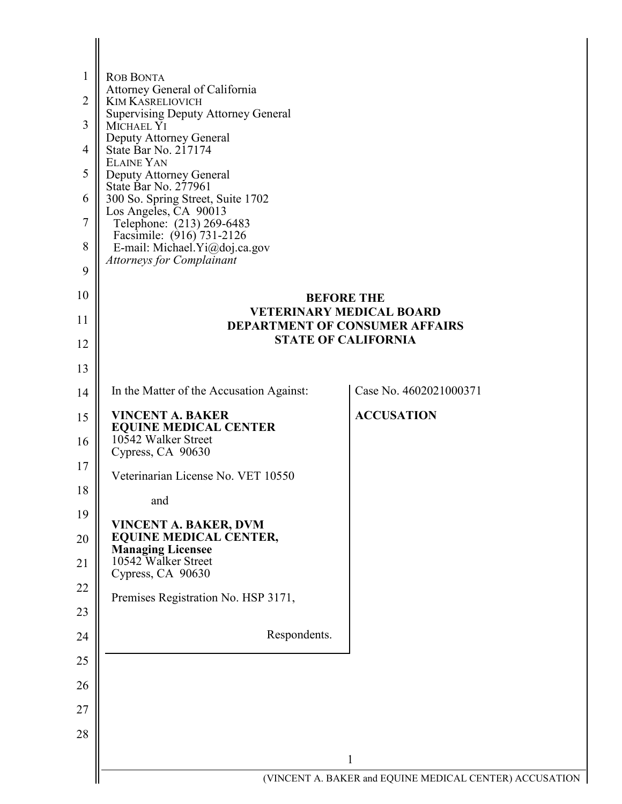| 1              | <b>ROB BONTA</b>                                           |                                                                          |
|----------------|------------------------------------------------------------|--------------------------------------------------------------------------|
| $\overline{2}$ | Attorney General of California<br><b>KIM KASRELIOVICH</b>  |                                                                          |
| 3              | <b>Supervising Deputy Attorney General</b><br>MICHAEL YI   |                                                                          |
| $\overline{4}$ | Deputy Attorney General<br>State Bar No. 217174            |                                                                          |
| 5              | <b>ELAINE YAN</b><br>Deputy Attorney General               |                                                                          |
| 6              | State Bar No. 277961<br>300 So. Spring Street, Suite 1702  |                                                                          |
| 7              | Los Angeles, CA 90013<br>Telephone: (213) 269-6483         |                                                                          |
| 8              | Facsimile: (916) 731-2126<br>E-mail: Michael.Yi@doj.ca.gov |                                                                          |
| 9              | <b>Attorneys for Complainant</b>                           |                                                                          |
| 10             |                                                            | <b>BEFORE THE</b>                                                        |
| 11             |                                                            | <b>VETERINARY MEDICAL BOARD</b><br><b>DEPARTMENT OF CONSUMER AFFAIRS</b> |
| 12             |                                                            | <b>STATE OF CALIFORNIA</b>                                               |
| 13             |                                                            |                                                                          |
| 14             | In the Matter of the Accusation Against:                   | Case No. 4602021000371                                                   |
| 15             | <b>VINCENT A. BAKER</b><br><b>EQUINE MEDICAL CENTER</b>    | <b>ACCUSATION</b>                                                        |
| 16             | 10542 Walker Street<br>Cypress, CA 90630                   |                                                                          |
| 17             | Veterinarian License No. VET 10550                         |                                                                          |
| 18             | and                                                        |                                                                          |
| 19             | VINCENT A. BAKER, DVM                                      |                                                                          |
| 20             | <b>EQUINE MEDICAL CENTER,</b><br><b>Managing Licensee</b>  |                                                                          |
| 21             | 10542 Walker Street<br>Cypress, CA 90630                   |                                                                          |
| 22             | Premises Registration No. HSP 3171,                        |                                                                          |
| 23             |                                                            |                                                                          |
| 24             | Respondents.                                               |                                                                          |
| 25             |                                                            |                                                                          |
| 26             |                                                            |                                                                          |
| 27             |                                                            |                                                                          |
| 28             |                                                            |                                                                          |
|                |                                                            | $\mathbf{1}$                                                             |
|                |                                                            | (VINCENT A. BAKER and EQUINE MEDICAL CENTER) ACCUSATION                  |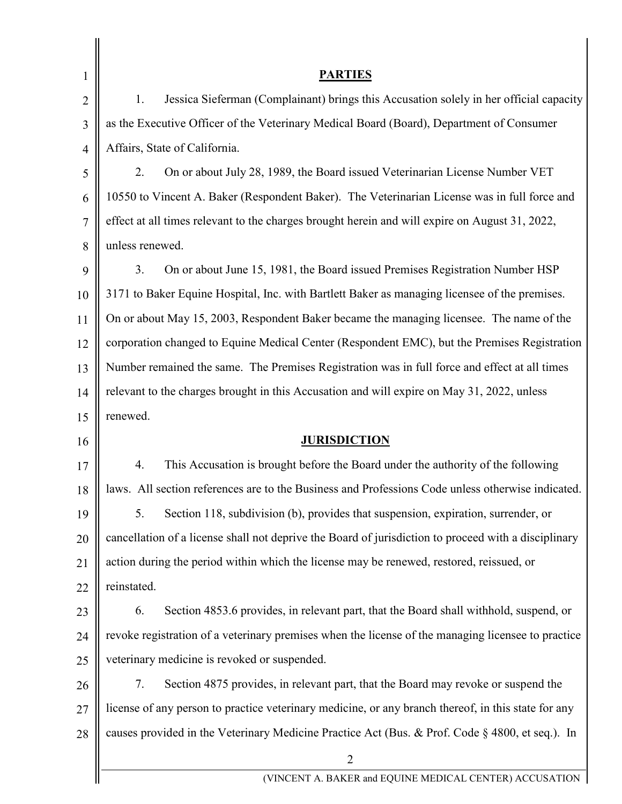| 1              | <b>PARTIES</b>                                                                                       |  |
|----------------|------------------------------------------------------------------------------------------------------|--|
| $\overline{2}$ | 1.<br>Jessica Sieferman (Complainant) brings this Accusation solely in her official capacity         |  |
| 3              | as the Executive Officer of the Veterinary Medical Board (Board), Department of Consumer             |  |
| $\overline{4}$ | Affairs, State of California.                                                                        |  |
| 5              | 2.<br>On or about July 28, 1989, the Board issued Veterinarian License Number VET                    |  |
| 6              | 10550 to Vincent A. Baker (Respondent Baker). The Veterinarian License was in full force and         |  |
| 7              | effect at all times relevant to the charges brought herein and will expire on August 31, 2022,       |  |
| 8              | unless renewed.                                                                                      |  |
| 9              | 3.<br>On or about June 15, 1981, the Board issued Premises Registration Number HSP                   |  |
| 10             | 3171 to Baker Equine Hospital, Inc. with Bartlett Baker as managing licensee of the premises.        |  |
| 11             | On or about May 15, 2003, Respondent Baker became the managing licensee. The name of the             |  |
| 12             | corporation changed to Equine Medical Center (Respondent EMC), but the Premises Registration         |  |
| 13             | Number remained the same. The Premises Registration was in full force and effect at all times        |  |
| 14             | relevant to the charges brought in this Accusation and will expire on May 31, 2022, unless           |  |
| 15             | renewed.                                                                                             |  |
| 16             | <b>JURISDICTION</b>                                                                                  |  |
| 17             | 4.<br>This Accusation is brought before the Board under the authority of the following               |  |
| 18             | laws. All section references are to the Business and Professions Code unless otherwise indicated.    |  |
| 19             | Section 118, subdivision (b), provides that suspension, expiration, surrender, or<br>5.              |  |
| 20             | cancellation of a license shall not deprive the Board of jurisdiction to proceed with a disciplinary |  |
| 21             | action during the period within which the license may be renewed, restored, reissued, or             |  |
| 22             | reinstated.                                                                                          |  |
| 23             | Section 4853.6 provides, in relevant part, that the Board shall withhold, suspend, or<br>6.          |  |
| 24             | revoke registration of a veterinary premises when the license of the managing licensee to practice   |  |
| 25             | veterinary medicine is revoked or suspended.                                                         |  |
| 26             | Section 4875 provides, in relevant part, that the Board may revoke or suspend the<br>7.              |  |
| 27             | license of any person to practice veterinary medicine, or any branch thereof, in this state for any  |  |
| 28             | causes provided in the Veterinary Medicine Practice Act (Bus. & Prof. Code § 4800, et seq.). In      |  |
|                | $\overline{2}$                                                                                       |  |
|                | (VINCENT A. BAKER and EQUINE MEDICAL CENTER) ACCUSATION                                              |  |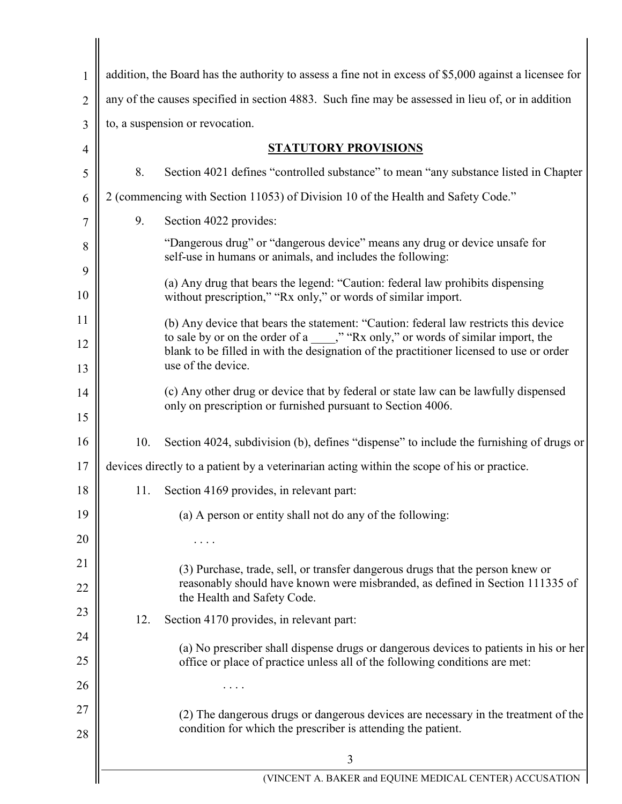| 1              |     | addition, the Board has the authority to assess a fine not in excess of \$5,000 against a licensee for                                                                        |
|----------------|-----|-------------------------------------------------------------------------------------------------------------------------------------------------------------------------------|
| $\overline{2}$ |     | any of the causes specified in section 4883. Such fine may be assessed in lieu of, or in addition                                                                             |
| 3              |     | to, a suspension or revocation.                                                                                                                                               |
| 4              |     | <b>STATUTORY PROVISIONS</b>                                                                                                                                                   |
| 5              | 8.  | Section 4021 defines "controlled substance" to mean "any substance listed in Chapter                                                                                          |
| 6              |     | 2 (commencing with Section 11053) of Division 10 of the Health and Safety Code."                                                                                              |
| 7              | 9.  | Section 4022 provides:                                                                                                                                                        |
| 8              |     | "Dangerous drug" or "dangerous device" means any drug or device unsafe for<br>self-use in humans or animals, and includes the following:                                      |
| 9<br>10        |     | (a) Any drug that bears the legend: "Caution: federal law prohibits dispensing<br>without prescription," "Rx only," or words of similar import.                               |
| 11             |     | (b) Any device that bears the statement: "Caution: federal law restricts this device                                                                                          |
| 12             |     | to sale by or on the order of a _____," "Rx only," or words of similar import, the<br>blank to be filled in with the designation of the practitioner licensed to use or order |
| 13             |     | use of the device.                                                                                                                                                            |
| 14             |     | (c) Any other drug or device that by federal or state law can be lawfully dispensed                                                                                           |
| 15             |     | only on prescription or furnished pursuant to Section 4006.                                                                                                                   |
| 16             | 10. | Section 4024, subdivision (b), defines "dispense" to include the furnishing of drugs or                                                                                       |
| 17             |     | devices directly to a patient by a veterinarian acting within the scope of his or practice.                                                                                   |
| 18             |     | 11. Section 4169 provides, in relevant part:                                                                                                                                  |
| 19             |     | (a) A person or entity shall not do any of the following:                                                                                                                     |
| 20             |     |                                                                                                                                                                               |
| 21             |     | (3) Purchase, trade, sell, or transfer dangerous drugs that the person knew or                                                                                                |
| 22             |     | reasonably should have known were misbranded, as defined in Section 111335 of<br>the Health and Safety Code.                                                                  |
| 23             | 12. | Section 4170 provides, in relevant part:                                                                                                                                      |
| 24             |     | (a) No prescriber shall dispense drugs or dangerous devices to patients in his or her                                                                                         |
| 25             |     | office or place of practice unless all of the following conditions are met:                                                                                                   |
| 26             |     |                                                                                                                                                                               |
| 27             |     | (2) The dangerous drugs or dangerous devices are necessary in the treatment of the                                                                                            |
| 28             |     | condition for which the prescriber is attending the patient.                                                                                                                  |
|                |     | 3                                                                                                                                                                             |
|                |     | (VINCENT A. BAKER and EQUINE MEDICAL CENTER) ACCUSATION                                                                                                                       |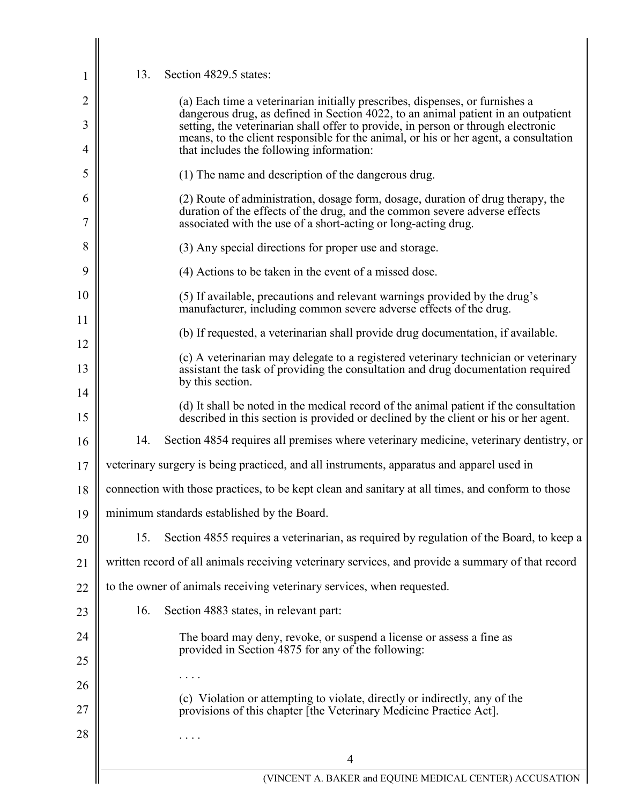| 13. | Section 4829.5 states:                                                                                                                                                                                                          |
|-----|---------------------------------------------------------------------------------------------------------------------------------------------------------------------------------------------------------------------------------|
|     | (a) Each time a veterinarian initially prescribes, dispenses, or furnishes a<br>dangerous drug, as defined in Section 4022, to an animal patient in an outpatient                                                               |
|     | setting, the veterinarian shall offer to provide, in person or through electronic<br>means, to the client responsible for the animal, or his or her agent, a consultation                                                       |
|     | that includes the following information:                                                                                                                                                                                        |
|     | (1) The name and description of the dangerous drug.                                                                                                                                                                             |
|     | (2) Route of administration, dosage form, dosage, duration of drug therapy, the<br>duration of the effects of the drug, and the common severe adverse effects<br>associated with the use of a short-acting or long-acting drug. |
|     | (3) Any special directions for proper use and storage.                                                                                                                                                                          |
|     | (4) Actions to be taken in the event of a missed dose.                                                                                                                                                                          |
|     | (5) If available, precautions and relevant warnings provided by the drug's<br>manufacturer, including common severe adverse effects of the drug.                                                                                |
|     | (b) If requested, a veterinarian shall provide drug documentation, if available.                                                                                                                                                |
|     | (c) A veterinarian may delegate to a registered veterinary technician or veterinary<br>assistant the task of providing the consultation and drug documentation required<br>by this section.                                     |
|     | (d) It shall be noted in the medical record of the animal patient if the consultation<br>described in this section is provided or declined by the client or his or her agent.                                                   |
| 14. | Section 4854 requires all premises where veterinary medicine, veterinary dentistry, or                                                                                                                                          |
|     | veterinary surgery is being practiced, and all instruments, apparatus and apparel used in                                                                                                                                       |
|     | connection with those practices, to be kept clean and sanitary at all times, and conform to those                                                                                                                               |
|     | minimum standards established by the Board.                                                                                                                                                                                     |
| 15. | Section 4855 requires a veterinarian, as required by regulation of the Board, to keep a                                                                                                                                         |
|     | written record of all animals receiving veterinary services, and provide a summary of that record                                                                                                                               |
|     | to the owner of animals receiving veterinary services, when requested.                                                                                                                                                          |
| 16. | Section 4883 states, in relevant part:                                                                                                                                                                                          |
|     | The board may deny, revoke, or suspend a license or assess a fine as<br>provided in Section 4875 for any of the following:                                                                                                      |
|     |                                                                                                                                                                                                                                 |
|     | (c) Violation or attempting to violate, directly or indirectly, any of the<br>provisions of this chapter [the Veterinary Medicine Practice Act].                                                                                |
|     |                                                                                                                                                                                                                                 |
|     | 4                                                                                                                                                                                                                               |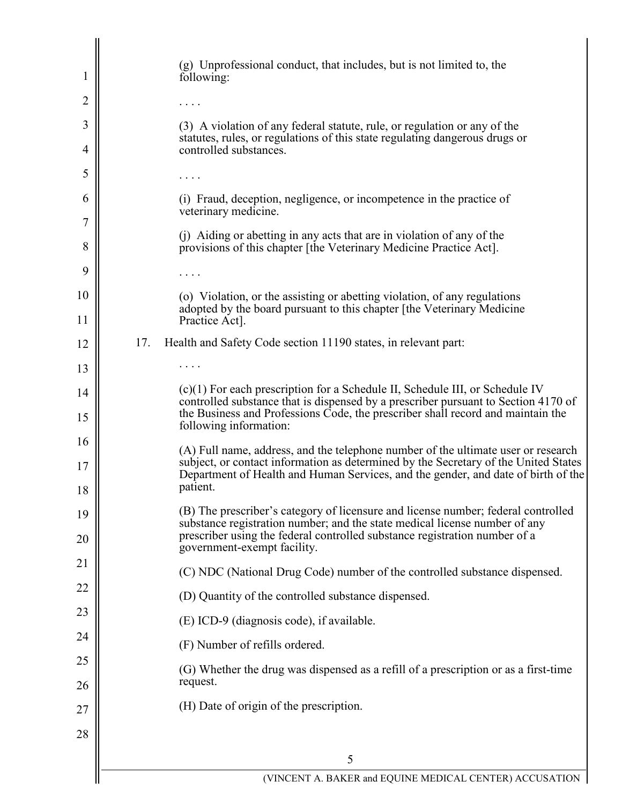| $\mathbf{I}$ | (g) Unprofessional conduct, that includes, but is not limited to, the<br>following:                                                                                                     |
|--------------|-----------------------------------------------------------------------------------------------------------------------------------------------------------------------------------------|
| 2            |                                                                                                                                                                                         |
| 3            | (3) A violation of any federal statute, rule, or regulation or any of the                                                                                                               |
| 4            | statutes, rules, or regulations of this state regulating dangerous drugs or<br>controlled substances.                                                                                   |
| 5            |                                                                                                                                                                                         |
| 6            | (i) Fraud, deception, negligence, or incompetence in the practice of<br>veterinary medicine.                                                                                            |
| 7<br>8       | (j) Aiding or abetting in any acts that are in violation of any of the<br>provisions of this chapter [the Veterinary Medicine Practice Act].                                            |
| 9            | .                                                                                                                                                                                       |
| 10           | (o) Violation, or the assisting or abetting violation, of any regulations                                                                                                               |
| 11           | adopted by the board pursuant to this chapter [the Veterinary Medicine<br>Practice Act].                                                                                                |
| 12           | 17.<br>Health and Safety Code section 11190 states, in relevant part:                                                                                                                   |
| 13           |                                                                                                                                                                                         |
| 14           | $(c)(1)$ For each prescription for a Schedule II, Schedule III, or Schedule IV<br>controlled substance that is dispensed by a prescriber pursuant to Section 4170 of                    |
| 15           | the Business and Professions Code, the prescriber shall record and maintain the<br>following information:                                                                               |
| 16           | (A) Full name, address, and the telephone number of the ultimate user or research<br>subject, or contact information as determined by the Secretary of the United States                |
| 17<br>18     | Department of Health and Human Services, and the gender, and date of birth of the<br>patient.                                                                                           |
| 19           | (B) The prescriber's category of licensure and license number; federal controlled                                                                                                       |
| 20           | substance registration number; and the state medical license number of any<br>prescriber using the federal controlled substance registration number of a<br>government-exempt facility. |
| 21           | (C) NDC (National Drug Code) number of the controlled substance dispensed.                                                                                                              |
| 22           | (D) Quantity of the controlled substance dispensed.                                                                                                                                     |
| 23           | (E) ICD-9 (diagnosis code), if available.                                                                                                                                               |
| 24           | (F) Number of refills ordered.                                                                                                                                                          |
| 25           | (G) Whether the drug was dispensed as a refill of a prescription or as a first-time                                                                                                     |
| 26           | request.                                                                                                                                                                                |
| 27           | (H) Date of origin of the prescription.                                                                                                                                                 |
| 28           |                                                                                                                                                                                         |
|              | 5                                                                                                                                                                                       |
|              | (VINCENT A. BAKER and EQUINE MEDICAL CENTER) ACCUSATION                                                                                                                                 |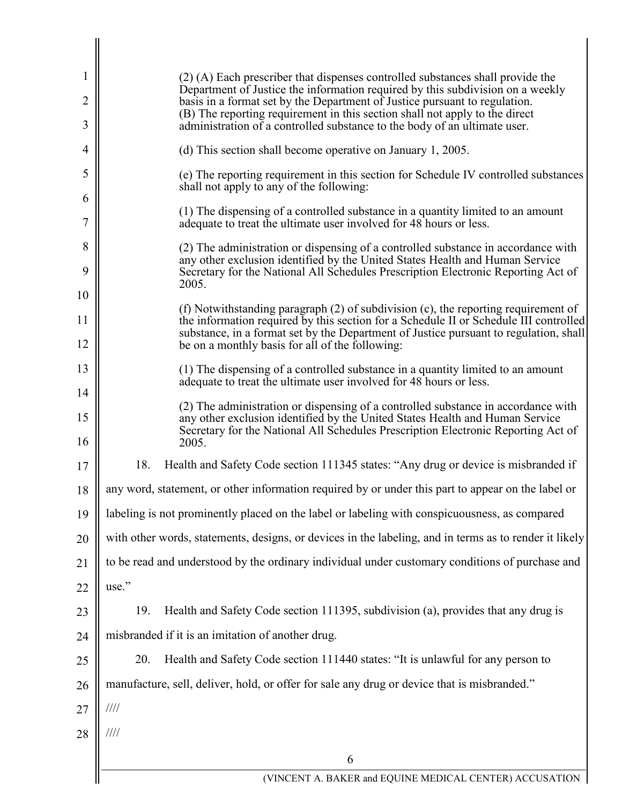| 1                   | (2) (A) Each prescriber that dispenses controlled substances shall provide the<br>Department of Justice the information required by this subdivision on a weekly                                                                       |
|---------------------|----------------------------------------------------------------------------------------------------------------------------------------------------------------------------------------------------------------------------------------|
| $\overline{2}$<br>3 | basis in a format set by the Department of Justice pursuant to regulation.<br>(B) The reporting requirement in this section shall not apply to the direct<br>administration of a controlled substance to the body of an ultimate user. |
| 4                   | (d) This section shall become operative on January 1, 2005.                                                                                                                                                                            |
| 5                   | (e) The reporting requirement in this section for Schedule IV controlled substances                                                                                                                                                    |
| 6                   | shall not apply to any of the following:                                                                                                                                                                                               |
| 7                   | (1) The dispensing of a controlled substance in a quantity limited to an amount<br>adequate to treat the ultimate user involved for 48 hours or less.                                                                                  |
| 8                   | (2) The administration or dispensing of a controlled substance in accordance with<br>any other exclusion identified by the United States Health and Human Service                                                                      |
| 9                   | Secretary for the National All Schedules Prescription Electronic Reporting Act of<br>2005.                                                                                                                                             |
| 10                  |                                                                                                                                                                                                                                        |
| 11                  | (f) Notwithstanding paragraph (2) of subdivision (c), the reporting requirement of<br>the information required by this section for a Schedule II or Schedule III controlled                                                            |
| 12                  | substance, in a format set by the Department of Justice pursuant to regulation, shall<br>be on a monthly basis for all of the following:                                                                                               |
| 13                  | (1) The dispensing of a controlled substance in a quantity limited to an amount<br>adequate to treat the ultimate user involved for 48 hours or less.                                                                                  |
| 14                  | (2) The administration or dispensing of a controlled substance in accordance with                                                                                                                                                      |
| 15<br>16            | any other exclusion identified by the United States Health and Human Service<br>Secretary for the National All Schedules Prescription Electronic Reporting Act of<br>2005.                                                             |
| 17                  | 18.<br>Health and Safety Code section 111345 states: "Any drug or device is misbranded if                                                                                                                                              |
| 18                  | any word, statement, or other information required by or under this part to appear on the label or                                                                                                                                     |
| 19                  | labeling is not prominently placed on the label or labeling with conspicuousness, as compared                                                                                                                                          |
| 20                  | with other words, statements, designs, or devices in the labeling, and in terms as to render it likely                                                                                                                                 |
| 21                  | to be read and understood by the ordinary individual under customary conditions of purchase and                                                                                                                                        |
| 22                  | use."                                                                                                                                                                                                                                  |
| 23                  | Health and Safety Code section 111395, subdivision (a), provides that any drug is<br>19.                                                                                                                                               |
| 24                  | misbranded if it is an imitation of another drug.                                                                                                                                                                                      |
| 25                  | 20.<br>Health and Safety Code section 111440 states: "It is unlawful for any person to                                                                                                                                                 |
| 26                  | manufacture, sell, deliver, hold, or offer for sale any drug or device that is misbranded."                                                                                                                                            |
| 27                  | $\frac{1}{1}$                                                                                                                                                                                                                          |
| 28                  | $\frac{1}{1}$                                                                                                                                                                                                                          |
|                     | 6                                                                                                                                                                                                                                      |
|                     | (VINCENT A. BAKER and EQUINE MEDICAL CENTER) ACCUSATION                                                                                                                                                                                |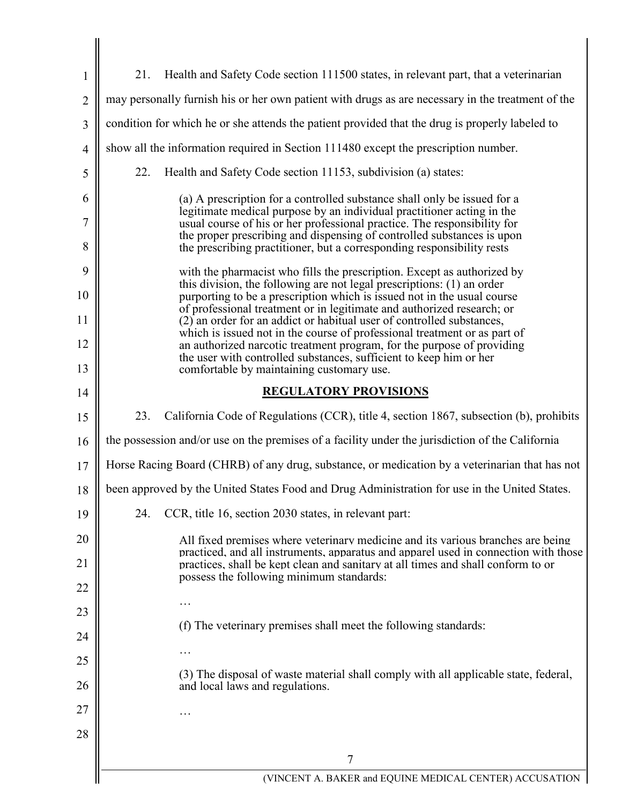| $\mathbf{1}$                                       | Health and Safety Code section 111500 states, in relevant part, that a veterinarian<br>21.                                                                              |
|----------------------------------------------------|-------------------------------------------------------------------------------------------------------------------------------------------------------------------------|
| $\overline{2}$                                     | may personally furnish his or her own patient with drugs as are necessary in the treatment of the                                                                       |
| 3                                                  | condition for which he or she attends the patient provided that the drug is properly labeled to                                                                         |
| $\overline{4}$                                     | show all the information required in Section 111480 except the prescription number.                                                                                     |
| 5                                                  | Health and Safety Code section 11153, subdivision (a) states:<br>22.                                                                                                    |
| 6                                                  | (a) A prescription for a controlled substance shall only be issued for a                                                                                                |
| 7                                                  | legitimate medical purpose by an individual practitioner acting in the<br>usual course of his or her professional practice. The responsibility for                      |
| 8                                                  | the proper prescribing and dispensing of controlled substances is upon<br>the prescribing practitioner, but a corresponding responsibility rests                        |
| 9                                                  | with the pharmacist who fills the prescription. Except as authorized by<br>this division, the following are not legal prescriptions: (1) an order                       |
| 10                                                 | purporting to be a prescription which is issued not in the usual course<br>of professional treatment or in legitimate and authorized research; or                       |
| 11                                                 | (2) an order for an addict or habitual user of controlled substances,<br>which is issued not in the course of professional treatment or as part of                      |
| 12                                                 | an authorized narcotic treatment program, for the purpose of providing<br>the user with controlled substances, sufficient to keep him or her                            |
| 13                                                 | comfortable by maintaining customary use.                                                                                                                               |
| 14                                                 | <b>REGULATORY PROVISIONS</b>                                                                                                                                            |
| 15                                                 | 23.<br>California Code of Regulations (CCR), title 4, section 1867, subsection (b), prohibits                                                                           |
| 16                                                 | the possession and/or use on the premises of a facility under the jurisdiction of the California                                                                        |
| 17                                                 | Horse Racing Board (CHRB) of any drug, substance, or medication by a veterinarian that has not                                                                          |
| 18                                                 | been approved by the United States Food and Drug Administration for use in the United States.                                                                           |
|                                                    |                                                                                                                                                                         |
| 19                                                 | CCR, title 16, section 2030 states, in relevant part:<br>24.                                                                                                            |
|                                                    | All fixed premises where veterinary medicine and its various branches are being                                                                                         |
|                                                    | practiced, and all instruments, apparatus and apparel used in connection with those<br>practices, shall be kept clean and sanitary at all times and shall conform to or |
|                                                    | possess the following minimum standards:                                                                                                                                |
|                                                    |                                                                                                                                                                         |
|                                                    | (f) The veterinary premises shall meet the following standards:                                                                                                         |
|                                                    |                                                                                                                                                                         |
|                                                    | (3) The disposal of waste material shall comply with all applicable state, federal,<br>and local laws and regulations.                                                  |
|                                                    |                                                                                                                                                                         |
| 20<br>21<br>22<br>23<br>24<br>25<br>26<br>27<br>28 |                                                                                                                                                                         |
|                                                    | 7                                                                                                                                                                       |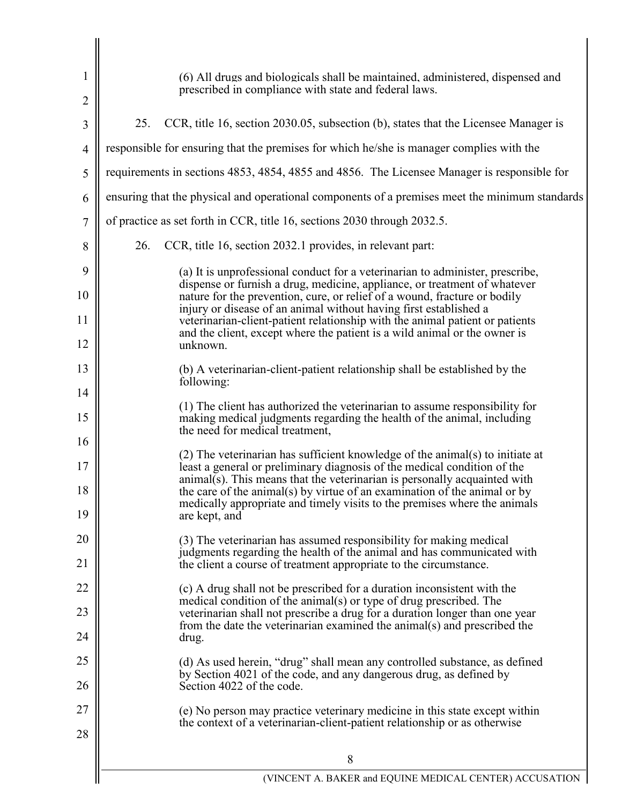| 1<br>$\overline{2}$ | (6) All drugs and biologicals shall be maintained, administered, dispensed and<br>prescribed in compliance with state and federal laws.                                                                                               |
|---------------------|---------------------------------------------------------------------------------------------------------------------------------------------------------------------------------------------------------------------------------------|
| 3                   | 25.<br>CCR, title 16, section 2030.05, subsection (b), states that the Licensee Manager is                                                                                                                                            |
| $\overline{4}$      | responsible for ensuring that the premises for which he/she is manager complies with the                                                                                                                                              |
| 5                   | requirements in sections 4853, 4854, 4855 and 4856. The Licensee Manager is responsible for                                                                                                                                           |
| 6                   | ensuring that the physical and operational components of a premises meet the minimum standards                                                                                                                                        |
| 7                   | of practice as set forth in CCR, title 16, sections 2030 through 2032.5.                                                                                                                                                              |
| 8                   | 26.<br>CCR, title 16, section 2032.1 provides, in relevant part:                                                                                                                                                                      |
| 9                   | (a) It is unprofessional conduct for a veterinarian to administer, prescribe,                                                                                                                                                         |
| 10                  | dispense or furnish a drug, medicine, appliance, or treatment of whatever<br>nature for the prevention, cure, or relief of a wound, fracture or bodily                                                                                |
| 11                  | injury or disease of an animal without having first established a<br>veterinarian-client-patient relationship with the animal patient or patients                                                                                     |
| 12                  | and the client, except where the patient is a wild animal or the owner is<br>unknown.                                                                                                                                                 |
| 13                  | (b) A veterinarian-client-patient relationship shall be established by the<br>following:                                                                                                                                              |
| 14                  | (1) The client has authorized the veterinarian to assume responsibility for                                                                                                                                                           |
| 15<br>16            | making medical judgments regarding the health of the animal, including<br>the need for medical treatment,                                                                                                                             |
|                     | (2) The veterinarian has sufficient knowledge of the animal(s) to initiate at                                                                                                                                                         |
| 17<br>18            | least a general or preliminary diagnosis of the medical condition of the<br>$animal(s)$ . This means that the veterinarian is personally acquainted with<br>the care of the animal(s) by virtue of an examination of the animal or by |
| 19                  | medically appropriate and timely visits to the premises where the animals<br>are kept, and                                                                                                                                            |
| 20                  | (3) The veterinarian has assumed responsibility for making medical                                                                                                                                                                    |
| 21                  | judgments regarding the health of the animal and has communicated with<br>the client a course of treatment appropriate to the circumstance.                                                                                           |
| 22                  | (c) A drug shall not be prescribed for a duration inconsistent with the<br>medical condition of the animal(s) or type of drug prescribed. The                                                                                         |
| 23                  | veterinarian shall not prescribe a drug for a duration longer than one year<br>from the date the veterinarian examined the animal(s) and prescribed the                                                                               |
| 24                  | drug.                                                                                                                                                                                                                                 |
| 25<br>26            | (d) As used herein, "drug" shall mean any controlled substance, as defined<br>by Section 4021 of the code, and any dangerous drug, as defined by<br>Section 4022 of the code.                                                         |
| 27                  | (e) No person may practice veterinary medicine in this state except within                                                                                                                                                            |
| 28                  | the context of a veterinarian-client-patient relationship or as otherwise                                                                                                                                                             |
|                     | 8                                                                                                                                                                                                                                     |
|                     | (VINCENT A. BAKER and EQUINE MEDICAL CENTER) ACCUSATION                                                                                                                                                                               |

 $\overline{\phantom{a}}$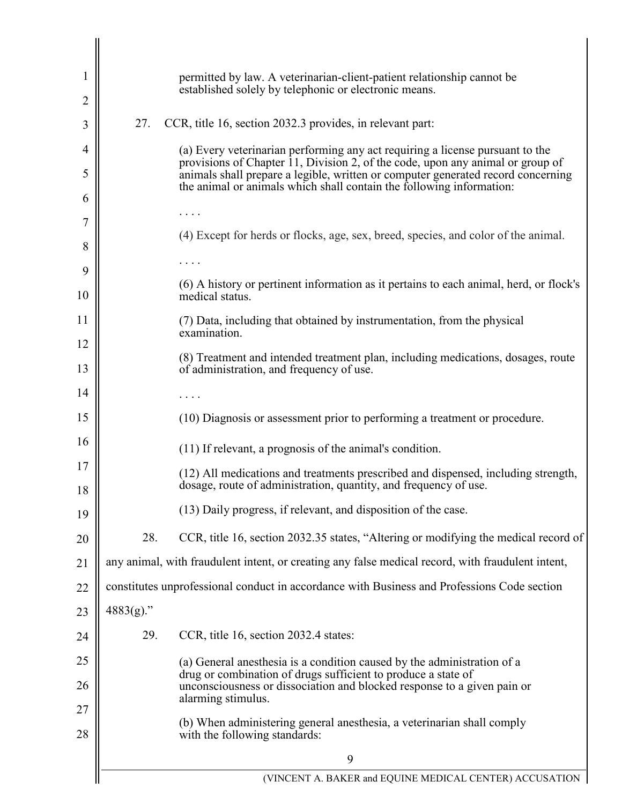| 1        |              | permitted by law. A veterinarian-client-patient relationship cannot be<br>established solely by telephonic or electronic means.                                                                                                            |
|----------|--------------|--------------------------------------------------------------------------------------------------------------------------------------------------------------------------------------------------------------------------------------------|
| 2        |              |                                                                                                                                                                                                                                            |
| 3        | 27.          | CCR, title 16, section 2032.3 provides, in relevant part:                                                                                                                                                                                  |
| 4        |              | (a) Every veterinarian performing any act requiring a license pursuant to the                                                                                                                                                              |
| 5        |              | provisions of Chapter 11, Division 2, of the code, upon any animal or group of<br>animals shall prepare a legible, written or computer generated record concerning<br>the animal or animals which shall contain the following information: |
| 6        |              |                                                                                                                                                                                                                                            |
| 7        |              |                                                                                                                                                                                                                                            |
| 8        |              | (4) Except for herds or flocks, age, sex, breed, species, and color of the animal.                                                                                                                                                         |
| 9        |              |                                                                                                                                                                                                                                            |
| 10       |              | (6) A history or pertinent information as it pertains to each animal, herd, or flock's<br>medical status.                                                                                                                                  |
| 11       |              | (7) Data, including that obtained by instrumentation, from the physical                                                                                                                                                                    |
| 12       |              | examination.                                                                                                                                                                                                                               |
| 13       |              | (8) Treatment and intended treatment plan, including medications, dosages, route<br>of administration, and frequency of use.                                                                                                               |
| 14       |              |                                                                                                                                                                                                                                            |
| 15       |              | (10) Diagnosis or assessment prior to performing a treatment or procedure.                                                                                                                                                                 |
| 16       |              | (11) If relevant, a prognosis of the animal's condition.                                                                                                                                                                                   |
| 17<br>18 |              | (12) All medications and treatments prescribed and dispensed, including strength,<br>dosage, route of administration, quantity, and frequency of use.                                                                                      |
| 19       |              | (13) Daily progress, if relevant, and disposition of the case.                                                                                                                                                                             |
| 20       | 28.          | CCR, title 16, section 2032.35 states, "Altering or modifying the medical record of                                                                                                                                                        |
| 21       |              | any animal, with fraudulent intent, or creating any false medical record, with fraudulent intent,                                                                                                                                          |
| 22       |              | constitutes unprofessional conduct in accordance with Business and Professions Code section                                                                                                                                                |
| 23       | $4883(g)$ ." |                                                                                                                                                                                                                                            |
| 24       | 29.          | CCR, title 16, section 2032.4 states:                                                                                                                                                                                                      |
| 25       |              | (a) General anesthesia is a condition caused by the administration of a                                                                                                                                                                    |
| 26       |              | drug or combination of drugs sufficient to produce a state of<br>unconsciousness or dissociation and blocked response to a given pain or<br>alarming stimulus.                                                                             |
| 27<br>28 |              | (b) When administering general anesthesia, a veterinarian shall comply<br>with the following standards:                                                                                                                                    |
|          |              | 9                                                                                                                                                                                                                                          |
|          |              | (VINCENT A. BAKER and EQUINE MEDICAL CENTER) ACCUSATION                                                                                                                                                                                    |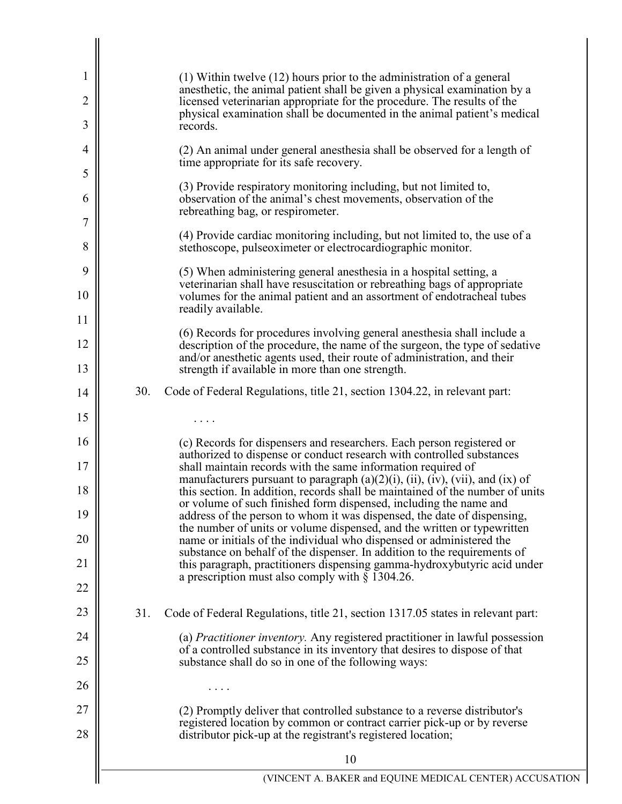| 1        |     | $(1)$ Within twelve $(12)$ hours prior to the administration of a general<br>anesthetic, the animal patient shall be given a physical examination by a                                                                                       |
|----------|-----|----------------------------------------------------------------------------------------------------------------------------------------------------------------------------------------------------------------------------------------------|
| 2<br>3   |     | licensed veterinarian appropriate for the procedure. The results of the<br>physical examination shall be documented in the animal patient's medical<br>records.                                                                              |
| 4        |     | (2) An animal under general anesthesia shall be observed for a length of<br>time appropriate for its safe recovery.                                                                                                                          |
| 5<br>6   |     | (3) Provide respiratory monitoring including, but not limited to,<br>observation of the animal's chest movements, observation of the                                                                                                         |
| 7        |     | rebreathing bag, or respirometer.                                                                                                                                                                                                            |
| 8        |     | (4) Provide cardiac monitoring including, but not limited to, the use of a<br>stethoscope, pulseoximeter or electrocardiographic monitor.                                                                                                    |
| 9        |     | (5) When administering general anesthesia in a hospital setting, a<br>veterinarian shall have resuscitation or rebreathing bags of appropriate                                                                                               |
| 10<br>11 |     | volumes for the animal patient and an assortment of endotracheal tubes<br>readily available.                                                                                                                                                 |
| 12       |     | (6) Records for procedures involving general anesthesia shall include a<br>description of the procedure, the name of the surgeon, the type of sedative                                                                                       |
| 13       |     | and/or anesthetic agents used, their route of administration, and their<br>strength if available in more than one strength.                                                                                                                  |
| 14       | 30. | Code of Federal Regulations, title 21, section 1304.22, in relevant part:                                                                                                                                                                    |
| 15       |     |                                                                                                                                                                                                                                              |
| 16       |     | (c) Records for dispensers and researchers. Each person registered or<br>authorized to dispense or conduct research with controlled substances                                                                                               |
| 17<br>18 |     | shall maintain records with the same information required of<br>manufacturers pursuant to paragraph $(a)(2)(i)$ , $(ii)$ , $(iv)$ , $(vii)$ , and $(ix)$ of<br>this section. In addition, records shall be maintained of the number of units |
| 19       |     | or volume of such finished form dispensed, including the name and<br>address of the person to whom it was dispensed, the date of dispensing,                                                                                                 |
| 20       |     | the number of units or volume dispensed, and the written or typewritten<br>name or initials of the individual who dispensed or administered the                                                                                              |
| 21       |     | substance on behalf of the dispenser. In addition to the requirements of<br>this paragraph, practitioners dispensing gamma-hydroxybutyric acid under<br>a prescription must also comply with $\S$ 1304.26.                                   |
| 22       |     |                                                                                                                                                                                                                                              |
| 23       | 31. | Code of Federal Regulations, title 21, section 1317.05 states in relevant part:                                                                                                                                                              |
| 24       |     | (a) <i>Practitioner inventory</i> . Any registered practitioner in lawful possession<br>of a controlled substance in its inventory that desires to dispose of that                                                                           |
| 25       |     | substance shall do so in one of the following ways:                                                                                                                                                                                          |
| 26       |     | .                                                                                                                                                                                                                                            |
| 27<br>28 |     | (2) Promptly deliver that controlled substance to a reverse distributor's<br>registered location by common or contract carrier pick-up or by reverse<br>distributor pick-up at the registrant's registered location;                         |
|          |     | 10                                                                                                                                                                                                                                           |
|          |     | (VINCENT A. BAKER and EQUINE MEDICAL CENTER) ACCUSATION                                                                                                                                                                                      |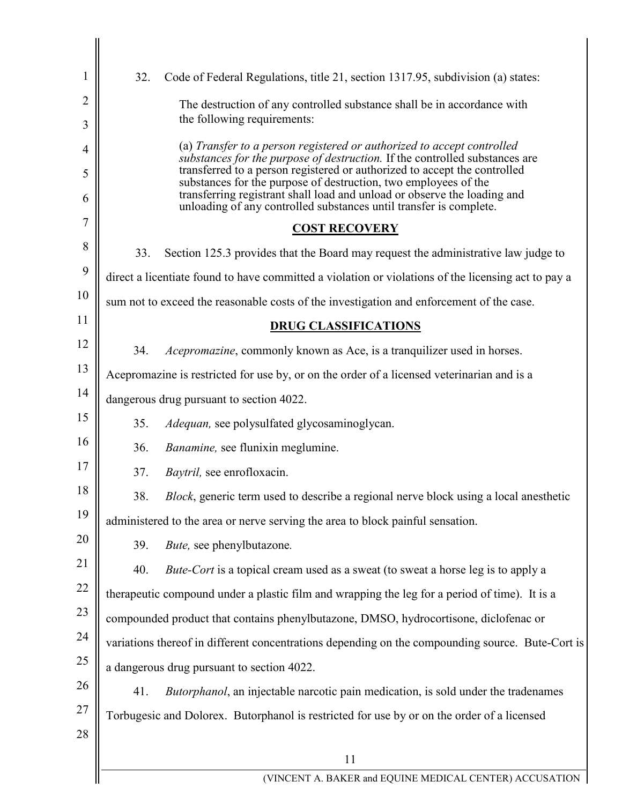| 1              | 32. | Code of Federal Regulations, title 21, section 1317.95, subdivision (a) states:                                                                                                                                                                                                                |
|----------------|-----|------------------------------------------------------------------------------------------------------------------------------------------------------------------------------------------------------------------------------------------------------------------------------------------------|
| $\overline{2}$ |     | The destruction of any controlled substance shall be in accordance with                                                                                                                                                                                                                        |
| 3              |     | the following requirements:                                                                                                                                                                                                                                                                    |
| $\overline{4}$ |     | (a) Transfer to a person registered or authorized to accept controlled<br>substances for the purpose of destruction. If the controlled substances are                                                                                                                                          |
| 5<br>6         |     | transferred to a person registered or authorized to accept the controlled<br>substances for the purpose of destruction, two employees of the<br>transferring registrant shall load and unload or observe the loading and<br>unloading of any controlled substances until transfer is complete. |
| 7              |     | <b>COST RECOVERY</b>                                                                                                                                                                                                                                                                           |
| 8              | 33. | Section 125.3 provides that the Board may request the administrative law judge to                                                                                                                                                                                                              |
| 9              |     | direct a licentiate found to have committed a violation or violations of the licensing act to pay a                                                                                                                                                                                            |
| 10             |     | sum not to exceed the reasonable costs of the investigation and enforcement of the case.                                                                                                                                                                                                       |
| 11             |     |                                                                                                                                                                                                                                                                                                |
| 12             |     | <b>DRUG CLASSIFICATIONS</b>                                                                                                                                                                                                                                                                    |
| 13             | 34. | <i>Acepromazine</i> , commonly known as Ace, is a tranquilizer used in horses.                                                                                                                                                                                                                 |
| 14             |     | Acepromazine is restricted for use by, or on the order of a licensed veterinarian and is a                                                                                                                                                                                                     |
| 15             |     | dangerous drug pursuant to section 4022.                                                                                                                                                                                                                                                       |
|                | 35. | Adequan, see polysulfated glycosaminoglycan.                                                                                                                                                                                                                                                   |
| 16             | 36. | Banamine, see flunixin meglumine.                                                                                                                                                                                                                                                              |
| 17             | 37. | Baytril, see enrofloxacin.                                                                                                                                                                                                                                                                     |
| 18             | 38. | Block, generic term used to describe a regional nerve block using a local anesthetic                                                                                                                                                                                                           |
| 19             |     | administered to the area or nerve serving the area to block painful sensation.                                                                                                                                                                                                                 |
| 20             | 39. | Bute, see phenylbutazone.                                                                                                                                                                                                                                                                      |
| 21             | 40. | Bute-Cort is a topical cream used as a sweat (to sweat a horse leg is to apply a                                                                                                                                                                                                               |
| 22             |     | therapeutic compound under a plastic film and wrapping the leg for a period of time). It is a                                                                                                                                                                                                  |
| 23             |     | compounded product that contains phenylbutazone, DMSO, hydrocortisone, diclofenac or                                                                                                                                                                                                           |
| 24             |     | variations thereof in different concentrations depending on the compounding source. Bute-Cort is                                                                                                                                                                                               |
| 25             |     | a dangerous drug pursuant to section 4022.                                                                                                                                                                                                                                                     |
| 26             | 41. | <i>Butorphanol</i> , an injectable narcotic pain medication, is sold under the tradenames                                                                                                                                                                                                      |
| 27             |     | Torbugesic and Dolorex. Butorphanol is restricted for use by or on the order of a licensed                                                                                                                                                                                                     |
| 28             |     |                                                                                                                                                                                                                                                                                                |
|                |     | 11                                                                                                                                                                                                                                                                                             |
|                |     | (VINCENT A. BAKER and EQUINE MEDICAL CENTER) ACCUSATION                                                                                                                                                                                                                                        |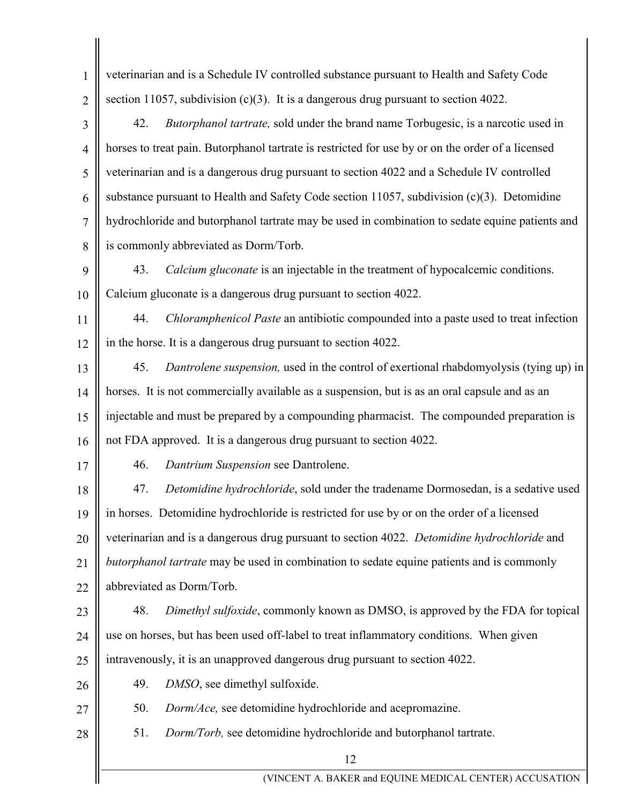| $\mathbf{1}$   | veterinarian and is a Schedule IV controlled substance pursuant to Health and Safety Code         |
|----------------|---------------------------------------------------------------------------------------------------|
| $\overline{2}$ | section 11057, subdivision $(c)(3)$ . It is a dangerous drug pursuant to section 4022.            |
| 3              | Butorphanol tartrate, sold under the brand name Torbugesic, is a narcotic used in<br>42.          |
| $\overline{4}$ | horses to treat pain. Butorphanol tartrate is restricted for use by or on the order of a licensed |
| 5              | veterinarian and is a dangerous drug pursuant to section 4022 and a Schedule IV controlled        |
| 6              | substance pursuant to Health and Safety Code section 11057, subdivision $(c)(3)$ . Detomidine     |
| $\overline{7}$ | hydrochloride and butorphanol tartrate may be used in combination to sedate equine patients and   |
| 8              | is commonly abbreviated as Dorm/Torb.                                                             |
| 9              | Calcium gluconate is an injectable in the treatment of hypocalcemic conditions.<br>43.            |
| 10             | Calcium gluconate is a dangerous drug pursuant to section 4022.                                   |
| 11             | Chloramphenicol Paste an antibiotic compounded into a paste used to treat infection<br>44.        |
| 12             | in the horse. It is a dangerous drug pursuant to section 4022.                                    |
| 13             | Dantrolene suspension, used in the control of exertional rhabdomyolysis (tying up) in<br>45.      |
| 14             | horses. It is not commercially available as a suspension, but is as an oral capsule and as an     |
| 15             | injectable and must be prepared by a compounding pharmacist. The compounded preparation is        |
| 16             | not FDA approved. It is a dangerous drug pursuant to section 4022.                                |
| 17             | Dantrium Suspension see Dantrolene.<br>46.                                                        |
| 18             | Detomidine hydrochloride, sold under the tradename Dormosedan, is a sedative used<br>47.          |
| 19             | in horses. Detomidine hydrochloride is restricted for use by or on the order of a licensed        |
| 20             | veterinarian and is a dangerous drug pursuant to section 4022. Detomidine hydrochloride and       |
| 21             | butorphanol tartrate may be used in combination to sedate equine patients and is commonly         |
| 22             | abbreviated as Dorm/Torb.                                                                         |
| 23             | 48.<br>Dimethyl sulfoxide, commonly known as DMSO, is approved by the FDA for topical             |
| 24             | use on horses, but has been used off-label to treat inflammatory conditions. When given           |
| 25             | intravenously, it is an unapproved dangerous drug pursuant to section 4022.                       |
| 26             | 49.<br>DMSO, see dimethyl sulfoxide.                                                              |
| 27             | 50.<br>Dorm/Ace, see detomidine hydrochloride and acepromazine.                                   |
| 28             | 51.<br>Dorm/Torb, see detomidine hydrochloride and butorphanol tartrate.                          |
|                | 12                                                                                                |
|                | (VINCENT A. BAKER and EQUINE MEDICAL CENTER) ACCUSATION                                           |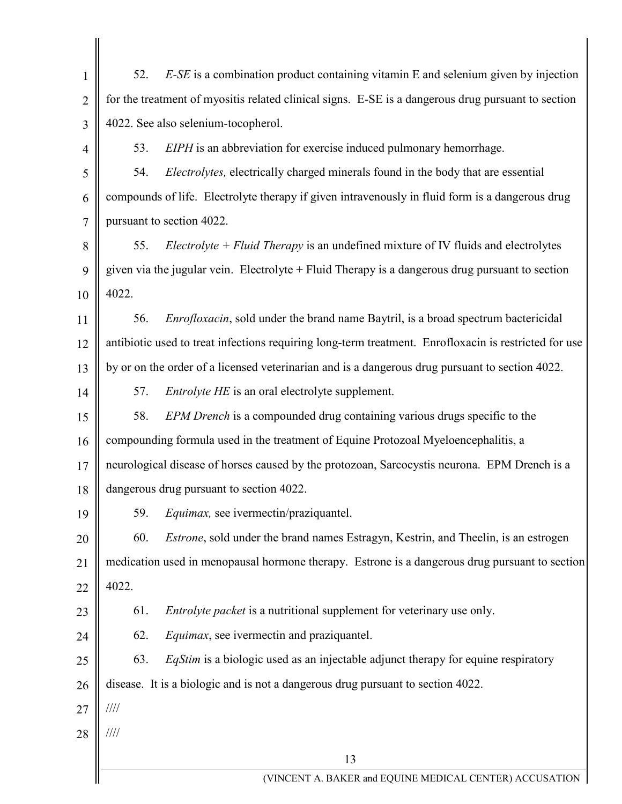| $\mathbf{1}$   | 52.   | $E$ -SE is a combination product containing vitamin E and selenium given by injection                 |
|----------------|-------|-------------------------------------------------------------------------------------------------------|
| $\overline{2}$ |       | for the treatment of myositis related clinical signs. E-SE is a dangerous drug pursuant to section    |
| 3              |       | 4022. See also selenium-tocopherol.                                                                   |
| 4              | 53.   | EIPH is an abbreviation for exercise induced pulmonary hemorrhage.                                    |
| 5              | 54.   | Electrolytes, electrically charged minerals found in the body that are essential                      |
| 6              |       | compounds of life. Electrolyte therapy if given intravenously in fluid form is a dangerous drug       |
| $\overline{7}$ |       | pursuant to section 4022.                                                                             |
| 8              | 55.   | <i>Electrolyte + Fluid Therapy</i> is an undefined mixture of IV fluids and electrolytes              |
| 9              |       | given via the jugular vein. Electrolyte $+$ Fluid Therapy is a dangerous drug pursuant to section     |
| 10             | 4022. |                                                                                                       |
| 11             | 56.   | <i>Enrofloxacin</i> , sold under the brand name Baytril, is a broad spectrum bactericidal             |
| 12             |       | antibiotic used to treat infections requiring long-term treatment. Enrofloxacin is restricted for use |
| 13             |       | by or on the order of a licensed veterinarian and is a dangerous drug pursuant to section 4022.       |
| 14             | 57.   | Entrolyte HE is an oral electrolyte supplement.                                                       |
| 15             | 58.   | EPM Drench is a compounded drug containing various drugs specific to the                              |
| 16             |       | compounding formula used in the treatment of Equine Protozoal Myeloencephalitis, a                    |
| 17             |       | neurological disease of horses caused by the protozoan, Sarcocystis neurona. EPM Drench is a          |
| 18             |       | dangerous drug pursuant to section 4022.                                                              |
| 19             | 59.   | <i>Equimax</i> , see ivermectin/praziquantel.                                                         |
| 20             | 60.   | <i>Estrone</i> , sold under the brand names Estragyn, Kestrin, and Theelin, is an estrogen            |
| 21             |       | medication used in menopausal hormone therapy. Estrone is a dangerous drug pursuant to section        |
| 22             | 4022. |                                                                                                       |
| 23             | 61.   | <i>Entrolyte packet</i> is a nutritional supplement for veterinary use only.                          |
| 24             | 62.   | Equimax, see ivermectin and praziquantel.                                                             |
| 25             | 63.   | <i>EqStim</i> is a biologic used as an injectable adjunct therapy for equine respiratory              |
| 26             |       | disease. It is a biologic and is not a dangerous drug pursuant to section 4022.                       |
| 27             | 1111  |                                                                                                       |
| 28             | ////  |                                                                                                       |
|                |       | 13                                                                                                    |
|                |       | (VINCENT A. BAKER and EQUINE MEDICAL CENTER) ACCUSATION                                               |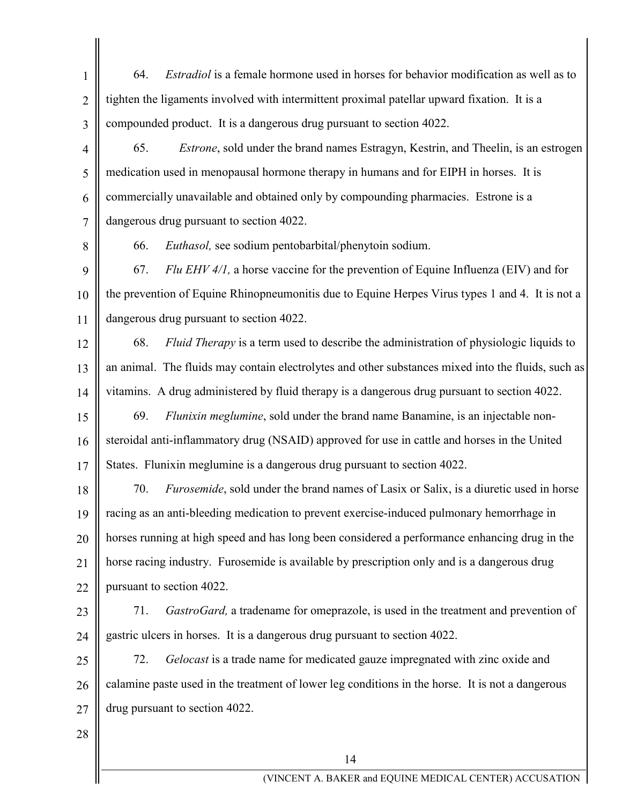1 2 3 64. *Estradiol* is a female hormone used in horses for behavior modification as well as to tighten the ligaments involved with intermittent proximal patellar upward fixation. It is a compounded product. It is a dangerous drug pursuant to section 4022.

4 5 6 7 65. *Estrone*, sold under the brand names Estragyn, Kestrin, and Theelin, is an estrogen medication used in menopausal hormone therapy in humans and for EIPH in horses. It is commercially unavailable and obtained only by compounding pharmacies. Estrone is a dangerous drug pursuant to section 4022.

8

66. *Euthasol,* see sodium pentobarbital/phenytoin sodium.

9 10 11 67. *Flu EHV 4/1,* a horse vaccine for the prevention of Equine Influenza (EIV) and for the prevention of Equine Rhinopneumonitis due to Equine Herpes Virus types 1 and 4. It is not a dangerous drug pursuant to section 4022.

12

13

14

68. *Fluid Therapy* is a term used to describe the administration of physiologic liquids to an animal. The fluids may contain electrolytes and other substances mixed into the fluids, such as vitamins. A drug administered by fluid therapy is a dangerous drug pursuant to section 4022.

15 16 17 69. *Flunixin meglumine*, sold under the brand name Banamine, is an injectable nonsteroidal anti-inflammatory drug (NSAID) approved for use in cattle and horses in the United States. Flunixin meglumine is a dangerous drug pursuant to section 4022.

18 19 20 21 22 70. *Furosemide*, sold under the brand names of Lasix or Salix, is a diuretic used in horse racing as an anti-bleeding medication to prevent exercise-induced pulmonary hemorrhage in horses running at high speed and has long been considered a performance enhancing drug in the horse racing industry. Furosemide is available by prescription only and is a dangerous drug pursuant to section 4022.

23

24

71. *GastroGard,* a tradename for omeprazole, is used in the treatment and prevention of gastric ulcers in horses. It is a dangerous drug pursuant to section 4022.

25 26 27 72. *Gelocast* is a trade name for medicated gauze impregnated with zinc oxide and calamine paste used in the treatment of lower leg conditions in the horse. It is not a dangerous drug pursuant to section 4022.

28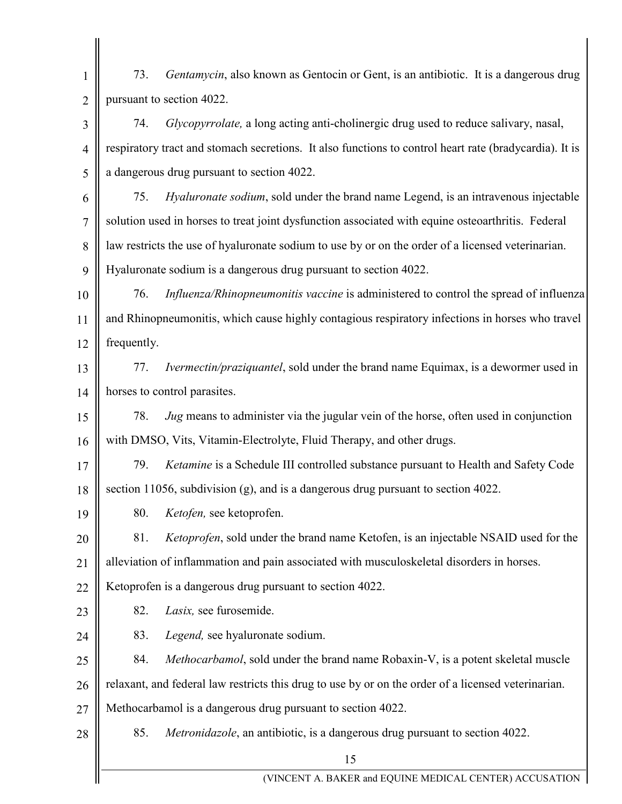15 (VINCENT A. BAKER and EQUINE MEDICAL CENTER) ACCUSATION 1 2 3 4 5 6 7 8  $\overline{Q}$ 10 11 12 13 14 15 16 17 18 19 20 21 22 23 24 25 26 27 28 73. *Gentamycin*, also known as Gentocin or Gent, is an antibiotic. It is a dangerous drug pursuant to section 4022. 74. *Glycopyrrolate,* a long acting anti-cholinergic drug used to reduce salivary, nasal, respiratory tract and stomach secretions. It also functions to control heart rate (bradycardia). It is a dangerous drug pursuant to section 4022. 75. *Hyaluronate sodium*, sold under the brand name Legend, is an intravenous injectable solution used in horses to treat joint dysfunction associated with equine osteoarthritis. Federal law restricts the use of hyaluronate sodium to use by or on the order of a licensed veterinarian. Hyaluronate sodium is a dangerous drug pursuant to section 4022. 76. *Influenza/Rhinopneumonitis vaccine* is administered to control the spread of influenza and Rhinopneumonitis, which cause highly contagious respiratory infections in horses who travel frequently. 77. *Ivermectin/praziquantel*, sold under the brand name Equimax, is a dewormer used in horses to control parasites. 78. *Jug* means to administer via the jugular vein of the horse, often used in conjunction with DMSO, Vits, Vitamin-Electrolyte, Fluid Therapy, and other drugs. 79. *Ketamine* is a Schedule III controlled substance pursuant to Health and Safety Code section 11056, subdivision (g), and is a dangerous drug pursuant to section 4022. 80. *Ketofen,* see ketoprofen. 81. *Ketoprofen*, sold under the brand name Ketofen, is an injectable NSAID used for the alleviation of inflammation and pain associated with musculoskeletal disorders in horses. Ketoprofen is a dangerous drug pursuant to section 4022. 82. *Lasix,* see furosemide. 83. *Legend,* see hyaluronate sodium. 84. *Methocarbamol*, sold under the brand name Robaxin-V, is a potent skeletal muscle relaxant, and federal law restricts this drug to use by or on the order of a licensed veterinarian. Methocarbamol is a dangerous drug pursuant to section 4022. 85. *Metronidazole*, an antibiotic, is a dangerous drug pursuant to section 4022.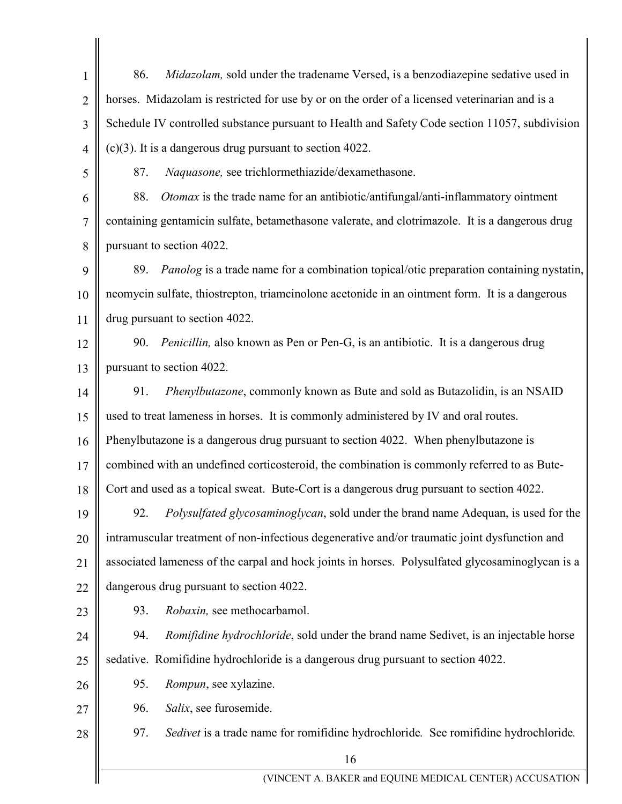16 (VINCENT A. BAKER and EQUINE MEDICAL CENTER) ACCUSATION 1 2 3 4 5 6 7 8 9 10 11 12 13 14 15 16 17 18 19 20 21 22 23 24 25 26 27 28 86. *Midazolam,* sold under the tradename Versed, is a benzodiazepine sedative used in horses. Midazolam is restricted for use by or on the order of a licensed veterinarian and is a Schedule IV controlled substance pursuant to Health and Safety Code section 11057, subdivision (c)(3). It is a dangerous drug pursuant to section 4022. 87. *Naquasone,* see trichlormethiazide/dexamethasone. 88. *Otomax* is the trade name for an antibiotic/antifungal/anti-inflammatory ointment containing gentamicin sulfate, betamethasone valerate, and clotrimazole. It is a dangerous drug pursuant to section 4022. 89. *Panolog* is a trade name for a combination topical/otic preparation containing nystatin, neomycin sulfate, thiostrepton, triamcinolone acetonide in an ointment form. It is a dangerous drug pursuant to section 4022. 90. *Penicillin,* also known as Pen or Pen-G, is an antibiotic. It is a dangerous drug pursuant to section 4022. 91. *Phenylbutazone*, commonly known as Bute and sold as Butazolidin, is an NSAID used to treat lameness in horses. It is commonly administered by IV and oral routes. Phenylbutazone is a dangerous drug pursuant to section 4022. When phenylbutazone is combined with an undefined corticosteroid, the combination is commonly referred to as Bute-Cort and used as a topical sweat. Bute-Cort is a dangerous drug pursuant to section 4022. 92. *Polysulfated glycosaminoglycan*, sold under the brand name Adequan, is used for the intramuscular treatment of non-infectious degenerative and/or traumatic joint dysfunction and associated lameness of the carpal and hock joints in horses. Polysulfated glycosaminoglycan is a dangerous drug pursuant to section 4022. 93. *Robaxin,* see methocarbamol. 94. *Romifidine hydrochloride*, sold under the brand name Sedivet, is an injectable horse sedative. Romifidine hydrochloride is a dangerous drug pursuant to section 4022. 95. *Rompun*, see xylazine. 96. *Salix*, see furosemide. 97. *Sedivet* is a trade name for romifidine hydrochloride*.* See romifidine hydrochloride*.*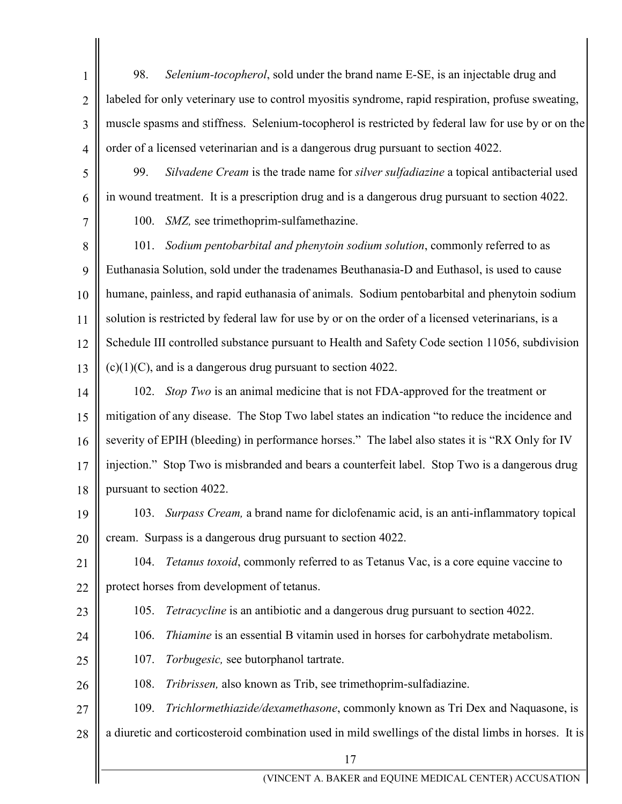98. *Selenium-tocopherol*, sold under the brand name E-SE, is an injectable drug and labeled for only veterinary use to control myositis syndrome, rapid respiration, profuse sweating, muscle spasms and stiffness. Selenium-tocopherol is restricted by federal law for use by or on the order of a licensed veterinarian and is a dangerous drug pursuant to section 4022.

99. *Silvadene Cream* is the trade name for *silver sulfadiazine* a topical antibacterial used in wound treatment. It is a prescription drug and is a dangerous drug pursuant to section 4022.

100. *SMZ,* see trimethoprim-sulfamethazine.

8 9 10 11 12 13 101. *Sodium pentobarbital and phenytoin sodium solution*, commonly referred to as Euthanasia Solution, sold under the tradenames Beuthanasia-D and Euthasol, is used to cause humane, painless, and rapid euthanasia of animals. Sodium pentobarbital and phenytoin sodium solution is restricted by federal law for use by or on the order of a licensed veterinarians, is a Schedule III controlled substance pursuant to Health and Safety Code section 11056, subdivision  $(c)(1)(C)$ , and is a dangerous drug pursuant to section 4022.

14 15 16 17 18 102. *Stop Two* is an animal medicine that is not FDA-approved for the treatment or mitigation of any disease. The Stop Two label states an indication "to reduce the incidence and severity of EPIH (bleeding) in performance horses." The label also states it is "RX Only for IV injection." Stop Two is misbranded and bears a counterfeit label. Stop Two is a dangerous drug pursuant to section 4022.

19

20

1

2

3

4

5

6

7

103. *Surpass Cream,* a brand name for diclofenamic acid, is an anti-inflammatory topical cream. Surpass is a dangerous drug pursuant to section 4022.

21 22 104. *Tetanus toxoid*, commonly referred to as Tetanus Vac, is a core equine vaccine to protect horses from development of tetanus.

23

105. *Tetracycline* is an antibiotic and a dangerous drug pursuant to section 4022.

24

25

106. *Thiamine* is an essential B vitamin used in horses for carbohydrate metabolism.

107. *Torbugesic,* see butorphanol tartrate.

26 108. *Tribrissen,* also known as Trib, see trimethoprim-sulfadiazine.

27 28 109. *Trichlormethiazide/dexamethasone*, commonly known as Tri Dex and Naquasone, is a diuretic and corticosteroid combination used in mild swellings of the distal limbs in horses. It is

17

(VINCENT A. BAKER and EQUINE MEDICAL CENTER) ACCUSATION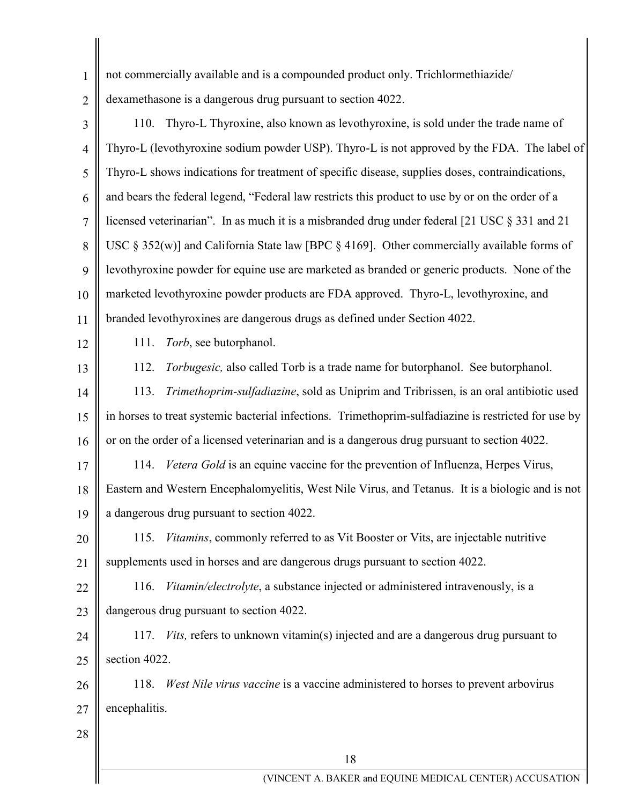not commercially available and is a compounded product only. Trichlormethiazide/

2 dexamethasone is a dangerous drug pursuant to section 4022.

3 4 5 6 7 8 9 10 11 110. Thyro-L Thyroxine, also known as levothyroxine, is sold under the trade name of Thyro-L (levothyroxine sodium powder USP). Thyro-L is not approved by the FDA. The label of Thyro-L shows indications for treatment of specific disease, supplies doses, contraindications, and bears the federal legend, "Federal law restricts this product to use by or on the order of a licensed veterinarian". In as much it is a misbranded drug under federal [21 USC § 331 and 21 USC § 352(w)] and California State law [BPC § 4169]. Other commercially available forms of levothyroxine powder for equine use are marketed as branded or generic products. None of the marketed levothyroxine powder products are FDA approved. Thyro-L, levothyroxine, and branded levothyroxines are dangerous drugs as defined under Section 4022.

12

1

111. *Torb*, see butorphanol.

13 14 15 16 112. *Torbugesic,* also called Torb is a trade name for butorphanol. See butorphanol. 113. *Trimethoprim-sulfadiazine*, sold as Uniprim and Tribrissen, is an oral antibiotic used in horses to treat systemic bacterial infections. Trimethoprim-sulfadiazine is restricted for use by or on the order of a licensed veterinarian and is a dangerous drug pursuant to section 4022.

17 18 19 114. *Vetera Gold* is an equine vaccine for the prevention of Influenza, Herpes Virus, Eastern and Western Encephalomyelitis, West Nile Virus, and Tetanus. It is a biologic and is not a dangerous drug pursuant to section 4022.

20 21 115. *Vitamins*, commonly referred to as Vit Booster or Vits, are injectable nutritive supplements used in horses and are dangerous drugs pursuant to section 4022.

22 23 116. *Vitamin/electrolyte*, a substance injected or administered intravenously, is a dangerous drug pursuant to section 4022.

24 25 117. *Vits,* refers to unknown vitamin(s) injected and are a dangerous drug pursuant to section 4022.

26 27 118. *West Nile virus vaccine* is a vaccine administered to horses to prevent arbovirus encephalitis.

28

(VINCENT A. BAKER and EQUINE MEDICAL CENTER) ACCUSATION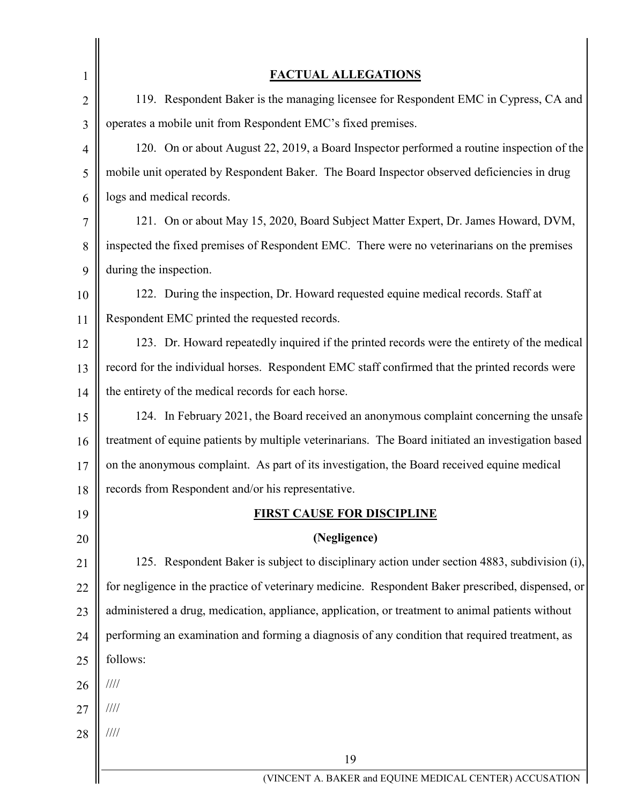| 1              | <b>FACTUAL ALLEGATIONS</b>                                                                         |
|----------------|----------------------------------------------------------------------------------------------------|
| $\overline{2}$ | 119. Respondent Baker is the managing licensee for Respondent EMC in Cypress, CA and               |
| 3              | operates a mobile unit from Respondent EMC's fixed premises.                                       |
| $\overline{4}$ | 120. On or about August 22, 2019, a Board Inspector performed a routine inspection of the          |
| 5              | mobile unit operated by Respondent Baker. The Board Inspector observed deficiencies in drug        |
| 6              | logs and medical records.                                                                          |
| 7              | 121. On or about May 15, 2020, Board Subject Matter Expert, Dr. James Howard, DVM,                 |
| 8              | inspected the fixed premises of Respondent EMC. There were no veterinarians on the premises        |
| 9              | during the inspection.                                                                             |
| 10             | 122. During the inspection, Dr. Howard requested equine medical records. Staff at                  |
| 11             | Respondent EMC printed the requested records.                                                      |
| 12             | 123. Dr. Howard repeatedly inquired if the printed records were the entirety of the medical        |
| 13             | record for the individual horses. Respondent EMC staff confirmed that the printed records were     |
| 14             | the entirety of the medical records for each horse.                                                |
| 15             | 124. In February 2021, the Board received an anonymous complaint concerning the unsafe             |
| 16             | treatment of equine patients by multiple veterinarians. The Board initiated an investigation based |
| 17             | on the anonymous complaint. As part of its investigation, the Board received equine medical        |
| 18             | records from Respondent and/or his representative.                                                 |
| 19             | <b>FIRST CAUSE FOR DISCIPLINE</b>                                                                  |
| 20             | (Negligence)                                                                                       |
| 21             | 125. Respondent Baker is subject to disciplinary action under section 4883, subdivision (i),       |
| 22             | for negligence in the practice of veterinary medicine. Respondent Baker prescribed, dispensed, or  |
| 23             | administered a drug, medication, appliance, application, or treatment to animal patients without   |
| 24             | performing an examination and forming a diagnosis of any condition that required treatment, as     |
| 25             | follows:                                                                                           |
| 26             | 1111                                                                                               |
| 27             | 1111                                                                                               |
| 28             | 1111                                                                                               |
|                | 19                                                                                                 |
|                | (VINCENT A. BAKER and EQUINE MEDICAL CENTER) ACCUSATION                                            |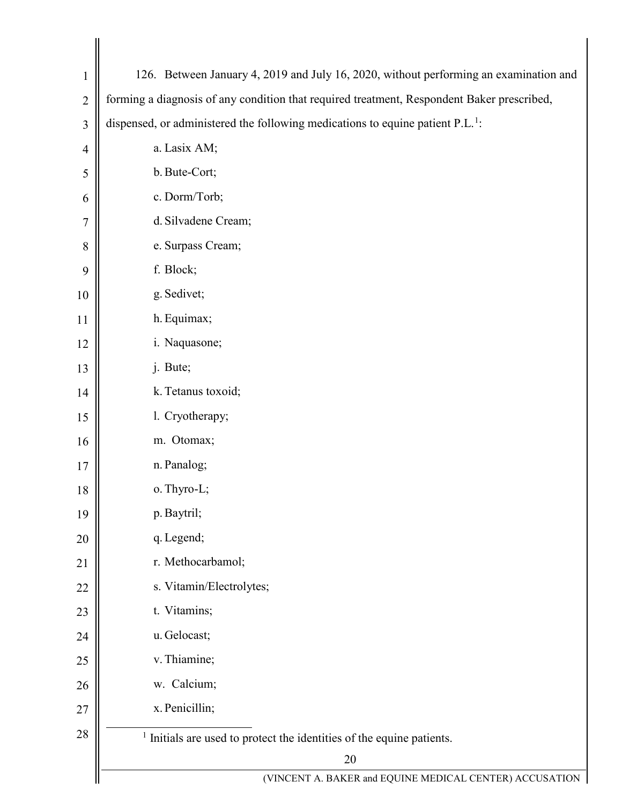<span id="page-19-0"></span>

| $\mathbf{1}$   | 126. Between January 4, 2019 and July 16, 2020, without performing an examination and      |
|----------------|--------------------------------------------------------------------------------------------|
| $\overline{2}$ | forming a diagnosis of any condition that required treatment, Respondent Baker prescribed, |
| 3              | dispensed, or administered the following medications to equine patient $P.L.^{1}$ :        |
| $\overline{4}$ | a. Lasix AM;                                                                               |
| 5              | b. Bute-Cort;                                                                              |
| 6              | c. Dorm/Torb;                                                                              |
| 7              | d. Silvadene Cream;                                                                        |
| 8              | e. Surpass Cream;                                                                          |
| 9              | f. Block;                                                                                  |
| 10             | g. Sedivet;                                                                                |
| 11             | h. Equimax;                                                                                |
| 12             | i. Naquasone;                                                                              |
| 13             | j. Bute;                                                                                   |
| 14             | k. Tetanus toxoid;                                                                         |
| 15             | l. Cryotherapy;                                                                            |
| 16             | m. Otomax;                                                                                 |
| 17             | n. Panalog;                                                                                |
| 18             | o. Thyro-L;                                                                                |
| 19             | p. Baytril;                                                                                |
| 20             | q. Legend;                                                                                 |
| 21             | r. Methocarbamol;                                                                          |
| 22             | s. Vitamin/Electrolytes;                                                                   |
| 23             | t. Vitamins;                                                                               |
| 24             | u. Gelocast;                                                                               |
| 25             | v. Thiamine;                                                                               |
| 26             | w. Calcium;                                                                                |
| 27             | x. Penicillin;                                                                             |
| 28             | <sup>1</sup> Initials are used to protect the identities of the equine patients.           |
|                | 20                                                                                         |
|                | (VINCENT A. BAKER and EQUINE MEDICAL CENTER) ACCUSATION                                    |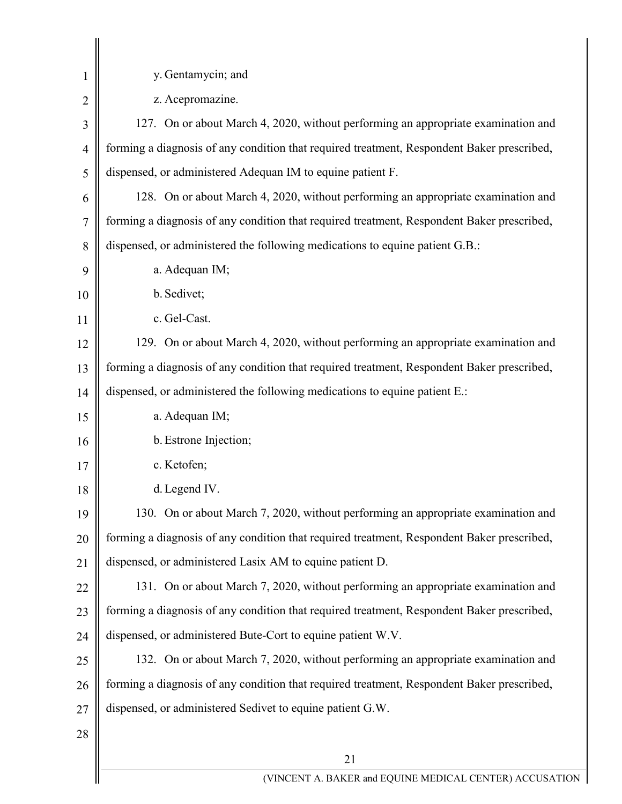| 1              | y. Gentamycin; and                                                                         |
|----------------|--------------------------------------------------------------------------------------------|
| $\overline{2}$ | z. Acepromazine.                                                                           |
| 3              | 127. On or about March 4, 2020, without performing an appropriate examination and          |
| $\overline{4}$ | forming a diagnosis of any condition that required treatment, Respondent Baker prescribed, |
| 5              | dispensed, or administered Adequan IM to equine patient F.                                 |
| 6              | 128. On or about March 4, 2020, without performing an appropriate examination and          |
| $\overline{7}$ | forming a diagnosis of any condition that required treatment, Respondent Baker prescribed, |
| 8              | dispensed, or administered the following medications to equine patient G.B.:               |
| 9              | a. Adequan IM;                                                                             |
| 10             | b. Sedivet;                                                                                |
| 11             | c. Gel-Cast.                                                                               |
| 12             | 129. On or about March 4, 2020, without performing an appropriate examination and          |
| 13             | forming a diagnosis of any condition that required treatment, Respondent Baker prescribed, |
| 14             | dispensed, or administered the following medications to equine patient E.:                 |
| 15             | a. Adequan IM;                                                                             |
| 16             | b. Estrone Injection;                                                                      |
| 17             | c. Ketofen;                                                                                |
| 18             | d. Legend IV.                                                                              |
| 19             | 130. On or about March 7, 2020, without performing an appropriate examination and          |
| 20             | forming a diagnosis of any condition that required treatment, Respondent Baker prescribed, |
| 21             | dispensed, or administered Lasix AM to equine patient D.                                   |
| 22             | 131. On or about March 7, 2020, without performing an appropriate examination and          |
| 23             | forming a diagnosis of any condition that required treatment, Respondent Baker prescribed, |
| 24             | dispensed, or administered Bute-Cort to equine patient W.V.                                |
| 25             | 132. On or about March 7, 2020, without performing an appropriate examination and          |
| 26             | forming a diagnosis of any condition that required treatment, Respondent Baker prescribed, |
| 27             | dispensed, or administered Sedivet to equine patient G.W.                                  |
| 28             |                                                                                            |
|                | 21                                                                                         |
|                | (VINCENT A. BAKER and EQUINE MEDICAL CENTER) ACCUSATI                                      |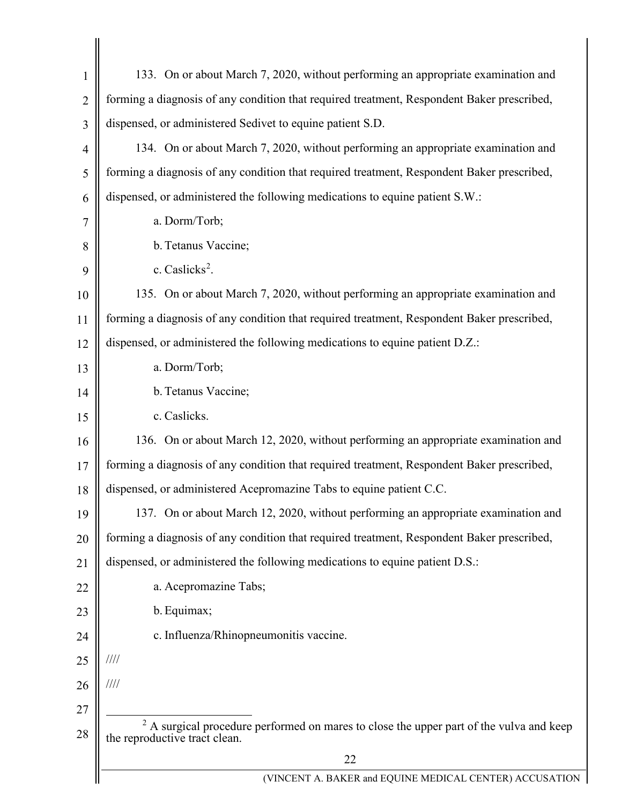<span id="page-21-0"></span>

| $\mathbf{1}$   | 133. On or about March 7, 2020, without performing an appropriate examination and                                                   |
|----------------|-------------------------------------------------------------------------------------------------------------------------------------|
| $\overline{2}$ | forming a diagnosis of any condition that required treatment, Respondent Baker prescribed,                                          |
| 3              | dispensed, or administered Sedivet to equine patient S.D.                                                                           |
| 4              | 134. On or about March 7, 2020, without performing an appropriate examination and                                                   |
| 5              | forming a diagnosis of any condition that required treatment, Respondent Baker prescribed,                                          |
| 6              | dispensed, or administered the following medications to equine patient S.W.:                                                        |
| 7              | a. Dorm/Torb;                                                                                                                       |
| 8              | b. Tetanus Vaccine;                                                                                                                 |
| 9              | c. Caslicks <sup>2</sup> .                                                                                                          |
| 10             | 135. On or about March 7, 2020, without performing an appropriate examination and                                                   |
| 11             | forming a diagnosis of any condition that required treatment, Respondent Baker prescribed,                                          |
| 12             | dispensed, or administered the following medications to equine patient D.Z.:                                                        |
| 13             | a. Dorm/Torb;                                                                                                                       |
| 14             | b. Tetanus Vaccine;                                                                                                                 |
| 15             | c. Caslicks.                                                                                                                        |
| 16             | 136. On or about March 12, 2020, without performing an appropriate examination and                                                  |
| 17             | forming a diagnosis of any condition that required treatment, Respondent Baker prescribed,                                          |
| 18             | dispensed, or administered Acepromazine Tabs to equine patient C.C.                                                                 |
| 19             | 137. On or about March 12, 2020, without performing an appropriate examination and                                                  |
| 20             | forming a diagnosis of any condition that required treatment, Respondent Baker prescribed,                                          |
| 21             | dispensed, or administered the following medications to equine patient D.S.:                                                        |
| 22             | a. Acepromazine Tabs;                                                                                                               |
| 23             | b. Equimax;                                                                                                                         |
| 24             | c. Influenza/Rhinopneumonitis vaccine.                                                                                              |
| 25             | $\frac{1}{1}$                                                                                                                       |
| 26             | $\frac{1}{1}$                                                                                                                       |
| 27             |                                                                                                                                     |
| 28             | <sup>2</sup> A surgical procedure performed on mares to close the upper part of the vulva and keep<br>the reproductive tract clean. |
|                | 22                                                                                                                                  |
|                | (VINCENT A. BAKER and EQUINE MEDICAL CENTER) ACCUSATION                                                                             |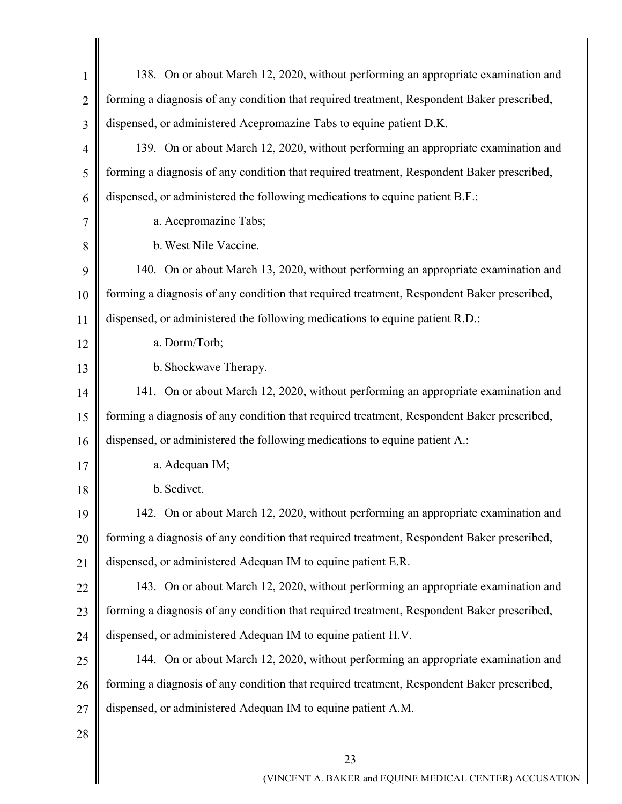| $\mathbf{1}$   | 138. On or about March 12, 2020, without performing an appropriate examination and         |
|----------------|--------------------------------------------------------------------------------------------|
| $\overline{2}$ | forming a diagnosis of any condition that required treatment, Respondent Baker prescribed, |
| 3              | dispensed, or administered Acepromazine Tabs to equine patient D.K.                        |
| $\overline{4}$ | 139. On or about March 12, 2020, without performing an appropriate examination and         |
| 5              | forming a diagnosis of any condition that required treatment, Respondent Baker prescribed, |
| 6              | dispensed, or administered the following medications to equine patient B.F.:               |
| 7              | a. Acepromazine Tabs;                                                                      |
| 8              | b. West Nile Vaccine.                                                                      |
| 9              | 140. On or about March 13, 2020, without performing an appropriate examination and         |
| 10             | forming a diagnosis of any condition that required treatment, Respondent Baker prescribed, |
| 11             | dispensed, or administered the following medications to equine patient R.D.:               |
| 12             | a. Dorm/Torb;                                                                              |
| 13             | b. Shockwave Therapy.                                                                      |
| 14             | 141. On or about March 12, 2020, without performing an appropriate examination and         |
| 15             | forming a diagnosis of any condition that required treatment, Respondent Baker prescribed, |
| 16             | dispensed, or administered the following medications to equine patient A.:                 |
| 17             | a. Adequan IM;                                                                             |
| 18             | b. Sedivet.                                                                                |
| 19             | 142. On or about March 12, 2020, without performing an appropriate examination and         |
| 20             | forming a diagnosis of any condition that required treatment, Respondent Baker prescribed, |
| 21             | dispensed, or administered Adequan IM to equine patient E.R.                               |
| 22             | 143. On or about March 12, 2020, without performing an appropriate examination and         |
| 23             | forming a diagnosis of any condition that required treatment, Respondent Baker prescribed, |
| 24             | dispensed, or administered Adequan IM to equine patient H.V.                               |
| 25             | 144. On or about March 12, 2020, without performing an appropriate examination and         |
| 26             | forming a diagnosis of any condition that required treatment, Respondent Baker prescribed, |
| 27             | dispensed, or administered Adequan IM to equine patient A.M.                               |
| 28             |                                                                                            |
|                | 23                                                                                         |
|                | (VINCENT A. BAKER and EQUINE MEDICAL CENTER) ACCUSATIO                                     |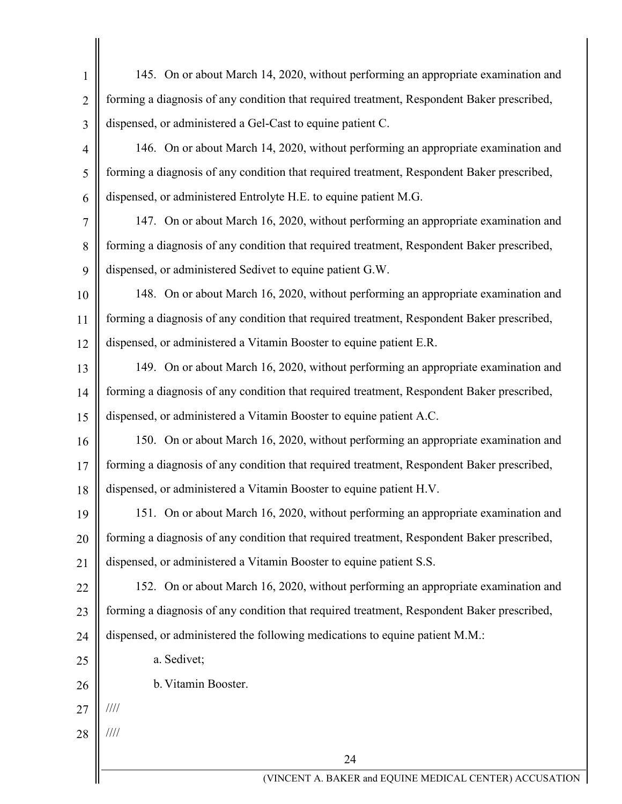| $\mathbf{1}$   | 145. On or about March 14, 2020, without performing an appropriate examination and         |
|----------------|--------------------------------------------------------------------------------------------|
| $\overline{2}$ | forming a diagnosis of any condition that required treatment, Respondent Baker prescribed, |
| 3              | dispensed, or administered a Gel-Cast to equine patient C.                                 |
| $\overline{4}$ | 146. On or about March 14, 2020, without performing an appropriate examination and         |
| 5              | forming a diagnosis of any condition that required treatment, Respondent Baker prescribed, |
| 6              | dispensed, or administered Entrolyte H.E. to equine patient M.G.                           |
| $\tau$         | 147. On or about March 16, 2020, without performing an appropriate examination and         |
| 8              | forming a diagnosis of any condition that required treatment, Respondent Baker prescribed, |
| 9              | dispensed, or administered Sedivet to equine patient G.W.                                  |
| 10             | 148. On or about March 16, 2020, without performing an appropriate examination and         |
| 11             | forming a diagnosis of any condition that required treatment, Respondent Baker prescribed, |
| 12             | dispensed, or administered a Vitamin Booster to equine patient E.R.                        |
| 13             | 149. On or about March 16, 2020, without performing an appropriate examination and         |
| 14             | forming a diagnosis of any condition that required treatment, Respondent Baker prescribed, |
| 15             | dispensed, or administered a Vitamin Booster to equine patient A.C.                        |
| 16             | 150. On or about March 16, 2020, without performing an appropriate examination and         |
| 17             | forming a diagnosis of any condition that required treatment, Respondent Baker prescribed, |
|                | 18    dispensed, or administered a Vitamin Booster to equine patient H.V.                  |
| 19             | 151. On or about March 16, 2020, without performing an appropriate examination and         |
| 20             | forming a diagnosis of any condition that required treatment, Respondent Baker prescribed, |
| 21             | dispensed, or administered a Vitamin Booster to equine patient S.S.                        |
| 22             | 152. On or about March 16, 2020, without performing an appropriate examination and         |
| 23             | forming a diagnosis of any condition that required treatment, Respondent Baker prescribed, |
| 24             | dispensed, or administered the following medications to equine patient M.M.:               |
| 25             | a. Sedivet;                                                                                |
| 26             | b. Vitamin Booster.                                                                        |
| 27             | $\frac{1}{1}$                                                                              |
| 28             | $\frac{1}{1}$                                                                              |
|                | 24                                                                                         |
|                | (VINCENT A. BAKER and EQUINE MEDICAL CENTER) ACCUSATION                                    |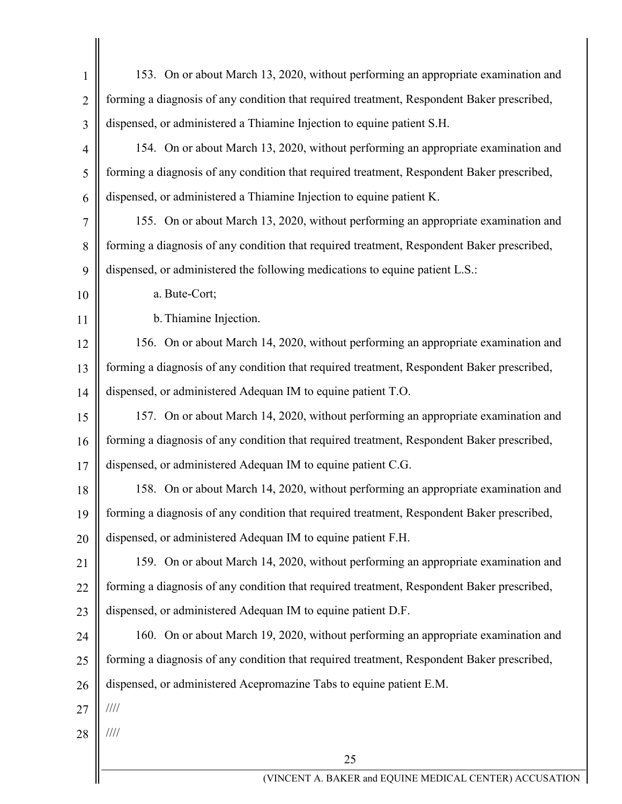| $\mathbf{1}$   | 153. On or about March 13, 2020, without performing an appropriate examination and         |
|----------------|--------------------------------------------------------------------------------------------|
| $\overline{2}$ | forming a diagnosis of any condition that required treatment, Respondent Baker prescribed, |
| 3              | dispensed, or administered a Thiamine Injection to equine patient S.H.                     |
| $\overline{4}$ | 154. On or about March 13, 2020, without performing an appropriate examination and         |
| 5              | forming a diagnosis of any condition that required treatment, Respondent Baker prescribed, |
| 6              | dispensed, or administered a Thiamine Injection to equine patient K.                       |
| 7              | 155. On or about March 13, 2020, without performing an appropriate examination and         |
| 8              | forming a diagnosis of any condition that required treatment, Respondent Baker prescribed, |
| 9              | dispensed, or administered the following medications to equine patient L.S.:               |
| 10             | a. Bute-Cort;                                                                              |
| 11             | b. Thiamine Injection.                                                                     |
| 12             | 156. On or about March 14, 2020, without performing an appropriate examination and         |
| 13             | forming a diagnosis of any condition that required treatment, Respondent Baker prescribed, |
| 14             | dispensed, or administered Adequan IM to equine patient T.O.                               |
| 15             | 157. On or about March 14, 2020, without performing an appropriate examination and         |
| 16             | forming a diagnosis of any condition that required treatment, Respondent Baker prescribed, |
| 17             | dispensed, or administered Adequan IM to equine patient C.G.                               |
| 18             | 158. On or about March 14, 2020, without performing an appropriate examination and         |
| 19             | forming a diagnosis of any condition that required treatment, Respondent Baker prescribed, |
| 20             | dispensed, or administered Adequan IM to equine patient F.H.                               |
| 21             | 159. On or about March 14, 2020, without performing an appropriate examination and         |
| 22             | forming a diagnosis of any condition that required treatment, Respondent Baker prescribed, |
| 23             | dispensed, or administered Adequan IM to equine patient D.F.                               |
| 24             | 160. On or about March 19, 2020, without performing an appropriate examination and         |
| 25             | forming a diagnosis of any condition that required treatment, Respondent Baker prescribed, |
| 26             | dispensed, or administered Acepromazine Tabs to equine patient E.M.                        |
| 27             | $\frac{1}{1}$                                                                              |
| 28             | ////                                                                                       |
|                | 25                                                                                         |
|                | (VINCENT A. BAKER and EQUINE MEDICAL CENTER) ACCUSATIO                                     |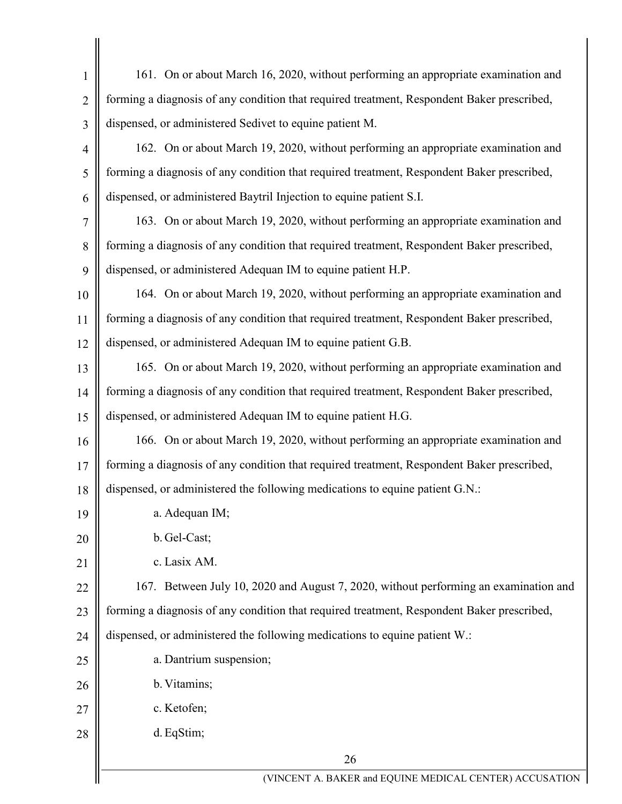| 1              | 161. On or about March 16, 2020, without performing an appropriate examination and         |
|----------------|--------------------------------------------------------------------------------------------|
| $\overline{2}$ | forming a diagnosis of any condition that required treatment, Respondent Baker prescribed, |
| 3              | dispensed, or administered Sedivet to equine patient M.                                    |
| $\overline{4}$ | 162. On or about March 19, 2020, without performing an appropriate examination and         |
| 5              | forming a diagnosis of any condition that required treatment, Respondent Baker prescribed, |
| 6              | dispensed, or administered Baytril Injection to equine patient S.I.                        |
| 7              | 163. On or about March 19, 2020, without performing an appropriate examination and         |
| 8              | forming a diagnosis of any condition that required treatment, Respondent Baker prescribed, |
| 9              | dispensed, or administered Adequan IM to equine patient H.P.                               |
| 10             | 164. On or about March 19, 2020, without performing an appropriate examination and         |
| 11             | forming a diagnosis of any condition that required treatment, Respondent Baker prescribed, |
| 12             | dispensed, or administered Adequan IM to equine patient G.B.                               |
| 13             | 165. On or about March 19, 2020, without performing an appropriate examination and         |
| 14             | forming a diagnosis of any condition that required treatment, Respondent Baker prescribed, |
| 15             | dispensed, or administered Adequan IM to equine patient H.G.                               |
| 16             | 166. On or about March 19, 2020, without performing an appropriate examination and         |
| 17             | forming a diagnosis of any condition that required treatment, Respondent Baker prescribed, |
| 18             | dispensed, or administered the following medications to equine patient G.N.:               |
| 19             | a. Adequan IM;                                                                             |
| 20             | b. Gel-Cast;                                                                               |
| 21             | c. Lasix AM.                                                                               |
| 22             | 167. Between July 10, 2020 and August 7, 2020, without performing an examination and       |
| 23             | forming a diagnosis of any condition that required treatment, Respondent Baker prescribed, |
| 24             | dispensed, or administered the following medications to equine patient W.:                 |
| 25             | a. Dantrium suspension;                                                                    |
| 26             | b. Vitamins;                                                                               |
| 27             | c. Ketofen;                                                                                |
| 28             | d. EqStim;                                                                                 |
|                | 26                                                                                         |
|                | (VINCENT A. BAKER and EQUINE MEDICAL CENTER) ACCUSATION                                    |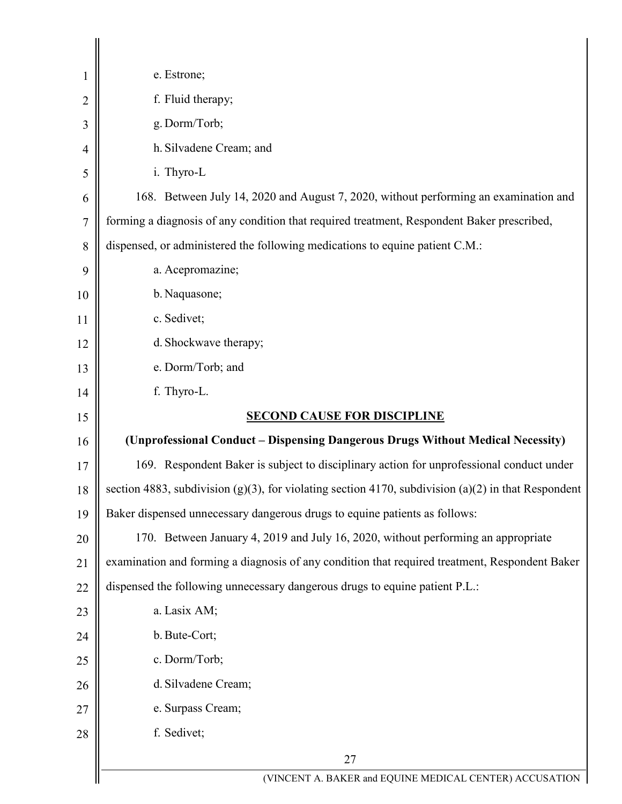| 1              | e. Estrone;                                                                                              |
|----------------|----------------------------------------------------------------------------------------------------------|
| $\overline{2}$ | f. Fluid therapy;                                                                                        |
| 3              | g. Dorm/Torb;                                                                                            |
| 4              | h. Silvadene Cream; and                                                                                  |
| 5              | i. Thyro-L                                                                                               |
| 6              | 168. Between July 14, 2020 and August 7, 2020, without performing an examination and                     |
| $\overline{7}$ | forming a diagnosis of any condition that required treatment, Respondent Baker prescribed,               |
| 8              | dispensed, or administered the following medications to equine patient C.M.:                             |
| 9              | a. Acepromazine;                                                                                         |
| 10             | b. Naquasone;                                                                                            |
| 11             | c. Sedivet;                                                                                              |
| 12             | d. Shockwave therapy;                                                                                    |
| 13             | e. Dorm/Torb; and                                                                                        |
| 14             | f. Thyro-L.                                                                                              |
| 15             | <b>SECOND CAUSE FOR DISCIPLINE</b>                                                                       |
| 16             | (Unprofessional Conduct – Dispensing Dangerous Drugs Without Medical Necessity)                          |
| 17             | 169. Respondent Baker is subject to disciplinary action for unprofessional conduct under                 |
| 18             | section 4883, subdivision $(g)(3)$ , for violating section 4170, subdivision $(a)(2)$ in that Respondent |
| 19             | Baker dispensed unnecessary dangerous drugs to equine patients as follows:                               |
| 20             | 170. Between January 4, 2019 and July 16, 2020, without performing an appropriate                        |
| 21             |                                                                                                          |
|                | examination and forming a diagnosis of any condition that required treatment, Respondent Baker           |
| 22             | dispensed the following unnecessary dangerous drugs to equine patient P.L.:                              |
| 23             | a. Lasix AM;                                                                                             |
| 24             | b. Bute-Cort;                                                                                            |
| 25             | c. Dorm/Torb;                                                                                            |
| 26             | d. Silvadene Cream;                                                                                      |
| 27             | e. Surpass Cream;                                                                                        |
| 28             | f. Sedivet;                                                                                              |
|                | 27<br>(VINCENT A. BAKER and EQUINE MEDICAL CENTER) ACCUSATION                                            |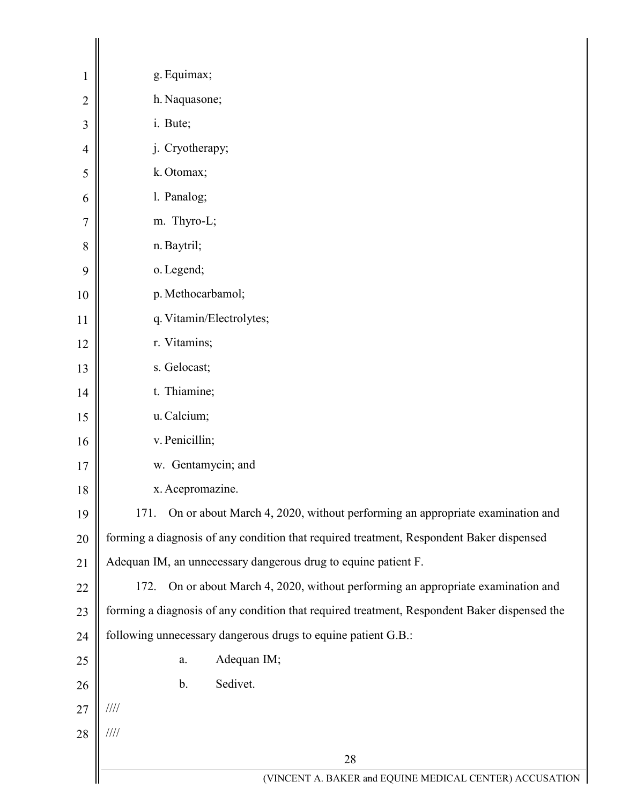| 1              | g. Equimax;                                                                                  |
|----------------|----------------------------------------------------------------------------------------------|
| $\overline{2}$ | h. Naquasone;                                                                                |
| 3              | i. Bute;                                                                                     |
| 4              | j. Cryotherapy;                                                                              |
| 5              | k. Otomax;                                                                                   |
| 6              | 1. Panalog;                                                                                  |
| 7              | m. Thyro-L;                                                                                  |
| 8              | n. Baytril;                                                                                  |
| 9              | o. Legend;                                                                                   |
| 10             | p. Methocarbamol;                                                                            |
| 11             | q. Vitamin/Electrolytes;                                                                     |
| 12             | r. Vitamins;                                                                                 |
| 13             | s. Gelocast;                                                                                 |
| 14             | t. Thiamine;                                                                                 |
| 15             | u. Calcium;                                                                                  |
| 16             | v. Penicillin;                                                                               |
| 17             | w. Gentamycin; and                                                                           |
| 18             | x. Acepromazine.                                                                             |
| 19             | On or about March 4, 2020, without performing an appropriate examination and<br>171.         |
| 20             | forming a diagnosis of any condition that required treatment, Respondent Baker dispensed     |
| 21             | Adequan IM, an unnecessary dangerous drug to equine patient F.                               |
| 22             | On or about March 4, 2020, without performing an appropriate examination and<br>172.         |
| 23             | forming a diagnosis of any condition that required treatment, Respondent Baker dispensed the |
| 24             | following unnecessary dangerous drugs to equine patient G.B.:                                |
| 25             | Adequan IM;<br>a.                                                                            |
| 26             | Sedivet.<br>$\mathbf b$ .                                                                    |
| 27             | 1111                                                                                         |
| 28             | $\frac{1}{1}$                                                                                |
|                | 28                                                                                           |
|                | (VINCENT A. BAKER and EQUINE MEDICAL CENTER) ACCUSATION                                      |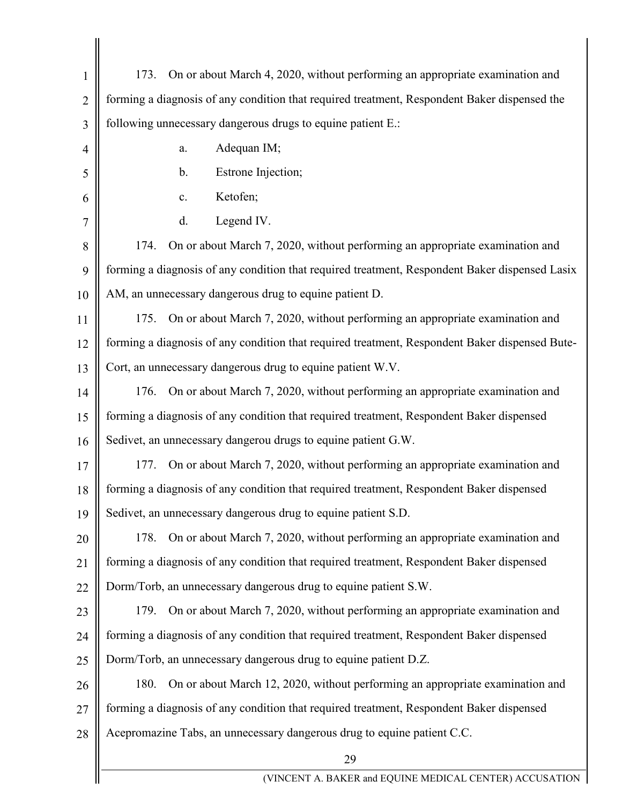| $\mathbf{1}$   | On or about March 4, 2020, without performing an appropriate examination and<br>173.           |
|----------------|------------------------------------------------------------------------------------------------|
| $\overline{2}$ | forming a diagnosis of any condition that required treatment, Respondent Baker dispensed the   |
| 3              | following unnecessary dangerous drugs to equine patient E.:                                    |
| $\overline{4}$ | Adequan IM;<br>a.                                                                              |
| 5              | Estrone Injection;<br>$\mathbf b$ .                                                            |
| 6              | Ketofen;<br>c.                                                                                 |
| 7              | Legend IV.<br>d.                                                                               |
| 8              | 174.<br>On or about March 7, 2020, without performing an appropriate examination and           |
| 9              | forming a diagnosis of any condition that required treatment, Respondent Baker dispensed Lasix |
| 10             | AM, an unnecessary dangerous drug to equine patient D.                                         |
| 11             | 175.<br>On or about March 7, 2020, without performing an appropriate examination and           |
| 12             | forming a diagnosis of any condition that required treatment, Respondent Baker dispensed Bute- |
| 13             | Cort, an unnecessary dangerous drug to equine patient W.V.                                     |
| 14             | 176.<br>On or about March 7, 2020, without performing an appropriate examination and           |
| 15             | forming a diagnosis of any condition that required treatment, Respondent Baker dispensed       |
| 16             | Sedivet, an unnecessary dangerou drugs to equine patient G.W.                                  |
| 17             | On or about March 7, 2020, without performing an appropriate examination and<br>177.           |
| 18             | forming a diagnosis of any condition that required treatment, Respondent Baker dispensed       |
| 19             | Sedivet, an unnecessary dangerous drug to equine patient S.D.                                  |
| 20             | On or about March 7, 2020, without performing an appropriate examination and<br>178.           |
| 21             | forming a diagnosis of any condition that required treatment, Respondent Baker dispensed       |
| 22             | Dorm/Torb, an unnecessary dangerous drug to equine patient S.W.                                |
| 23             | On or about March 7, 2020, without performing an appropriate examination and<br>179.           |
| 24             | forming a diagnosis of any condition that required treatment, Respondent Baker dispensed       |
| 25             | Dorm/Torb, an unnecessary dangerous drug to equine patient D.Z.                                |
| 26             | On or about March 12, 2020, without performing an appropriate examination and<br>180.          |
| 27             | forming a diagnosis of any condition that required treatment, Respondent Baker dispensed       |
| 28             | Acepromazine Tabs, an unnecessary dangerous drug to equine patient C.C.                        |
|                | 29                                                                                             |
|                | (VINCENT A. BAKER and EQUINE MEDICAL CENTER) ACCUSATION                                        |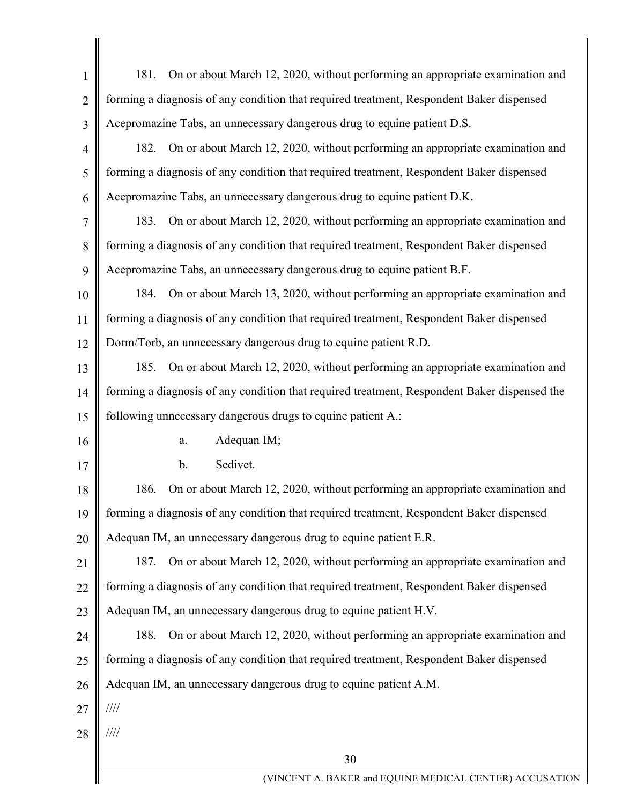| $\mathbf{1}$   | On or about March 12, 2020, without performing an appropriate examination and<br>181.        |
|----------------|----------------------------------------------------------------------------------------------|
| $\overline{2}$ | forming a diagnosis of any condition that required treatment, Respondent Baker dispensed     |
| 3              | Acepromazine Tabs, an unnecessary dangerous drug to equine patient D.S.                      |
| $\overline{4}$ | 182. On or about March 12, 2020, without performing an appropriate examination and           |
| 5              | forming a diagnosis of any condition that required treatment, Respondent Baker dispensed     |
| 6              | Acepromazine Tabs, an unnecessary dangerous drug to equine patient D.K.                      |
| 7              | 183. On or about March 12, 2020, without performing an appropriate examination and           |
| 8              | forming a diagnosis of any condition that required treatment, Respondent Baker dispensed     |
| 9              | Acepromazine Tabs, an unnecessary dangerous drug to equine patient B.F.                      |
| 10             | 184. On or about March 13, 2020, without performing an appropriate examination and           |
| 11             | forming a diagnosis of any condition that required treatment, Respondent Baker dispensed     |
| 12             | Dorm/Torb, an unnecessary dangerous drug to equine patient R.D.                              |
| 13             | 185. On or about March 12, 2020, without performing an appropriate examination and           |
| 14             | forming a diagnosis of any condition that required treatment, Respondent Baker dispensed the |
| 15             | following unnecessary dangerous drugs to equine patient A.:                                  |
| 16             | Adequan IM;<br>a.                                                                            |
| 17             | Sedivet.<br>b.                                                                               |
| 18             | On or about March 12, 2020, without performing an appropriate examination and<br>186.        |
| 19             | forming a diagnosis of any condition that required treatment, Respondent Baker dispensed     |
| 20             | Adequan IM, an unnecessary dangerous drug to equine patient E.R.                             |
| 21             | On or about March 12, 2020, without performing an appropriate examination and<br>187.        |
| 22             | forming a diagnosis of any condition that required treatment, Respondent Baker dispensed     |
| 23             | Adequan IM, an unnecessary dangerous drug to equine patient H.V.                             |
| 24             | On or about March 12, 2020, without performing an appropriate examination and<br>188.        |
| 25             | forming a diagnosis of any condition that required treatment, Respondent Baker dispensed     |
| 26             | Adequan IM, an unnecessary dangerous drug to equine patient A.M.                             |
| 27             | 1111                                                                                         |
| 28             | $\frac{1}{1}$                                                                                |
|                | 30                                                                                           |
|                | (VINCENT A. BAKER and EQUINE MEDICAL CENTER) ACCUSATION                                      |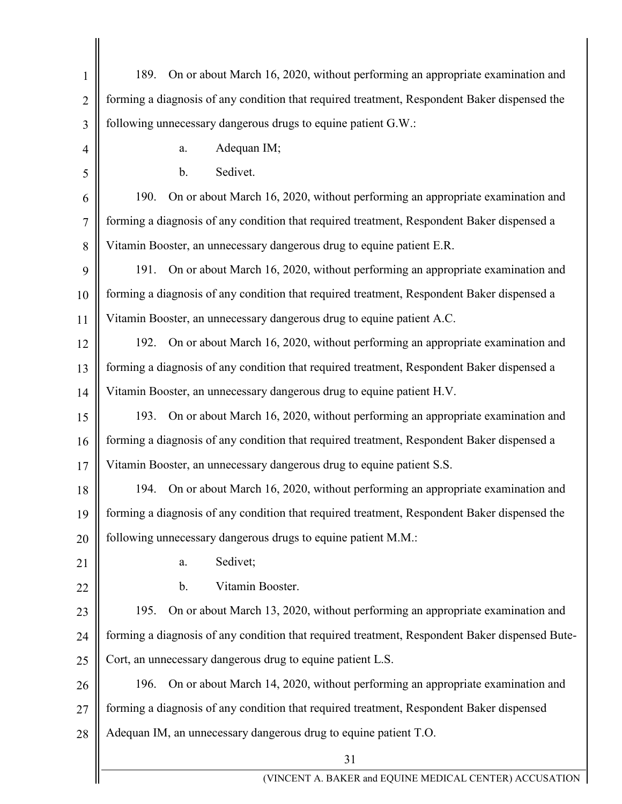| $\mathbf{1}$   | On or about March 16, 2020, without performing an appropriate examination and<br>189.          |
|----------------|------------------------------------------------------------------------------------------------|
| $\overline{2}$ | forming a diagnosis of any condition that required treatment, Respondent Baker dispensed the   |
| 3              | following unnecessary dangerous drugs to equine patient G.W.:                                  |
| $\overline{4}$ | Adequan IM;<br>a.                                                                              |
| 5              | Sedivet.<br>$b$ .                                                                              |
| 6              | On or about March 16, 2020, without performing an appropriate examination and<br>190.          |
| $\overline{7}$ | forming a diagnosis of any condition that required treatment, Respondent Baker dispensed a     |
| 8              | Vitamin Booster, an unnecessary dangerous drug to equine patient E.R.                          |
| 9              | On or about March 16, 2020, without performing an appropriate examination and<br>191.          |
| 10             | forming a diagnosis of any condition that required treatment, Respondent Baker dispensed a     |
| 11             | Vitamin Booster, an unnecessary dangerous drug to equine patient A.C.                          |
| 12             | On or about March 16, 2020, without performing an appropriate examination and<br>192.          |
| 13             | forming a diagnosis of any condition that required treatment, Respondent Baker dispensed a     |
| 14             | Vitamin Booster, an unnecessary dangerous drug to equine patient H.V.                          |
| 15             | On or about March 16, 2020, without performing an appropriate examination and<br>193.          |
| 16             | forming a diagnosis of any condition that required treatment, Respondent Baker dispensed a     |
| 17             | Vitamin Booster, an unnecessary dangerous drug to equine patient S.S.                          |
| 18             | 194. On or about March 16, 2020, without performing an appropriate examination and             |
| 19             | forming a diagnosis of any condition that required treatment, Respondent Baker dispensed the   |
| 20             | following unnecessary dangerous drugs to equine patient M.M.:                                  |
| 21             | Sedivet;<br>a.                                                                                 |
| 22             | Vitamin Booster.<br>b.                                                                         |
| 23             | On or about March 13, 2020, without performing an appropriate examination and<br>195.          |
| 24             | forming a diagnosis of any condition that required treatment, Respondent Baker dispensed Bute- |
| 25             | Cort, an unnecessary dangerous drug to equine patient L.S.                                     |
| 26             | On or about March 14, 2020, without performing an appropriate examination and<br>196.          |
| 27             | forming a diagnosis of any condition that required treatment, Respondent Baker dispensed       |
| 28             | Adequan IM, an unnecessary dangerous drug to equine patient T.O.                               |
|                | 31                                                                                             |
|                | (VINCENT A. BAKER and EQUINE MEDICAL CENTER) ACCUSATION                                        |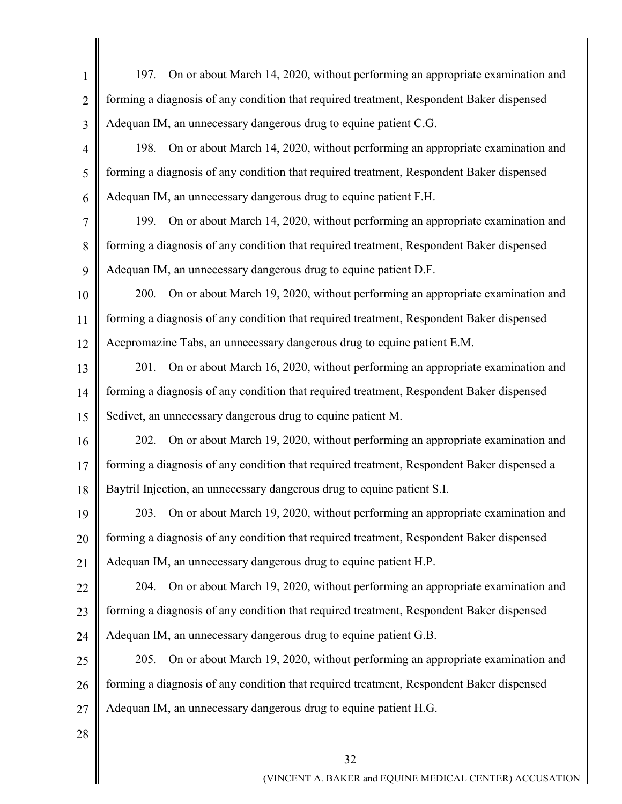| $\mathbf{1}$   | 197. On or about March 14, 2020, without performing an appropriate examination and         |
|----------------|--------------------------------------------------------------------------------------------|
| $\overline{2}$ | forming a diagnosis of any condition that required treatment, Respondent Baker dispensed   |
| 3              | Adequan IM, an unnecessary dangerous drug to equine patient C.G.                           |
| $\overline{4}$ | 198. On or about March 14, 2020, without performing an appropriate examination and         |
| 5              | forming a diagnosis of any condition that required treatment, Respondent Baker dispensed   |
| 6              | Adequan IM, an unnecessary dangerous drug to equine patient F.H.                           |
| 7              | 199. On or about March 14, 2020, without performing an appropriate examination and         |
| 8              | forming a diagnosis of any condition that required treatment, Respondent Baker dispensed   |
| 9              | Adequan IM, an unnecessary dangerous drug to equine patient D.F.                           |
| 10             | 200. On or about March 19, 2020, without performing an appropriate examination and         |
| 11             | forming a diagnosis of any condition that required treatment, Respondent Baker dispensed   |
| 12             | Acepromazine Tabs, an unnecessary dangerous drug to equine patient E.M.                    |
| 13             | 201. On or about March 16, 2020, without performing an appropriate examination and         |
| 14             | forming a diagnosis of any condition that required treatment, Respondent Baker dispensed   |
| 15             | Sedivet, an unnecessary dangerous drug to equine patient M.                                |
| 16             | 202. On or about March 19, 2020, without performing an appropriate examination and         |
| 17             | forming a diagnosis of any condition that required treatment, Respondent Baker dispensed a |
| 18             | Baytril Injection, an unnecessary dangerous drug to equine patient S.I.                    |
| 19             | 203. On or about March 19, 2020, without performing an appropriate examination and         |
| 20             | forming a diagnosis of any condition that required treatment, Respondent Baker dispensed   |
| 21             | Adequan IM, an unnecessary dangerous drug to equine patient H.P.                           |
| 22             | On or about March 19, 2020, without performing an appropriate examination and<br>204.      |
| 23             | forming a diagnosis of any condition that required treatment, Respondent Baker dispensed   |
| 24             | Adequan IM, an unnecessary dangerous drug to equine patient G.B.                           |
| 25             | On or about March 19, 2020, without performing an appropriate examination and<br>205.      |
| 26             | forming a diagnosis of any condition that required treatment, Respondent Baker dispensed   |
| 27             | Adequan IM, an unnecessary dangerous drug to equine patient H.G.                           |
| 28             |                                                                                            |
|                | 32                                                                                         |
|                | (VINCENT A. BAKER and EQUINE MEDICAL CENTER) ACCUSATIO!                                    |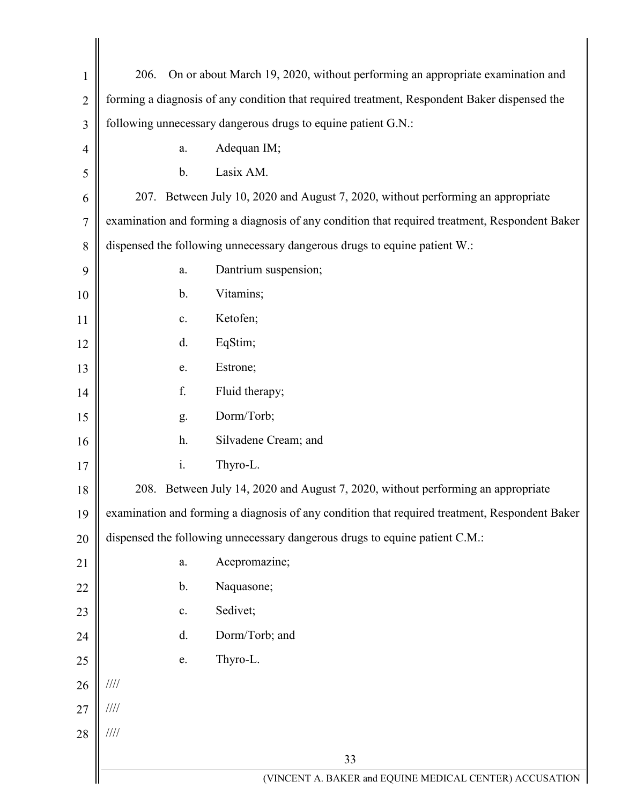| 1              | 206.<br>On or about March 19, 2020, without performing an appropriate examination and          |
|----------------|------------------------------------------------------------------------------------------------|
| $\overline{2}$ | forming a diagnosis of any condition that required treatment, Respondent Baker dispensed the   |
| 3              | following unnecessary dangerous drugs to equine patient G.N.:                                  |
| 4              | Adequan IM;<br>a.                                                                              |
| 5              | $b$ .<br>Lasix AM.                                                                             |
| 6              | 207. Between July 10, 2020 and August 7, 2020, without performing an appropriate               |
| 7              | examination and forming a diagnosis of any condition that required treatment, Respondent Baker |
| 8              | dispensed the following unnecessary dangerous drugs to equine patient W.:                      |
| 9              | Dantrium suspension;<br>a.                                                                     |
| 10             | Vitamins;<br>$\mathbf{b}$ .                                                                    |
| 11             | Ketofen;<br>c.                                                                                 |
| 12             | d.<br>EqStim;                                                                                  |
| 13             | Estrone;<br>e.                                                                                 |
| 14             | f.<br>Fluid therapy;                                                                           |
| 15             | Dorm/Torb;<br>g.                                                                               |
| 16             | h.<br>Silvadene Cream; and                                                                     |
| 17             | i.<br>Thyro-L.                                                                                 |
| 18             | 208. Between July 14, 2020 and August 7, 2020, without performing an appropriate               |
| 19             | examination and forming a diagnosis of any condition that required treatment, Respondent Baker |
| 20             | dispensed the following unnecessary dangerous drugs to equine patient C.M.:                    |
| 21             | Acepromazine;<br>a.                                                                            |
| 22             | Naquasone;<br>$\mathbf b$ .                                                                    |
| 23             | Sedivet;<br>$\mathbf{c}$ .                                                                     |
| 24             | Dorm/Torb; and<br>d.                                                                           |
| 25             | Thyro-L.<br>e.                                                                                 |
| 26             | 1111                                                                                           |
| 27             | $/ \! / \! / \! / \! /$                                                                        |
| 28             | $/ \! / \! / \! / \! /$                                                                        |
|                | 33                                                                                             |
|                | (VINCENT A. BAKER and EQUINE MEDICAL CENTER) ACCUSATION                                        |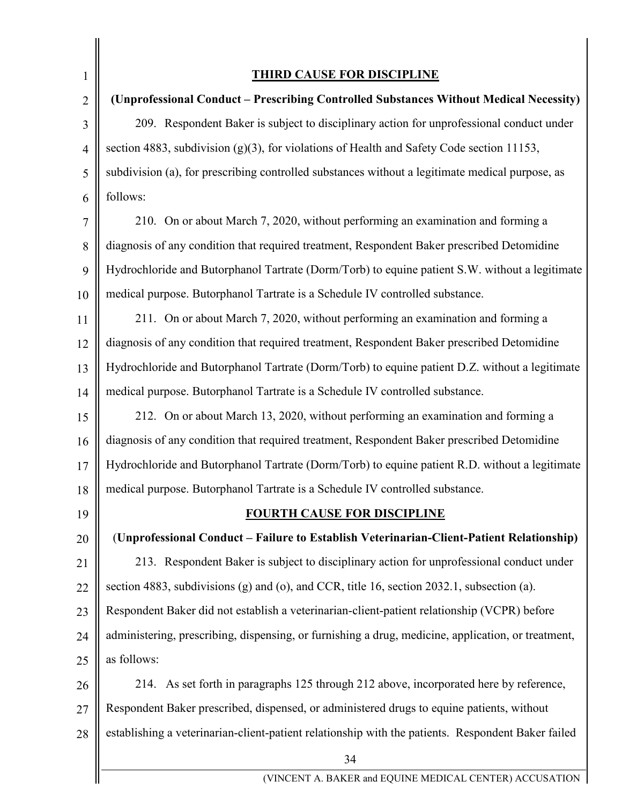34 1 2 3 4 5 6 7 8  $\overline{Q}$ 10 11 12 13 14 15 16 17 18 19 20 21 22 23 24 25 26 27 28 **THIRD CAUSE FOR DISCIPLINE (Unprofessional Conduct – Prescribing Controlled Substances Without Medical Necessity)** 209. Respondent Baker is subject to disciplinary action for unprofessional conduct under section 4883, subdivision (g)(3), for violations of Health and Safety Code section 11153, subdivision (a), for prescribing controlled substances without a legitimate medical purpose, as follows: 210. On or about March 7, 2020, without performing an examination and forming a diagnosis of any condition that required treatment, Respondent Baker prescribed Detomidine Hydrochloride and Butorphanol Tartrate (Dorm/Torb) to equine patient S.W. without a legitimate medical purpose. Butorphanol Tartrate is a Schedule IV controlled substance. 211. On or about March 7, 2020, without performing an examination and forming a diagnosis of any condition that required treatment, Respondent Baker prescribed Detomidine Hydrochloride and Butorphanol Tartrate (Dorm/Torb) to equine patient D.Z. without a legitimate medical purpose. Butorphanol Tartrate is a Schedule IV controlled substance. 212. On or about March 13, 2020, without performing an examination and forming a diagnosis of any condition that required treatment, Respondent Baker prescribed Detomidine Hydrochloride and Butorphanol Tartrate (Dorm/Torb) to equine patient R.D. without a legitimate medical purpose. Butorphanol Tartrate is a Schedule IV controlled substance. **FOURTH CAUSE FOR DISCIPLINE** (**Unprofessional Conduct – Failure to Establish Veterinarian-Client-Patient Relationship)** 213. Respondent Baker is subject to disciplinary action for unprofessional conduct under section 4883, subdivisions (g) and (o), and CCR, title 16, section 2032.1, subsection (a). Respondent Baker did not establish a veterinarian-client-patient relationship (VCPR) before administering, prescribing, dispensing, or furnishing a drug, medicine, application, or treatment, as follows: 214. As set forth in paragraphs 125 through 212 above, incorporated here by reference, Respondent Baker prescribed, dispensed, or administered drugs to equine patients, without establishing a veterinarian-client-patient relationship with the patients. Respondent Baker failed

(VINCENT A. BAKER and EQUINE MEDICAL CENTER) ACCUSATION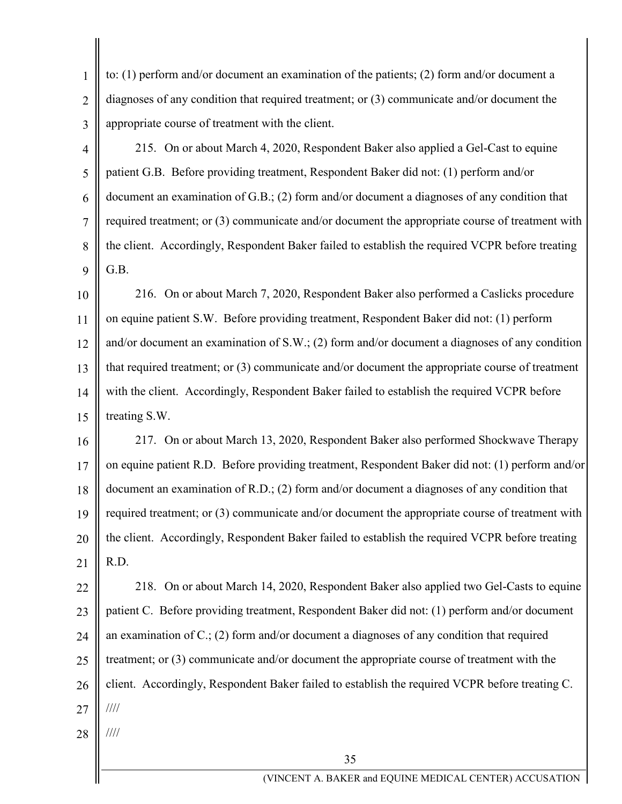1 2 3 to: (1) perform and/or document an examination of the patients; (2) form and/or document a diagnoses of any condition that required treatment; or (3) communicate and/or document the appropriate course of treatment with the client.

4 5 6 7 8 9 215. On or about March 4, 2020, Respondent Baker also applied a Gel-Cast to equine patient G.B. Before providing treatment, Respondent Baker did not: (1) perform and/or document an examination of G.B.; (2) form and/or document a diagnoses of any condition that required treatment; or (3) communicate and/or document the appropriate course of treatment with the client. Accordingly, Respondent Baker failed to establish the required VCPR before treating G.B.

10 11 12 13 14 15 216. On or about March 7, 2020, Respondent Baker also performed a Caslicks procedure on equine patient S.W. Before providing treatment, Respondent Baker did not: (1) perform and/or document an examination of S.W.; (2) form and/or document a diagnoses of any condition that required treatment; or (3) communicate and/or document the appropriate course of treatment with the client. Accordingly, Respondent Baker failed to establish the required VCPR before treating S.W.

16 17 18 19 20 21 217. On or about March 13, 2020, Respondent Baker also performed Shockwave Therapy on equine patient R.D. Before providing treatment, Respondent Baker did not: (1) perform and/or document an examination of R.D.; (2) form and/or document a diagnoses of any condition that required treatment; or (3) communicate and/or document the appropriate course of treatment with the client. Accordingly, Respondent Baker failed to establish the required VCPR before treating R.D.

22 23 24 25 26 27 218. On or about March 14, 2020, Respondent Baker also applied two Gel-Casts to equine patient C. Before providing treatment, Respondent Baker did not: (1) perform and/or document an examination of C.; (2) form and/or document a diagnoses of any condition that required treatment; or (3) communicate and/or document the appropriate course of treatment with the client. Accordingly, Respondent Baker failed to establish the required VCPR before treating C. ////

28

////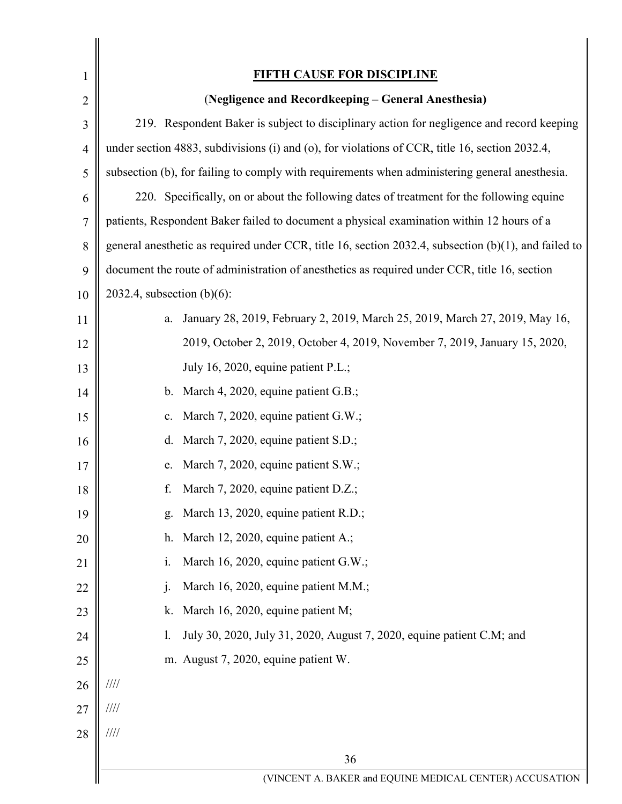| 1              | <b>FIFTH CAUSE FOR DISCIPLINE</b>                                                                       |
|----------------|---------------------------------------------------------------------------------------------------------|
| $\overline{2}$ | (Negligence and Recordkeeping - General Anesthesia)                                                     |
| 3              | 219. Respondent Baker is subject to disciplinary action for negligence and record keeping               |
| $\overline{4}$ | under section 4883, subdivisions (i) and (o), for violations of CCR, title 16, section 2032.4,          |
| 5              | subsection (b), for failing to comply with requirements when administering general anesthesia.          |
| 6              | 220. Specifically, on or about the following dates of treatment for the following equine                |
| 7              | patients, Respondent Baker failed to document a physical examination within 12 hours of a               |
| 8              | general anesthetic as required under CCR, title 16, section 2032.4, subsection $(b)(1)$ , and failed to |
| 9              | document the route of administration of anesthetics as required under CCR, title 16, section            |
| 10             | 2032.4, subsection $(b)(6)$ :                                                                           |
| 11             | January 28, 2019, February 2, 2019, March 25, 2019, March 27, 2019, May 16,<br>a.                       |
| 12             | 2019, October 2, 2019, October 4, 2019, November 7, 2019, January 15, 2020,                             |
| 13             | July 16, 2020, equine patient P.L.;                                                                     |
| 14             | b. March 4, 2020, equine patient G.B.;                                                                  |
| 15             | March 7, 2020, equine patient G.W.;<br>c.                                                               |
| 16             | March 7, 2020, equine patient S.D.;<br>d.                                                               |
| 17             | March 7, 2020, equine patient S.W.;<br>e.                                                               |
| 18             | f. March $7, 2020$ , equine patient D.Z.;                                                               |
| 19             | March 13, 2020, equine patient R.D.;<br>g.                                                              |
| 20             | March 12, 2020, equine patient A.;<br>h.                                                                |
| 21             | March 16, 2020, equine patient G.W.;<br>$\mathbf{i}$ .                                                  |
| 22             | March 16, 2020, equine patient M.M.;<br>$\mathbf{j}$ .                                                  |
| 23             | March 16, 2020, equine patient M;<br>k.                                                                 |
| 24             | July 30, 2020, July 31, 2020, August 7, 2020, equine patient C.M; and<br>1.                             |
| 25             | m. August 7, 2020, equine patient W.                                                                    |
| 26             | 1111                                                                                                    |
| 27             | $\frac{1}{1}$                                                                                           |
| 28             | $\frac{1}{1}$                                                                                           |
|                | 36                                                                                                      |
|                | (VINCENT A. BAKER and EQUINE MEDICAL CENTER) ACCUSATION                                                 |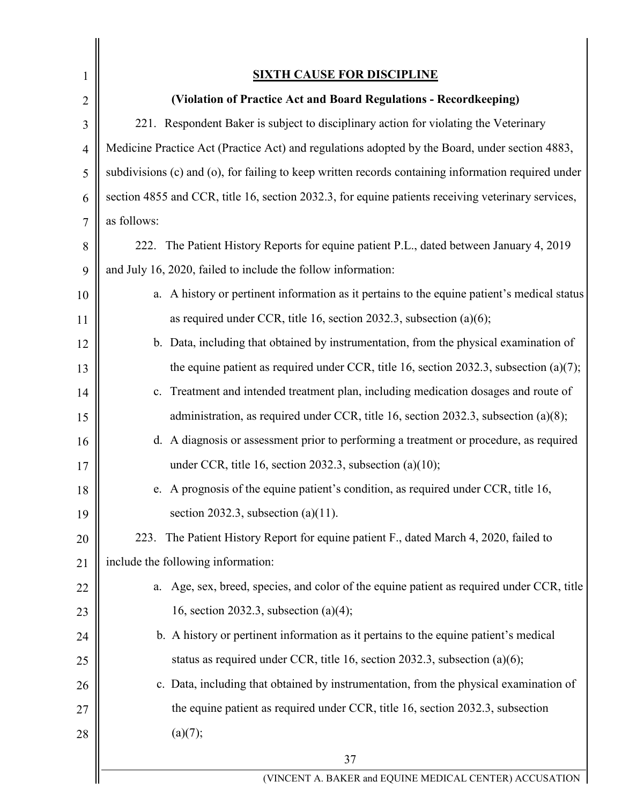| 1              | <b>SIXTH CAUSE FOR DISCIPLINE</b>                                                                   |
|----------------|-----------------------------------------------------------------------------------------------------|
| $\overline{2}$ | (Violation of Practice Act and Board Regulations - Recordkeeping)                                   |
| 3              | 221. Respondent Baker is subject to disciplinary action for violating the Veterinary                |
| $\overline{4}$ | Medicine Practice Act (Practice Act) and regulations adopted by the Board, under section 4883,      |
| 5              | subdivisions (c) and (o), for failing to keep written records containing information required under |
| 6              | section 4855 and CCR, title 16, section 2032.3, for equine patients receiving veterinary services,  |
| 7              | as follows:                                                                                         |
| 8              | 222. The Patient History Reports for equine patient P.L., dated between January 4, 2019             |
| 9              | and July 16, 2020, failed to include the follow information:                                        |
| 10             | a. A history or pertinent information as it pertains to the equine patient's medical status         |
| 11             | as required under CCR, title 16, section 2032.3, subsection $(a)(6)$ ;                              |
| 12             | b. Data, including that obtained by instrumentation, from the physical examination of               |
| 13             | the equine patient as required under CCR, title 16, section 2032.3, subsection (a)(7);              |
| 14             | Treatment and intended treatment plan, including medication dosages and route of<br>$c_{\cdot}$     |
| 15             | administration, as required under CCR, title 16, section 2032.3, subsection (a)(8);                 |
| 16             | d. A diagnosis or assessment prior to performing a treatment or procedure, as required              |
| 17             | under CCR, title 16, section 2032.3, subsection $(a)(10)$ ;                                         |
| 18             | e. A prognosis of the equine patient's condition, as required under CCR, title 16,                  |
| 19             | section 2032.3, subsection $(a)(11)$ .                                                              |
| 20             | 223. The Patient History Report for equine patient F., dated March 4, 2020, failed to               |
| 21             | include the following information:                                                                  |
| 22             | a. Age, sex, breed, species, and color of the equine patient as required under CCR, title           |
| 23             | 16, section 2032.3, subsection $(a)(4)$ ;                                                           |
| 24             | b. A history or pertinent information as it pertains to the equine patient's medical                |
| 25             | status as required under CCR, title 16, section 2032.3, subsection $(a)(6)$ ;                       |
| 26             | c. Data, including that obtained by instrumentation, from the physical examination of               |
| 27             | the equine patient as required under CCR, title 16, section 2032.3, subsection                      |
| 28             | (a)(7);                                                                                             |
|                | 37                                                                                                  |
|                | (VINCENT A. BAKER and EQUINE MEDICAL CENTER) ACCUSATION                                             |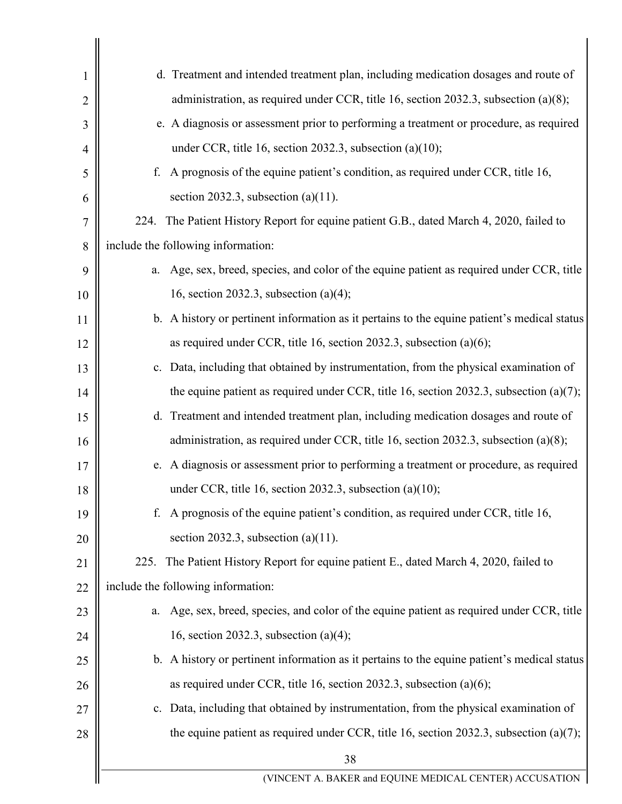| 1              | d. Treatment and intended treatment plan, including medication dosages and route of          |
|----------------|----------------------------------------------------------------------------------------------|
| $\overline{2}$ | administration, as required under CCR, title 16, section 2032.3, subsection (a)(8);          |
| 3              | e. A diagnosis or assessment prior to performing a treatment or procedure, as required       |
| 4              | under CCR, title 16, section 2032.3, subsection $(a)(10)$ ;                                  |
| 5              | A prognosis of the equine patient's condition, as required under CCR, title 16,<br>f.        |
| 6              | section 2032.3, subsection (a)(11).                                                          |
| 7              | 224. The Patient History Report for equine patient G.B., dated March 4, 2020, failed to      |
| 8              | include the following information:                                                           |
| 9              | Age, sex, breed, species, and color of the equine patient as required under CCR, title<br>a. |
| 10             | 16, section 2032.3, subsection $(a)(4)$ ;                                                    |
| 11             | b. A history or pertinent information as it pertains to the equine patient's medical status  |
| 12             | as required under CCR, title 16, section 2032.3, subsection $(a)(6)$ ;                       |
| 13             | c. Data, including that obtained by instrumentation, from the physical examination of        |
| 14             | the equine patient as required under CCR, title 16, section 2032.3, subsection $(a)(7)$ ;    |
| 15             | d. Treatment and intended treatment plan, including medication dosages and route of          |
| 16             | administration, as required under CCR, title 16, section 2032.3, subsection (a)(8);          |
| 17             | e. A diagnosis or assessment prior to performing a treatment or procedure, as required       |
| 18             | under CCR, title 16, section 2032.3, subsection (a)(10);                                     |
| 19             | A prognosis of the equine patient's condition, as required under CCR, title 16,<br>f.        |
| 20             | section 2032.3, subsection (a) $(11)$ .                                                      |
| 21             | The Patient History Report for equine patient E., dated March 4, 2020, failed to<br>225.     |
| 22             | include the following information:                                                           |
| 23             | Age, sex, breed, species, and color of the equine patient as required under CCR, title<br>a. |
| 24             | 16, section 2032.3, subsection $(a)(4)$ ;                                                    |
| 25             | b. A history or pertinent information as it pertains to the equine patient's medical status  |
| 26             | as required under CCR, title 16, section 2032.3, subsection $(a)(6)$ ;                       |
| 27             | c. Data, including that obtained by instrumentation, from the physical examination of        |
| 28             | the equine patient as required under CCR, title 16, section 2032.3, subsection (a)(7);       |
|                | 38                                                                                           |
|                | (VINCENT A. BAKER and EQUINE MEDICAL CENTER) ACCUSATION                                      |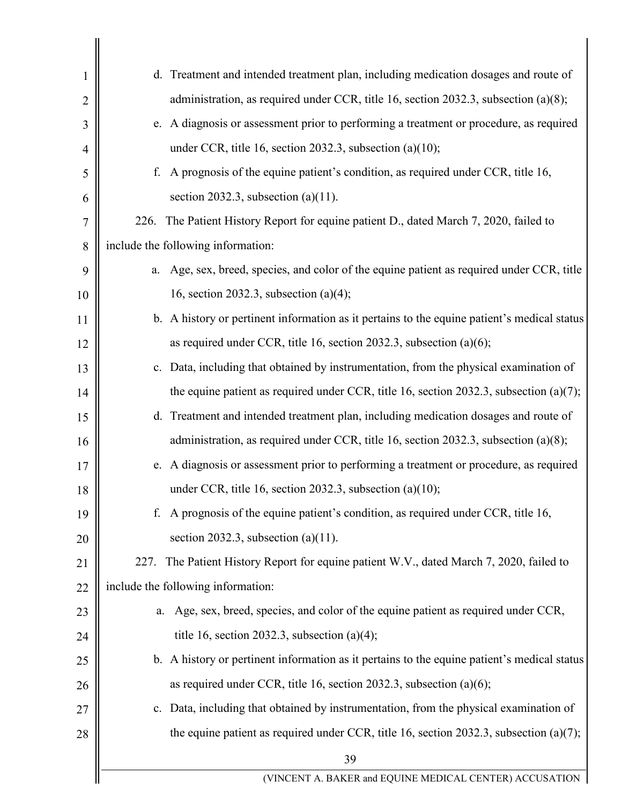| 1              | d. Treatment and intended treatment plan, including medication dosages and route of          |
|----------------|----------------------------------------------------------------------------------------------|
| $\overline{2}$ | administration, as required under CCR, title 16, section 2032.3, subsection (a)(8);          |
| 3              | e. A diagnosis or assessment prior to performing a treatment or procedure, as required       |
| 4              | under CCR, title 16, section 2032.3, subsection $(a)(10)$ ;                                  |
| 5              | A prognosis of the equine patient's condition, as required under CCR, title 16,<br>f.        |
| 6              | section 2032.3, subsection (a) $(11)$ .                                                      |
| 7              | 226. The Patient History Report for equine patient D., dated March 7, 2020, failed to        |
| 8              | include the following information:                                                           |
| 9              | Age, sex, breed, species, and color of the equine patient as required under CCR, title<br>a. |
| 10             | 16, section 2032.3, subsection $(a)(4)$ ;                                                    |
| 11             | b. A history or pertinent information as it pertains to the equine patient's medical status  |
| 12             | as required under CCR, title 16, section 2032.3, subsection $(a)(6)$ ;                       |
| 13             | c. Data, including that obtained by instrumentation, from the physical examination of        |
| 14             | the equine patient as required under CCR, title 16, section 2032.3, subsection $(a)(7)$ ;    |
| 15             | d. Treatment and intended treatment plan, including medication dosages and route of          |
| 16             | administration, as required under CCR, title 16, section 2032.3, subsection (a)(8);          |
| 17             | e. A diagnosis or assessment prior to performing a treatment or procedure, as required       |
| 18             | under CCR, title 16, section 2032.3, subsection (a)(10);                                     |
| 19             | A prognosis of the equine patient's condition, as required under CCR, title 16,<br>f.        |
| 20             | section 2032.3, subsection (a)(11).                                                          |
| 21             | The Patient History Report for equine patient W.V., dated March 7, 2020, failed to<br>227.   |
| 22             | include the following information:                                                           |
| 23             | Age, sex, breed, species, and color of the equine patient as required under CCR,<br>a.       |
| 24             | title 16, section 2032.3, subsection (a)(4);                                                 |
| 25             | b. A history or pertinent information as it pertains to the equine patient's medical status  |
| 26             | as required under CCR, title 16, section 2032.3, subsection (a) $(6)$ ;                      |
| 27             | c. Data, including that obtained by instrumentation, from the physical examination of        |
| 28             | the equine patient as required under CCR, title 16, section 2032.3, subsection $(a)(7)$ ;    |
|                | 39                                                                                           |
|                | (VINCENT A. BAKER and EQUINE MEDICAL CENTER) ACCUSATION                                      |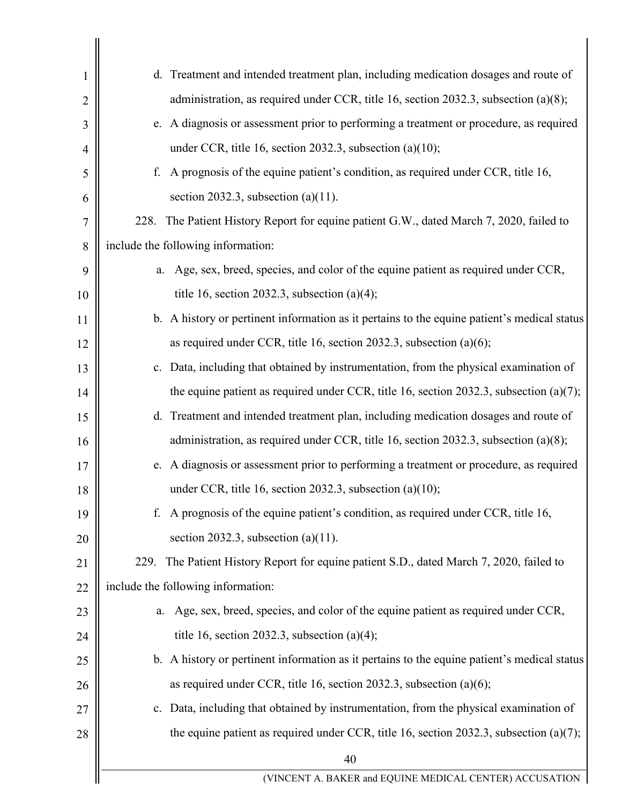| 1              | d. Treatment and intended treatment plan, including medication dosages and route of         |
|----------------|---------------------------------------------------------------------------------------------|
| $\overline{2}$ | administration, as required under CCR, title 16, section 2032.3, subsection (a)(8);         |
| 3              | e. A diagnosis or assessment prior to performing a treatment or procedure, as required      |
| 4              | under CCR, title 16, section 2032.3, subsection $(a)(10)$ ;                                 |
| 5              | A prognosis of the equine patient's condition, as required under CCR, title 16,<br>f.       |
| 6              | section 2032.3, subsection (a) $(11)$ .                                                     |
| 7              | The Patient History Report for equine patient G.W., dated March 7, 2020, failed to<br>228.  |
| 8              | include the following information:                                                          |
| 9              | Age, sex, breed, species, and color of the equine patient as required under CCR,<br>a.      |
| 10             | title 16, section 2032.3, subsection (a)(4);                                                |
| 11             | b. A history or pertinent information as it pertains to the equine patient's medical status |
| 12             | as required under CCR, title 16, section 2032.3, subsection $(a)(6)$ ;                      |
| 13             | c. Data, including that obtained by instrumentation, from the physical examination of       |
| 14             | the equine patient as required under CCR, title 16, section 2032.3, subsection $(a)(7)$ ;   |
| 15             | d. Treatment and intended treatment plan, including medication dosages and route of         |
| 16             | administration, as required under CCR, title 16, section 2032.3, subsection (a)(8);         |
| 17             | e. A diagnosis or assessment prior to performing a treatment or procedure, as required      |
| 18             | under CCR, title 16, section 2032.3, subsection (a)(10);                                    |
| 19             | A prognosis of the equine patient's condition, as required under CCR, title 16,<br>f.       |
| 20             | section 2032.3, subsection (a)(11).                                                         |
| 21             | The Patient History Report for equine patient S.D., dated March 7, 2020, failed to<br>229.  |
| 22             | include the following information:                                                          |
| 23             | Age, sex, breed, species, and color of the equine patient as required under CCR,<br>a.      |
| 24             | title 16, section 2032.3, subsection (a)(4);                                                |
| 25             | b. A history or pertinent information as it pertains to the equine patient's medical status |
| 26             | as required under CCR, title 16, section 2032.3, subsection (a) $(6)$ ;                     |
| 27             | c. Data, including that obtained by instrumentation, from the physical examination of       |
| 28             | the equine patient as required under CCR, title 16, section 2032.3, subsection (a)(7);      |
|                | 40                                                                                          |
|                | (VINCENT A. BAKER and EQUINE MEDICAL CENTER) ACCUSATION                                     |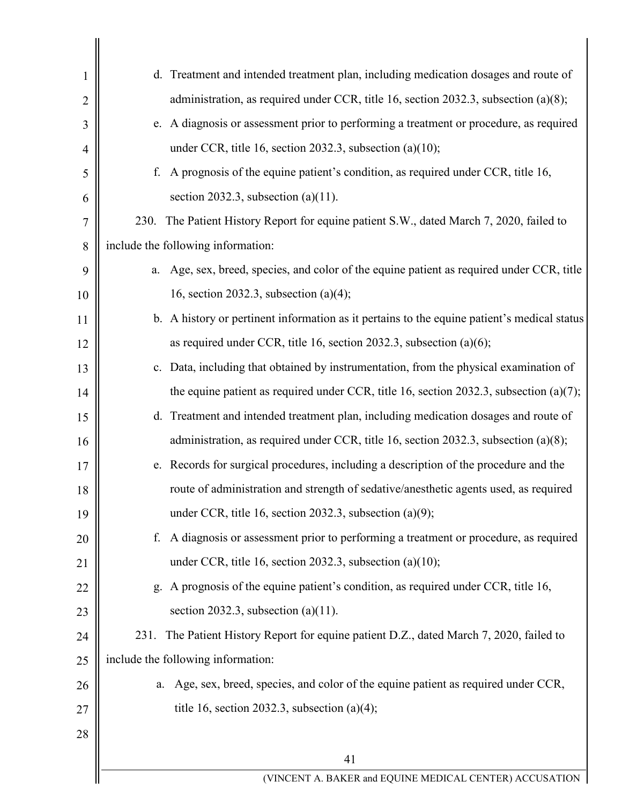| 1  | d. Treatment and intended treatment plan, including medication dosages and route of         |
|----|---------------------------------------------------------------------------------------------|
| 2  | administration, as required under CCR, title 16, section 2032.3, subsection (a)(8);         |
| 3  | e. A diagnosis or assessment prior to performing a treatment or procedure, as required      |
| 4  | under CCR, title 16, section 2032.3, subsection $(a)(10)$ ;                                 |
| 5  | f. A prognosis of the equine patient's condition, as required under CCR, title 16,          |
| 6  | section 2032.3, subsection (a) $(11)$ .                                                     |
| 7  | The Patient History Report for equine patient S.W., dated March 7, 2020, failed to<br>230.  |
| 8  | include the following information:                                                          |
| 9  | a. Age, sex, breed, species, and color of the equine patient as required under CCR, title   |
| 10 | 16, section 2032.3, subsection $(a)(4)$ ;                                                   |
| 11 | b. A history or pertinent information as it pertains to the equine patient's medical status |
| 12 | as required under CCR, title 16, section 2032.3, subsection $(a)(6)$ ;                      |
| 13 | c. Data, including that obtained by instrumentation, from the physical examination of       |
| 14 | the equine patient as required under CCR, title 16, section 2032.3, subsection $(a)(7)$ ;   |
| 15 | d. Treatment and intended treatment plan, including medication dosages and route of         |
| 16 | administration, as required under CCR, title 16, section 2032.3, subsection (a)(8);         |
| 17 | e. Records for surgical procedures, including a description of the procedure and the        |
| 18 | route of administration and strength of sedative/anesthetic agents used, as required        |
| 19 | under CCR, title 16, section 2032.3, subsection $(a)(9)$ ;                                  |
| 20 | A diagnosis or assessment prior to performing a treatment or procedure, as required<br>f.   |
| 21 | under CCR, title 16, section 2032.3, subsection $(a)(10)$ ;                                 |
| 22 | g. A prognosis of the equine patient's condition, as required under CCR, title 16,          |
| 23 | section 2032.3, subsection (a) $(11)$ .                                                     |
| 24 | The Patient History Report for equine patient D.Z., dated March 7, 2020, failed to<br>231.  |
| 25 | include the following information:                                                          |
| 26 | Age, sex, breed, species, and color of the equine patient as required under CCR,<br>a.      |
| 27 | title 16, section 2032.3, subsection (a)(4);                                                |
| 28 |                                                                                             |
|    | 41                                                                                          |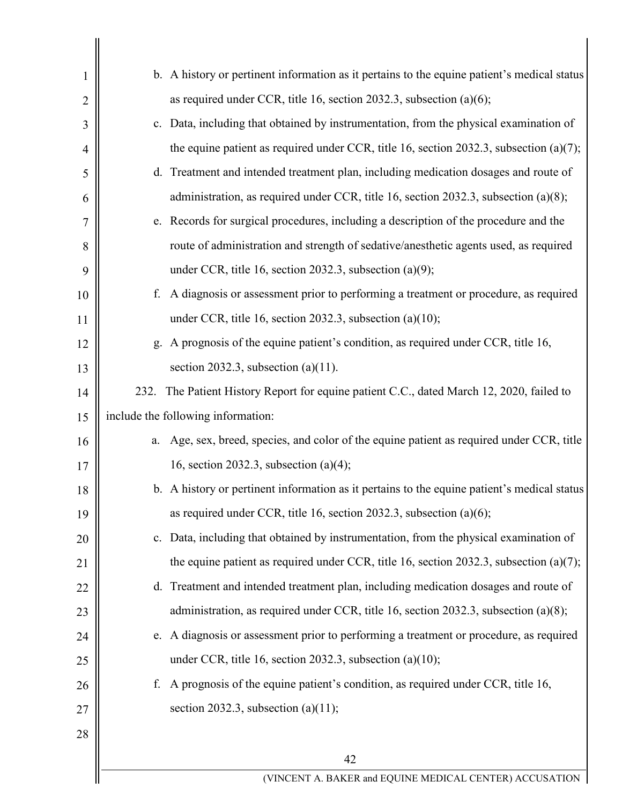| $\mathbf{I}$ | b. A history or pertinent information as it pertains to the equine patient's medical status |
|--------------|---------------------------------------------------------------------------------------------|
| 2            | as required under CCR, title 16, section 2032.3, subsection $(a)(6)$ ;                      |
| 3            | c. Data, including that obtained by instrumentation, from the physical examination of       |
| 4            | the equine patient as required under CCR, title 16, section 2032.3, subsection $(a)(7)$ ;   |
| 5            | d. Treatment and intended treatment plan, including medication dosages and route of         |
| 6            | administration, as required under CCR, title 16, section 2032.3, subsection (a)(8);         |
| 7            | e. Records for surgical procedures, including a description of the procedure and the        |
| 8            | route of administration and strength of sedative/anesthetic agents used, as required        |
| 9            | under CCR, title 16, section 2032.3, subsection $(a)(9)$ ;                                  |
| 10           | A diagnosis or assessment prior to performing a treatment or procedure, as required<br>f.   |
| 11           | under CCR, title 16, section 2032.3, subsection (a)(10);                                    |
| 12           | g. A prognosis of the equine patient's condition, as required under CCR, title 16,          |
| 13           | section 2032.3, subsection (a) $(11)$ .                                                     |
| 14           | 232. The Patient History Report for equine patient C.C., dated March 12, 2020, failed to    |
| 15           | include the following information:                                                          |
| 16           | a. Age, sex, breed, species, and color of the equine patient as required under CCR, title   |
| 17           | 16, section 2032.3, subsection $(a)(4)$ ;                                                   |
| 18           | b. A history or pertinent information as it pertains to the equine patient's medical status |
| 19           | as required under CCR, title 16, section 2032.3, subsection $(a)(6)$ ;                      |
| 20           | c. Data, including that obtained by instrumentation, from the physical examination of       |
| 21           | the equine patient as required under CCR, title 16, section 2032.3, subsection (a)(7);      |
| 22           | d. Treatment and intended treatment plan, including medication dosages and route of         |
| 23           | administration, as required under CCR, title 16, section 2032.3, subsection (a)(8);         |
| 24           | e. A diagnosis or assessment prior to performing a treatment or procedure, as required      |
| 25           | under CCR, title 16, section 2032.3, subsection $(a)(10)$ ;                                 |
| 26           | A prognosis of the equine patient's condition, as required under CCR, title 16,<br>f.       |
| 27           | section 2032.3, subsection (a) $(11)$ ;                                                     |
| 28           |                                                                                             |
|              | 42                                                                                          |
|              | (VINCENT A. BAKER and EQUINE MEDICAL CENTER) ACCUSATION                                     |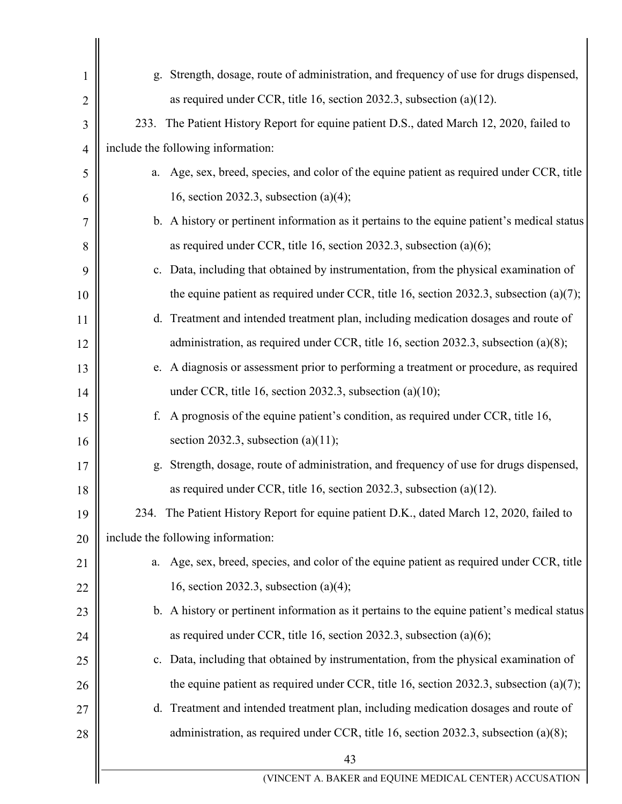|                | Strength, dosage, route of administration, and frequency of use for drugs dispensed,<br>g.  |
|----------------|---------------------------------------------------------------------------------------------|
| 2              | as required under CCR, title 16, section 2032.3, subsection (a)(12).                        |
| 3              | 233. The Patient History Report for equine patient D.S., dated March 12, 2020, failed to    |
| $\overline{4}$ | include the following information:                                                          |
| 5              | a. Age, sex, breed, species, and color of the equine patient as required under CCR, title   |
| 6              | 16, section 2032.3, subsection $(a)(4)$ ;                                                   |
| 7              | b. A history or pertinent information as it pertains to the equine patient's medical status |
| 8              | as required under CCR, title 16, section 2032.3, subsection $(a)(6)$ ;                      |
| 9              | c. Data, including that obtained by instrumentation, from the physical examination of       |
| 10             | the equine patient as required under CCR, title 16, section 2032.3, subsection $(a)(7)$ ;   |
| 11             | d. Treatment and intended treatment plan, including medication dosages and route of         |
| 12             | administration, as required under CCR, title 16, section 2032.3, subsection (a)(8);         |
| 13             | e. A diagnosis or assessment prior to performing a treatment or procedure, as required      |
| 14             | under CCR, title 16, section 2032.3, subsection $(a)(10)$ ;                                 |
| 15             | A prognosis of the equine patient's condition, as required under CCR, title 16,<br>f.       |
| 16             | section 2032.3, subsection (a)(11);                                                         |
| 17             | Strength, dosage, route of administration, and frequency of use for drugs dispensed,<br>g.  |
| 18             | as required under CCR, title 16, section 2032.3, subsection (a)(12).                        |
| 19             | 234. The Patient History Report for equine patient D.K., dated March 12, 2020, failed to    |
| 20             | include the following information:                                                          |
| 21             | a. Age, sex, breed, species, and color of the equine patient as required under CCR, title   |
| 22             | 16, section 2032.3, subsection $(a)(4)$ ;                                                   |
| 23             | b. A history or pertinent information as it pertains to the equine patient's medical status |
| 24             | as required under CCR, title 16, section 2032.3, subsection $(a)(6)$ ;                      |
| 25             | c. Data, including that obtained by instrumentation, from the physical examination of       |
| 26             | the equine patient as required under CCR, title 16, section 2032.3, subsection (a)(7);      |
| 27             | d. Treatment and intended treatment plan, including medication dosages and route of         |
| 28             | administration, as required under CCR, title 16, section 2032.3, subsection (a)(8);         |
|                | 43                                                                                          |
|                | (VINCENT A. BAKER and EQUINE MEDICAL CENTER) ACCUSATION                                     |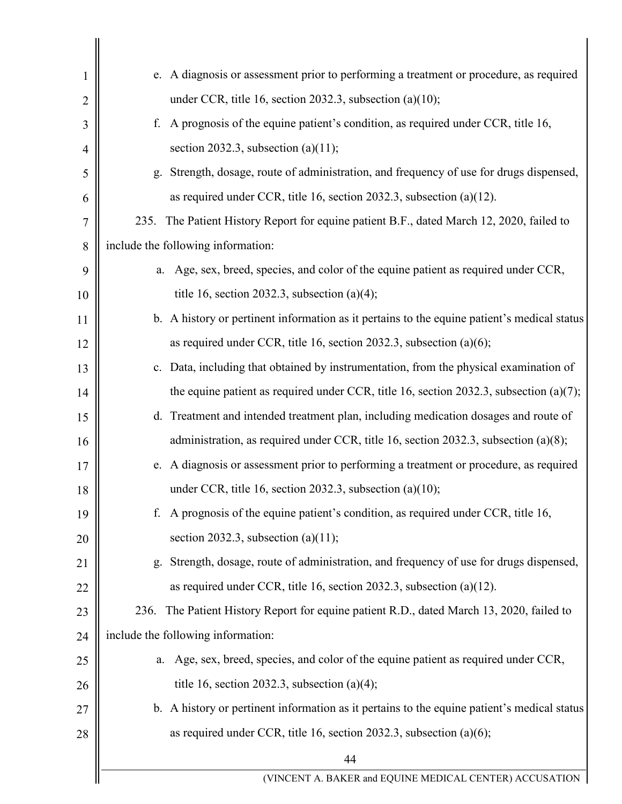| 1              | e. A diagnosis or assessment prior to performing a treatment or procedure, as required      |
|----------------|---------------------------------------------------------------------------------------------|
| $\overline{2}$ | under CCR, title 16, section 2032.3, subsection $(a)(10)$ ;                                 |
| 3              | A prognosis of the equine patient's condition, as required under CCR, title 16,<br>f.       |
| 4              | section 2032.3, subsection (a) $(11)$ ;                                                     |
| 5              | g. Strength, dosage, route of administration, and frequency of use for drugs dispensed,     |
| 6              | as required under CCR, title 16, section 2032.3, subsection (a)(12).                        |
| 7              | The Patient History Report for equine patient B.F., dated March 12, 2020, failed to<br>235. |
| 8              | include the following information:                                                          |
| 9              | Age, sex, breed, species, and color of the equine patient as required under CCR,<br>a.      |
| 10             | title 16, section 2032.3, subsection (a)(4);                                                |
| 11             | b. A history or pertinent information as it pertains to the equine patient's medical status |
| 12             | as required under CCR, title 16, section 2032.3, subsection $(a)(6)$ ;                      |
| 13             | c. Data, including that obtained by instrumentation, from the physical examination of       |
| 14             | the equine patient as required under CCR, title 16, section 2032.3, subsection (a)(7);      |
| 15             | d. Treatment and intended treatment plan, including medication dosages and route of         |
| 16             | administration, as required under CCR, title 16, section 2032.3, subsection (a)(8);         |
| 17             | e. A diagnosis or assessment prior to performing a treatment or procedure, as required      |
| 18             | under CCR, title 16, section 2032.3, subsection (a)(10);                                    |
| 19             | A prognosis of the equine patient's condition, as required under CCR, title 16,<br>f.       |
| 20             | section 2032.3, subsection (a)(11);                                                         |
| 21             | Strength, dosage, route of administration, and frequency of use for drugs dispensed,<br>g.  |
| 22             | as required under CCR, title 16, section 2032.3, subsection (a)(12).                        |
| 23             | The Patient History Report for equine patient R.D., dated March 13, 2020, failed to<br>236. |
| 24             | include the following information:                                                          |
| 25             | Age, sex, breed, species, and color of the equine patient as required under CCR,<br>a.      |
| 26             | title 16, section 2032.3, subsection (a)(4);                                                |
| 27             | b. A history or pertinent information as it pertains to the equine patient's medical status |
| 28             | as required under CCR, title 16, section 2032.3, subsection $(a)(6)$ ;                      |
|                | 44                                                                                          |
|                | (VINCENT A. BAKER and EQUINE MEDICAL CENTER) ACCUSATION                                     |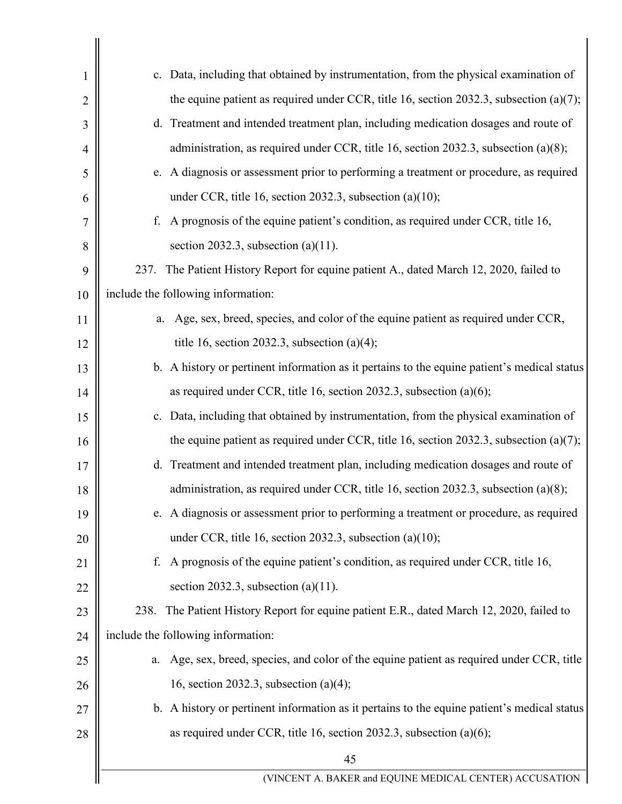| $\mathbf{1}$   | c. Data, including that obtained by instrumentation, from the physical examination of        |
|----------------|----------------------------------------------------------------------------------------------|
| $\overline{2}$ | the equine patient as required under CCR, title 16, section 2032.3, subsection $(a)(7)$ ;    |
| 3              | d. Treatment and intended treatment plan, including medication dosages and route of          |
| $\overline{4}$ | administration, as required under CCR, title 16, section 2032.3, subsection (a)(8);          |
| 5              | e. A diagnosis or assessment prior to performing a treatment or procedure, as required       |
| 6              | under CCR, title 16, section 2032.3, subsection $(a)(10)$ ;                                  |
| 7              | A prognosis of the equine patient's condition, as required under CCR, title 16,<br>f.        |
| 8              | section 2032.3, subsection (a) $(11)$ .                                                      |
| 9              | The Patient History Report for equine patient A., dated March 12, 2020, failed to<br>237.    |
| 10             | include the following information:                                                           |
| 11             | Age, sex, breed, species, and color of the equine patient as required under CCR,<br>a.       |
| 12             | title 16, section 2032.3, subsection (a)(4);                                                 |
| 13             | b. A history or pertinent information as it pertains to the equine patient's medical status  |
| 14             | as required under CCR, title 16, section 2032.3, subsection $(a)(6)$ ;                       |
| 15             | c. Data, including that obtained by instrumentation, from the physical examination of        |
| 16             | the equine patient as required under CCR, title 16, section 2032.3, subsection $(a)(7)$ ;    |
| 17             | d. Treatment and intended treatment plan, including medication dosages and route of          |
| 18             | administration, as required under CCR, title 16, section 2032.3, subsection (a)(8);          |
| 19             | e. A diagnosis or assessment prior to performing a treatment or procedure, as required       |
| 20             | under CCR, title 16, section 2032.3, subsection $(a)(10)$ ;                                  |
| 21             | A prognosis of the equine patient's condition, as required under CCR, title 16,<br>f.        |
| 22             | section 2032.3, subsection (a) $(11)$ .                                                      |
| 23             | The Patient History Report for equine patient E.R., dated March 12, 2020, failed to<br>238.  |
| 24             | include the following information:                                                           |
| 25             | Age, sex, breed, species, and color of the equine patient as required under CCR, title<br>a. |
| 26             | 16, section 2032.3, subsection $(a)(4)$ ;                                                    |
| 27             | b. A history or pertinent information as it pertains to the equine patient's medical status  |
| 28             | as required under CCR, title 16, section 2032.3, subsection (a)(6);                          |
|                | 45                                                                                           |
|                | (VINCENT A. BAKER and EQUINE MEDICAL CENTER) ACCUSATION                                      |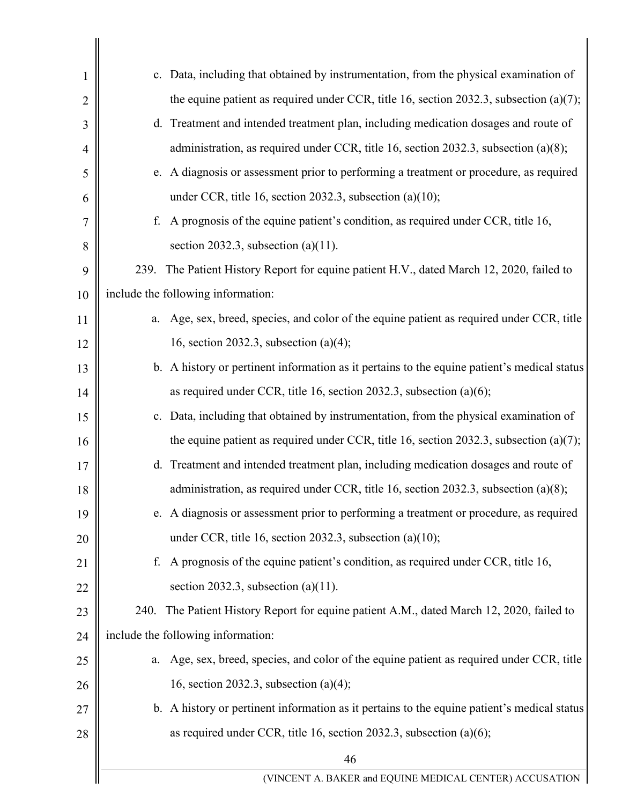| 1  | c. Data, including that obtained by instrumentation, from the physical examination of       |
|----|---------------------------------------------------------------------------------------------|
| 2  | the equine patient as required under CCR, title 16, section 2032.3, subsection $(a)(7)$ ;   |
| 3  | d. Treatment and intended treatment plan, including medication dosages and route of         |
| 4  | administration, as required under CCR, title 16, section 2032.3, subsection (a)(8);         |
| 5  | e. A diagnosis or assessment prior to performing a treatment or procedure, as required      |
| 6  | under CCR, title 16, section 2032.3, subsection (a)(10);                                    |
| 7  | A prognosis of the equine patient's condition, as required under CCR, title 16,<br>f.       |
| 8  | section 2032.3, subsection (a) $(11)$ .                                                     |
| 9  | The Patient History Report for equine patient H.V., dated March 12, 2020, failed to<br>239. |
| 10 | include the following information:                                                          |
| 11 | a. Age, sex, breed, species, and color of the equine patient as required under CCR, title   |
| 12 | 16, section 2032.3, subsection $(a)(4)$ ;                                                   |
| 13 | b. A history or pertinent information as it pertains to the equine patient's medical status |
| 14 | as required under CCR, title 16, section 2032.3, subsection $(a)(6)$ ;                      |
| 15 | c. Data, including that obtained by instrumentation, from the physical examination of       |
| 16 | the equine patient as required under CCR, title 16, section 2032.3, subsection $(a)(7)$ ;   |
| 17 | d. Treatment and intended treatment plan, including medication dosages and route of         |
| 18 | administration, as required under CCR, title 16, section 2032.3, subsection (a)(8);         |
| 19 | e. A diagnosis or assessment prior to performing a treatment or procedure, as required      |
| 20 | under CCR, title 16, section 2032.3, subsection $(a)(10)$ ;                                 |
| 21 | A prognosis of the equine patient's condition, as required under CCR, title 16,<br>f.       |
| 22 | section 2032.3, subsection $(a)(11)$ .                                                      |
| 23 | 240. The Patient History Report for equine patient A.M., dated March 12, 2020, failed to    |
| 24 | include the following information:                                                          |
| 25 | a. Age, sex, breed, species, and color of the equine patient as required under CCR, title   |
| 26 | 16, section 2032.3, subsection $(a)(4)$ ;                                                   |
| 27 | b. A history or pertinent information as it pertains to the equine patient's medical status |
| 28 | as required under CCR, title 16, section 2032.3, subsection $(a)(6)$ ;                      |
|    | 46                                                                                          |
|    | (VINCENT A. BAKER and EQUINE MEDICAL CENTER) ACCUSATION                                     |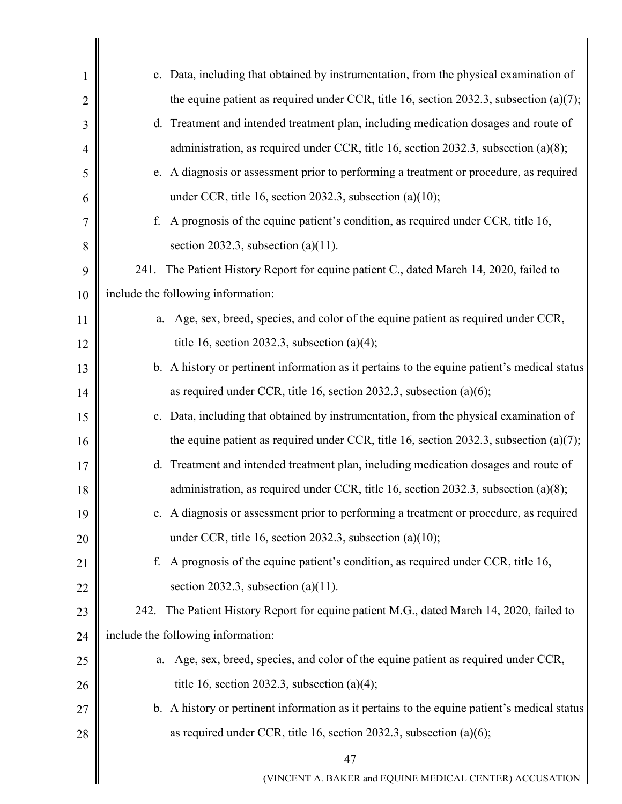| 1              | c. Data, including that obtained by instrumentation, from the physical examination of       |
|----------------|---------------------------------------------------------------------------------------------|
| $\overline{2}$ | the equine patient as required under CCR, title 16, section 2032.3, subsection $(a)(7)$ ;   |
| 3              | d. Treatment and intended treatment plan, including medication dosages and route of         |
| 4              | administration, as required under CCR, title 16, section 2032.3, subsection (a)(8);         |
| 5              | e. A diagnosis or assessment prior to performing a treatment or procedure, as required      |
| 6              | under CCR, title 16, section 2032.3, subsection $(a)(10)$ ;                                 |
| 7              | A prognosis of the equine patient's condition, as required under CCR, title 16,<br>f.       |
| 8              | section 2032.3, subsection (a) $(11)$ .                                                     |
| 9              | 241. The Patient History Report for equine patient C., dated March 14, 2020, failed to      |
| 10             | include the following information:                                                          |
| 11             | Age, sex, breed, species, and color of the equine patient as required under CCR,<br>a.      |
| 12             | title 16, section 2032.3, subsection (a)(4);                                                |
| 13             | b. A history or pertinent information as it pertains to the equine patient's medical status |
| 14             | as required under CCR, title 16, section 2032.3, subsection $(a)(6)$ ;                      |
| 15             | c. Data, including that obtained by instrumentation, from the physical examination of       |
| 16             | the equine patient as required under CCR, title 16, section 2032.3, subsection (a)(7);      |
| 17             | d. Treatment and intended treatment plan, including medication dosages and route of         |
| 18             | administration, as required under CCR, title 16, section 2032.3, subsection (a)(8);         |
| 19             | e. A diagnosis or assessment prior to performing a treatment or procedure, as required      |
| 20             | under CCR, title 16, section 2032.3, subsection $(a)(10)$ ;                                 |
| 21             | A prognosis of the equine patient's condition, as required under CCR, title 16,<br>f.       |
| 22             | section 2032.3, subsection (a) $(11)$ .                                                     |
| 23             | 242. The Patient History Report for equine patient M.G., dated March 14, 2020, failed to    |
| 24             | include the following information:                                                          |
| 25             | Age, sex, breed, species, and color of the equine patient as required under CCR,<br>a.      |
| 26             | title 16, section 2032.3, subsection (a)(4);                                                |
| 27             | b. A history or pertinent information as it pertains to the equine patient's medical status |
| 28             | as required under CCR, title 16, section 2032.3, subsection $(a)(6)$ ;                      |
|                | 47                                                                                          |
|                | (VINCENT A. BAKER and EQUINE MEDICAL CENTER) ACCUSATION                                     |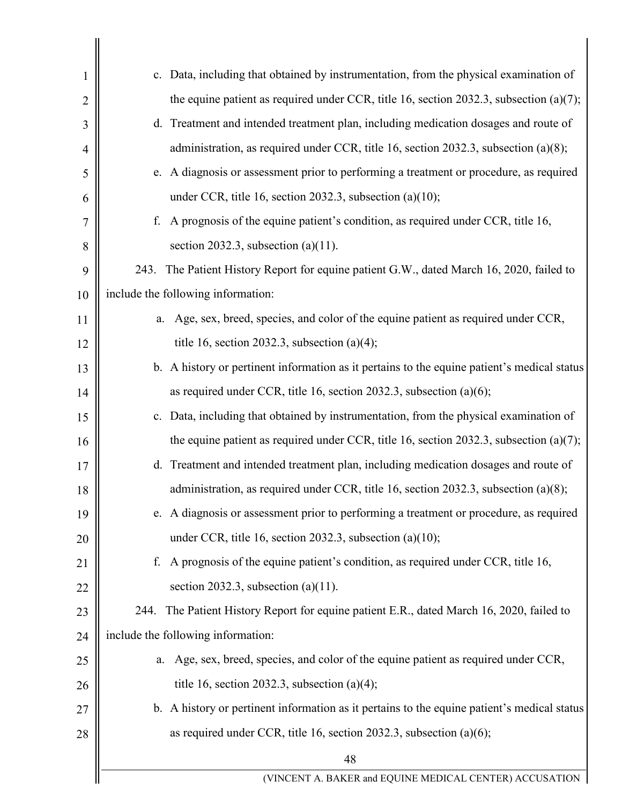| 1              | c. Data, including that obtained by instrumentation, from the physical examination of       |
|----------------|---------------------------------------------------------------------------------------------|
| $\overline{2}$ | the equine patient as required under CCR, title 16, section 2032.3, subsection $(a)(7)$ ;   |
| 3              | d. Treatment and intended treatment plan, including medication dosages and route of         |
| 4              | administration, as required under CCR, title 16, section 2032.3, subsection (a)(8);         |
| 5              | e. A diagnosis or assessment prior to performing a treatment or procedure, as required      |
| 6              | under CCR, title 16, section 2032.3, subsection $(a)(10)$ ;                                 |
| 7              | A prognosis of the equine patient's condition, as required under CCR, title 16,<br>f.       |
| 8              | section 2032.3, subsection (a) $(11)$ .                                                     |
| 9              | 243. The Patient History Report for equine patient G.W., dated March 16, 2020, failed to    |
| 10             | include the following information:                                                          |
| 11             | Age, sex, breed, species, and color of the equine patient as required under CCR,<br>a.      |
| 12             | title 16, section 2032.3, subsection (a)(4);                                                |
| 13             | b. A history or pertinent information as it pertains to the equine patient's medical status |
| 14             | as required under CCR, title 16, section 2032.3, subsection $(a)(6)$ ;                      |
| 15             | c. Data, including that obtained by instrumentation, from the physical examination of       |
| 16             | the equine patient as required under CCR, title 16, section 2032.3, subsection $(a)(7)$ ;   |
| 17             | d. Treatment and intended treatment plan, including medication dosages and route of         |
| 18             | administration, as required under CCR, title 16, section 2032.3, subsection (a)(8);         |
| 19             | e. A diagnosis or assessment prior to performing a treatment or procedure, as required      |
| 20             | under CCR, title 16, section 2032.3, subsection $(a)(10)$ ;                                 |
| 21             | A prognosis of the equine patient's condition, as required under CCR, title 16,<br>f.       |
| 22             | section 2032.3, subsection (a)(11).                                                         |
| 23             | 244. The Patient History Report for equine patient E.R., dated March 16, 2020, failed to    |
| 24             | include the following information:                                                          |
| 25             | Age, sex, breed, species, and color of the equine patient as required under CCR,<br>a.      |
| 26             | title 16, section 2032.3, subsection (a)(4);                                                |
| 27             | b. A history or pertinent information as it pertains to the equine patient's medical status |
| 28             | as required under CCR, title 16, section 2032.3, subsection $(a)(6)$ ;                      |
|                | 48                                                                                          |
|                | (VINCENT A. BAKER and EQUINE MEDICAL CENTER) ACCUSATION                                     |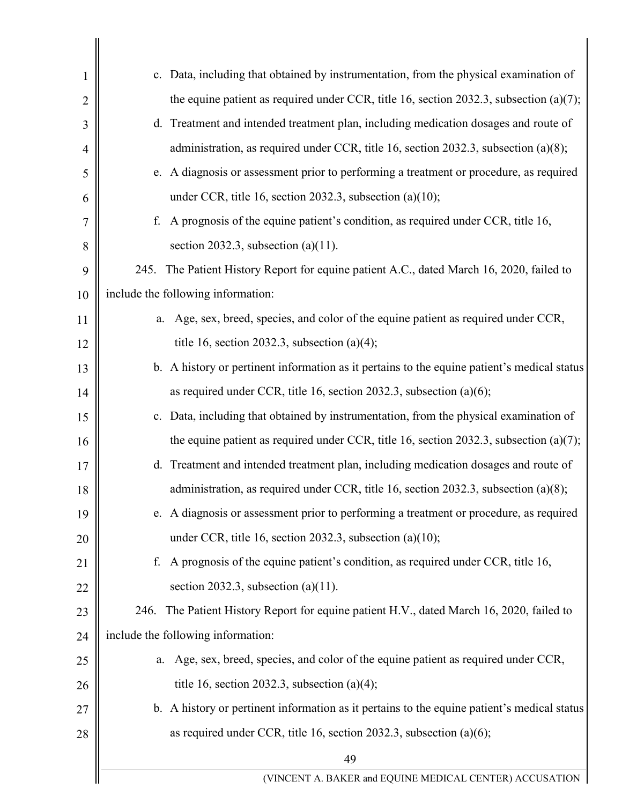| 1              | c. Data, including that obtained by instrumentation, from the physical examination of       |  |
|----------------|---------------------------------------------------------------------------------------------|--|
| $\overline{2}$ | the equine patient as required under CCR, title 16, section 2032.3, subsection $(a)(7)$ ;   |  |
| 3              | d. Treatment and intended treatment plan, including medication dosages and route of         |  |
| 4              | administration, as required under CCR, title 16, section 2032.3, subsection (a)(8);         |  |
| 5              | e. A diagnosis or assessment prior to performing a treatment or procedure, as required      |  |
| 6              | under CCR, title 16, section 2032.3, subsection $(a)(10)$ ;                                 |  |
| 7              | A prognosis of the equine patient's condition, as required under CCR, title 16,<br>f.       |  |
| 8              | section 2032.3, subsection (a) $(11)$ .                                                     |  |
| 9              | 245. The Patient History Report for equine patient A.C., dated March 16, 2020, failed to    |  |
| 10             | include the following information:                                                          |  |
| 11             | Age, sex, breed, species, and color of the equine patient as required under CCR,<br>a.      |  |
| 12             | title 16, section 2032.3, subsection (a)(4);                                                |  |
| 13             | b. A history or pertinent information as it pertains to the equine patient's medical status |  |
| 14             | as required under CCR, title 16, section 2032.3, subsection $(a)(6)$ ;                      |  |
| 15             | c. Data, including that obtained by instrumentation, from the physical examination of       |  |
| 16             | the equine patient as required under CCR, title 16, section 2032.3, subsection $(a)(7)$ ;   |  |
| 17             | d. Treatment and intended treatment plan, including medication dosages and route of         |  |
| 18             | administration, as required under CCR, title 16, section 2032.3, subsection (a)(8);         |  |
| 19             | e. A diagnosis or assessment prior to performing a treatment or procedure, as required      |  |
| 20             | under CCR, title 16, section 2032.3, subsection $(a)(10)$ ;                                 |  |
| 21             | A prognosis of the equine patient's condition, as required under CCR, title 16,<br>f.       |  |
| 22             | section 2032.3, subsection (a)(11).                                                         |  |
| 23             | 246. The Patient History Report for equine patient H.V., dated March 16, 2020, failed to    |  |
| 24             | include the following information:                                                          |  |
| 25             | Age, sex, breed, species, and color of the equine patient as required under CCR,<br>a.      |  |
| 26             | title 16, section 2032.3, subsection (a)(4);                                                |  |
| 27             | b. A history or pertinent information as it pertains to the equine patient's medical status |  |
| 28             | as required under CCR, title 16, section 2032.3, subsection $(a)(6)$ ;                      |  |
|                | 49                                                                                          |  |
|                | (VINCENT A. BAKER and EQUINE MEDICAL CENTER) ACCUSATION                                     |  |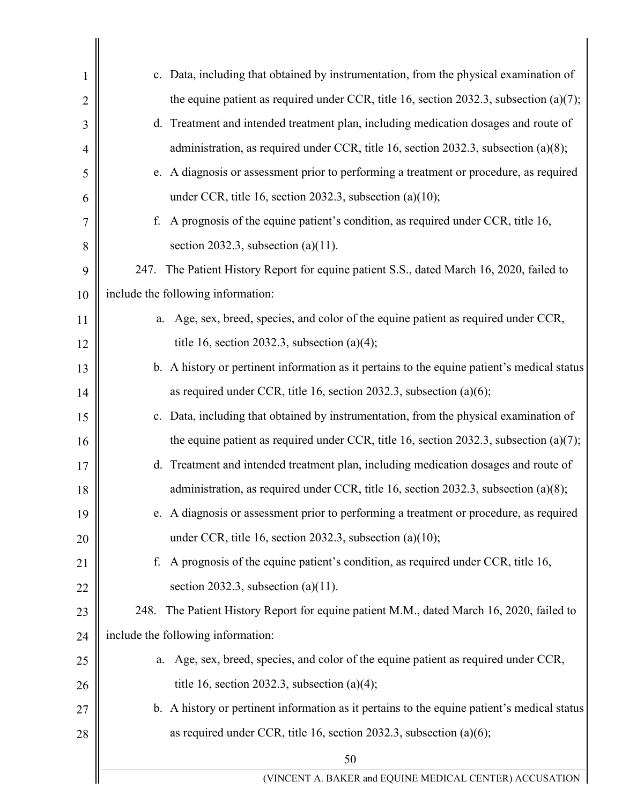| 1              | c. Data, including that obtained by instrumentation, from the physical examination of       |  |
|----------------|---------------------------------------------------------------------------------------------|--|
| $\overline{2}$ | the equine patient as required under CCR, title 16, section 2032.3, subsection $(a)(7)$ ;   |  |
| 3              | d. Treatment and intended treatment plan, including medication dosages and route of         |  |
| 4              | administration, as required under CCR, title 16, section 2032.3, subsection (a)(8);         |  |
| 5              | e. A diagnosis or assessment prior to performing a treatment or procedure, as required      |  |
| 6              | under CCR, title 16, section 2032.3, subsection $(a)(10)$ ;                                 |  |
| 7              | A prognosis of the equine patient's condition, as required under CCR, title 16,<br>f.       |  |
| 8              | section 2032.3, subsection (a) $(11)$ .                                                     |  |
| 9              | The Patient History Report for equine patient S.S., dated March 16, 2020, failed to<br>247. |  |
| 10             | include the following information:                                                          |  |
| 11             | Age, sex, breed, species, and color of the equine patient as required under CCR,<br>a.      |  |
| 12             | title 16, section 2032.3, subsection (a)(4);                                                |  |
| 13             | b. A history or pertinent information as it pertains to the equine patient's medical status |  |
| 14             | as required under CCR, title 16, section 2032.3, subsection $(a)(6)$ ;                      |  |
| 15             | c. Data, including that obtained by instrumentation, from the physical examination of       |  |
| 16             | the equine patient as required under CCR, title 16, section 2032.3, subsection $(a)(7)$ ;   |  |
| 17             | d. Treatment and intended treatment plan, including medication dosages and route of         |  |
| 18             | administration, as required under CCR, title 16, section 2032.3, subsection (a)(8);         |  |
| 19             | e. A diagnosis or assessment prior to performing a treatment or procedure, as required      |  |
| 20             | under CCR, title 16, section 2032.3, subsection $(a)(10)$ ;                                 |  |
| 21             | A prognosis of the equine patient's condition, as required under CCR, title 16,<br>f.       |  |
| 22             | section 2032.3, subsection (a) $(11)$ .                                                     |  |
| 23             | 248. The Patient History Report for equine patient M.M., dated March 16, 2020, failed to    |  |
| 24             | include the following information:                                                          |  |
| 25             | Age, sex, breed, species, and color of the equine patient as required under CCR,<br>a.      |  |
| 26             | title 16, section 2032.3, subsection (a)(4);                                                |  |
| 27             | b. A history or pertinent information as it pertains to the equine patient's medical status |  |
| 28             | as required under CCR, title 16, section 2032.3, subsection $(a)(6)$ ;                      |  |
|                | 50                                                                                          |  |
|                | (VINCENT A. BAKER and EQUINE MEDICAL CENTER) ACCUSATION                                     |  |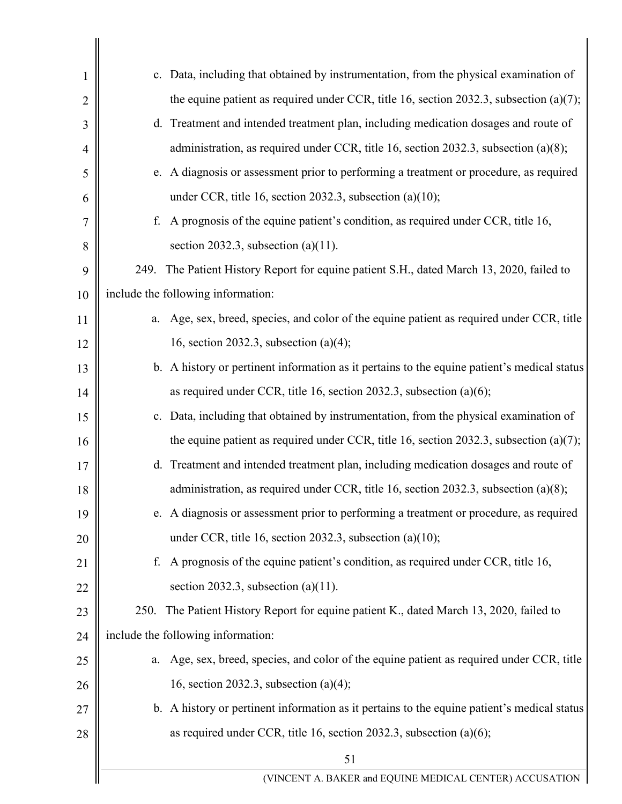| 1              | c. Data, including that obtained by instrumentation, from the physical examination of        |  |
|----------------|----------------------------------------------------------------------------------------------|--|
| $\overline{2}$ | the equine patient as required under CCR, title 16, section 2032.3, subsection (a)(7);       |  |
| 3              | d. Treatment and intended treatment plan, including medication dosages and route of          |  |
| 4              | administration, as required under CCR, title 16, section 2032.3, subsection (a)(8);          |  |
| 5              | e. A diagnosis or assessment prior to performing a treatment or procedure, as required       |  |
| 6              | under CCR, title 16, section 2032.3, subsection $(a)(10)$ ;                                  |  |
| 7              | A prognosis of the equine patient's condition, as required under CCR, title 16,<br>f.        |  |
| 8              | section 2032.3, subsection (a) $(11)$ .                                                      |  |
| 9              | The Patient History Report for equine patient S.H., dated March 13, 2020, failed to<br>249.  |  |
| 10             | include the following information:                                                           |  |
| 11             | Age, sex, breed, species, and color of the equine patient as required under CCR, title<br>a. |  |
| 12             | 16, section 2032.3, subsection $(a)(4)$ ;                                                    |  |
| 13             | b. A history or pertinent information as it pertains to the equine patient's medical status  |  |
| 14             | as required under CCR, title 16, section 2032.3, subsection $(a)(6)$ ;                       |  |
| 15             | c. Data, including that obtained by instrumentation, from the physical examination of        |  |
| 16             | the equine patient as required under CCR, title 16, section 2032.3, subsection $(a)(7)$ ;    |  |
| 17             | d. Treatment and intended treatment plan, including medication dosages and route of          |  |
| 18             | administration, as required under CCR, title 16, section 2032.3, subsection (a)(8);          |  |
| 19             | e. A diagnosis or assessment prior to performing a treatment or procedure, as required       |  |
| 20             | under CCR, title 16, section 2032.3, subsection $(a)(10)$ ;                                  |  |
| 21             | A prognosis of the equine patient's condition, as required under CCR, title 16,<br>f.        |  |
| 22             | section 2032.3, subsection (a) $(11)$ .                                                      |  |
| 23             | The Patient History Report for equine patient K., dated March 13, 2020, failed to<br>250.    |  |
| 24             | include the following information:                                                           |  |
| 25             | Age, sex, breed, species, and color of the equine patient as required under CCR, title<br>a. |  |
| 26             | 16, section 2032.3, subsection $(a)(4)$ ;                                                    |  |
| 27             | b. A history or pertinent information as it pertains to the equine patient's medical status  |  |
| 28             | as required under CCR, title 16, section 2032.3, subsection $(a)(6)$ ;                       |  |
|                | 51                                                                                           |  |
|                | (VINCENT A. BAKER and EQUINE MEDICAL CENTER) ACCUSATION                                      |  |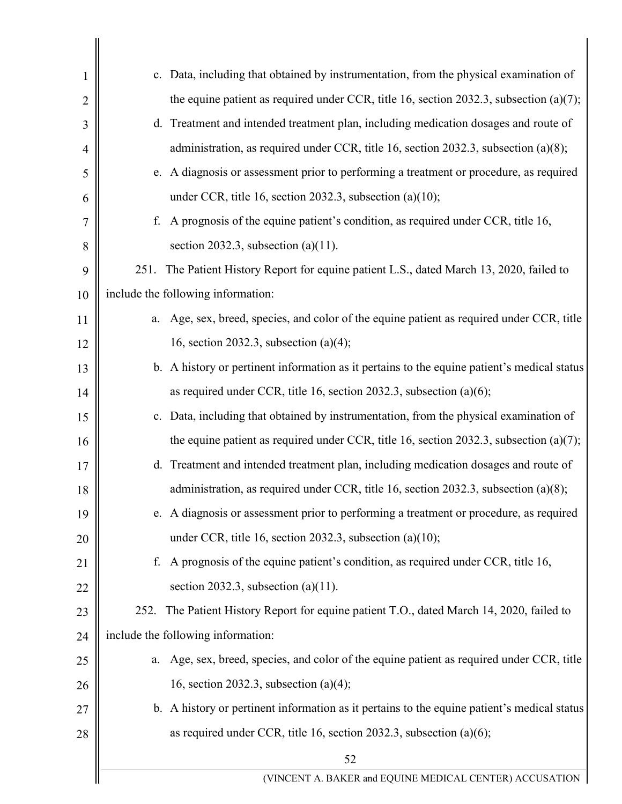| 1              | c. Data, including that obtained by instrumentation, from the physical examination of        |  |
|----------------|----------------------------------------------------------------------------------------------|--|
| $\overline{2}$ | the equine patient as required under CCR, title 16, section 2032.3, subsection $(a)(7)$ ;    |  |
| 3              | d. Treatment and intended treatment plan, including medication dosages and route of          |  |
| 4              | administration, as required under CCR, title 16, section 2032.3, subsection (a)(8);          |  |
| 5              | e. A diagnosis or assessment prior to performing a treatment or procedure, as required       |  |
| 6              | under CCR, title 16, section 2032.3, subsection $(a)(10)$ ;                                  |  |
| 7              | A prognosis of the equine patient's condition, as required under CCR, title 16,<br>f.        |  |
| 8              | section 2032.3, subsection (a) $(11)$ .                                                      |  |
| 9              | 251.<br>The Patient History Report for equine patient L.S., dated March 13, 2020, failed to  |  |
| 10             | include the following information:                                                           |  |
| 11             | Age, sex, breed, species, and color of the equine patient as required under CCR, title<br>a. |  |
| 12             | 16, section 2032.3, subsection $(a)(4)$ ;                                                    |  |
| 13             | b. A history or pertinent information as it pertains to the equine patient's medical status  |  |
| 14             | as required under CCR, title 16, section 2032.3, subsection $(a)(6)$ ;                       |  |
| 15             | c. Data, including that obtained by instrumentation, from the physical examination of        |  |
| 16             | the equine patient as required under CCR, title 16, section 2032.3, subsection $(a)(7)$ ;    |  |
| 17             | d. Treatment and intended treatment plan, including medication dosages and route of          |  |
| 18             | administration, as required under CCR, title 16, section 2032.3, subsection (a)(8);          |  |
| 19             | e. A diagnosis or assessment prior to performing a treatment or procedure, as required       |  |
| 20             | under CCR, title 16, section 2032.3, subsection $(a)(10)$ ;                                  |  |
| 21             | A prognosis of the equine patient's condition, as required under CCR, title 16,<br>f.        |  |
| 22             | section 2032.3, subsection (a) $(11)$ .                                                      |  |
| 23             | 252. The Patient History Report for equine patient T.O., dated March 14, 2020, failed to     |  |
| 24             | include the following information:                                                           |  |
| 25             | Age, sex, breed, species, and color of the equine patient as required under CCR, title<br>a. |  |
| 26             | 16, section 2032.3, subsection $(a)(4)$ ;                                                    |  |
| 27             | b. A history or pertinent information as it pertains to the equine patient's medical status  |  |
| 28             | as required under CCR, title 16, section 2032.3, subsection $(a)(6)$ ;                       |  |
|                | 52                                                                                           |  |
|                | (VINCENT A. BAKER and EQUINE MEDICAL CENTER) ACCUSATION                                      |  |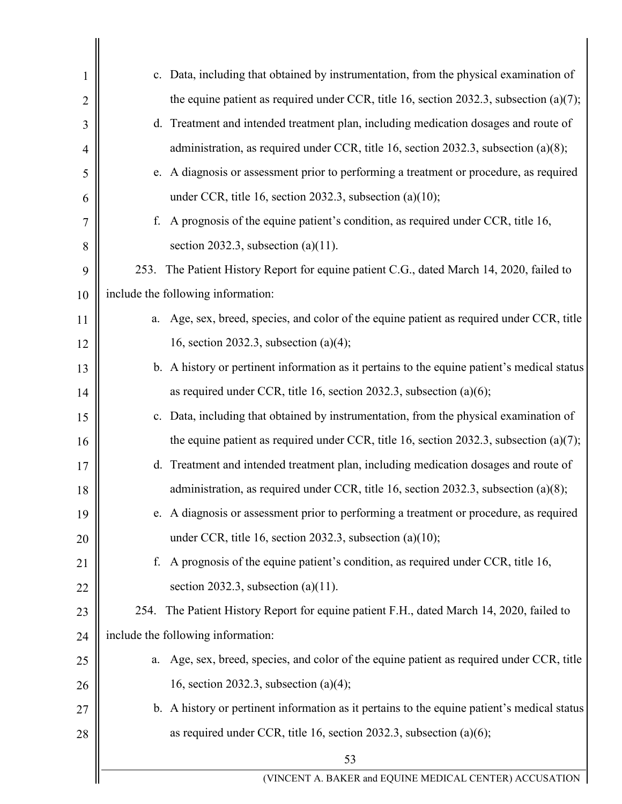| 1              | c. Data, including that obtained by instrumentation, from the physical examination of        |  |
|----------------|----------------------------------------------------------------------------------------------|--|
| $\overline{2}$ | the equine patient as required under CCR, title 16, section 2032.3, subsection $(a)(7)$ ;    |  |
| 3              | d. Treatment and intended treatment plan, including medication dosages and route of          |  |
| 4              | administration, as required under CCR, title 16, section 2032.3, subsection (a)(8);          |  |
| 5              | e. A diagnosis or assessment prior to performing a treatment or procedure, as required       |  |
| 6              | under CCR, title 16, section 2032.3, subsection (a)(10);                                     |  |
| 7              | A prognosis of the equine patient's condition, as required under CCR, title 16,<br>f.        |  |
| 8              | section 2032.3, subsection (a) $(11)$ .                                                      |  |
| 9              | The Patient History Report for equine patient C.G., dated March 14, 2020, failed to<br>253.  |  |
| 10             | include the following information:                                                           |  |
| 11             | Age, sex, breed, species, and color of the equine patient as required under CCR, title<br>a. |  |
| 12             | 16, section 2032.3, subsection $(a)(4)$ ;                                                    |  |
| 13             | b. A history or pertinent information as it pertains to the equine patient's medical status  |  |
| 14             | as required under CCR, title 16, section 2032.3, subsection (a)(6);                          |  |
| 15             | c. Data, including that obtained by instrumentation, from the physical examination of        |  |
| 16             | the equine patient as required under CCR, title 16, section 2032.3, subsection $(a)(7)$ ;    |  |
| 17             | d. Treatment and intended treatment plan, including medication dosages and route of          |  |
| 18             | administration, as required under CCR, title 16, section 2032.3, subsection (a)(8);          |  |
| 19             | e. A diagnosis or assessment prior to performing a treatment or procedure, as required       |  |
| 20             | under CCR, title 16, section 2032.3, subsection $(a)(10)$ ;                                  |  |
| 21             | A prognosis of the equine patient's condition, as required under CCR, title 16,<br>f.        |  |
| 22             | section 2032.3, subsection $(a)(11)$ .                                                       |  |
| 23             | 254. The Patient History Report for equine patient F.H., dated March 14, 2020, failed to     |  |
| 24             | include the following information:                                                           |  |
| 25             | Age, sex, breed, species, and color of the equine patient as required under CCR, title<br>a. |  |
| 26             | 16, section 2032.3, subsection $(a)(4)$ ;                                                    |  |
| 27             | b. A history or pertinent information as it pertains to the equine patient's medical status  |  |
| 28             | as required under CCR, title 16, section 2032.3, subsection $(a)(6)$ ;                       |  |
|                | 53                                                                                           |  |
|                | (VINCENT A. BAKER and EQUINE MEDICAL CENTER) ACCUSATION                                      |  |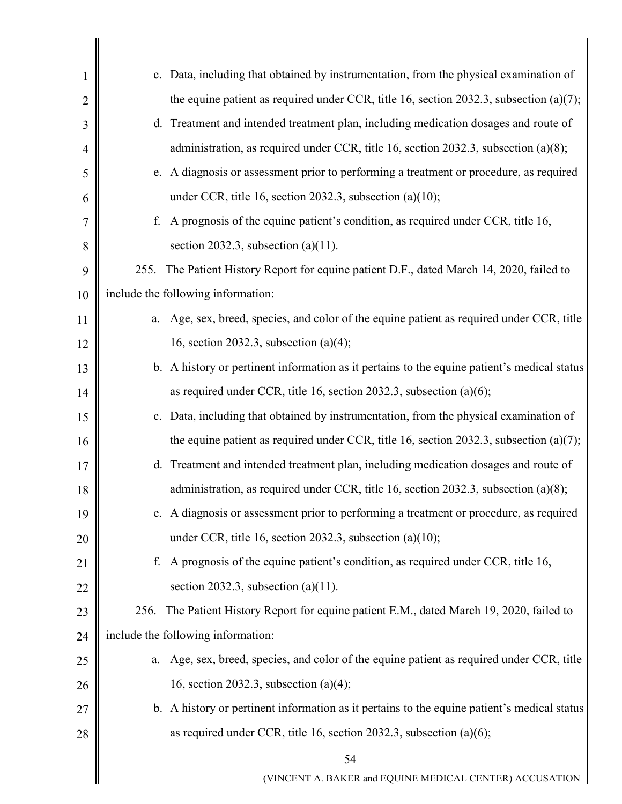| 1              | c. Data, including that obtained by instrumentation, from the physical examination of        |  |
|----------------|----------------------------------------------------------------------------------------------|--|
| $\overline{2}$ | the equine patient as required under CCR, title 16, section 2032.3, subsection $(a)(7)$ ;    |  |
| 3              | d. Treatment and intended treatment plan, including medication dosages and route of          |  |
| 4              | administration, as required under CCR, title 16, section 2032.3, subsection (a)(8);          |  |
| 5              | e. A diagnosis or assessment prior to performing a treatment or procedure, as required       |  |
| 6              | under CCR, title 16, section 2032.3, subsection (a)(10);                                     |  |
| 7              | A prognosis of the equine patient's condition, as required under CCR, title 16,<br>f.        |  |
| 8              | section 2032.3, subsection (a) $(11)$ .                                                      |  |
| 9              | The Patient History Report for equine patient D.F., dated March 14, 2020, failed to<br>255.  |  |
| 10             | include the following information:                                                           |  |
| 11             | Age, sex, breed, species, and color of the equine patient as required under CCR, title<br>a. |  |
| 12             | 16, section 2032.3, subsection $(a)(4)$ ;                                                    |  |
| 13             | b. A history or pertinent information as it pertains to the equine patient's medical status  |  |
| 14             | as required under CCR, title 16, section 2032.3, subsection (a)(6);                          |  |
| 15             | c. Data, including that obtained by instrumentation, from the physical examination of        |  |
| 16             | the equine patient as required under CCR, title 16, section 2032.3, subsection $(a)(7)$ ;    |  |
| 17             | d. Treatment and intended treatment plan, including medication dosages and route of          |  |
| 18             | administration, as required under CCR, title 16, section 2032.3, subsection (a)(8);          |  |
| 19             | e. A diagnosis or assessment prior to performing a treatment or procedure, as required       |  |
| 20             | under CCR, title 16, section 2032.3, subsection $(a)(10)$ ;                                  |  |
| 21             | A prognosis of the equine patient's condition, as required under CCR, title 16,<br>f.        |  |
| 22             | section 2032.3, subsection $(a)(11)$ .                                                       |  |
| 23             | The Patient History Report for equine patient E.M., dated March 19, 2020, failed to<br>256.  |  |
| 24             | include the following information:                                                           |  |
| 25             | Age, sex, breed, species, and color of the equine patient as required under CCR, title<br>a. |  |
| 26             | 16, section 2032.3, subsection $(a)(4)$ ;                                                    |  |
| 27             | b. A history or pertinent information as it pertains to the equine patient's medical status  |  |
| 28             | as required under CCR, title 16, section 2032.3, subsection $(a)(6)$ ;                       |  |
|                | 54                                                                                           |  |
|                | (VINCENT A. BAKER and EQUINE MEDICAL CENTER) ACCUSATION                                      |  |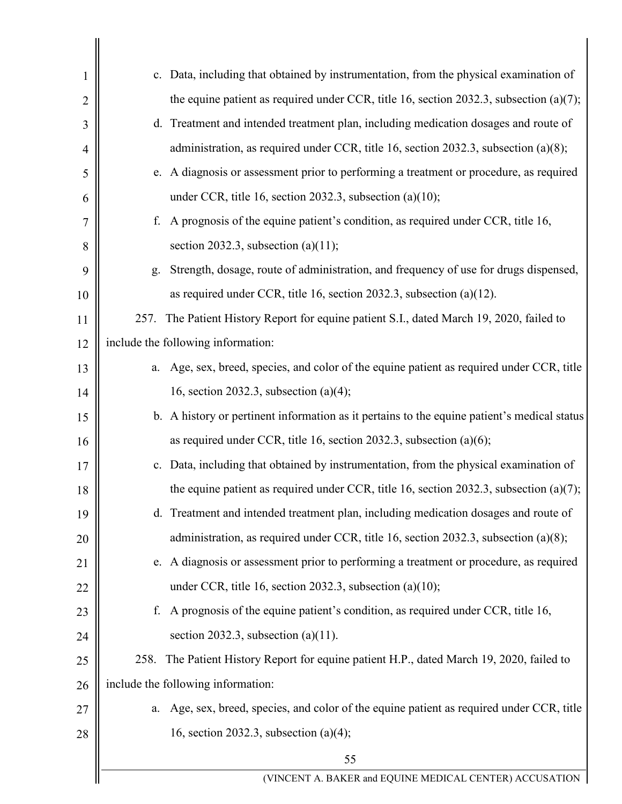| 1              | c. Data, including that obtained by instrumentation, from the physical examination of        |  |  |
|----------------|----------------------------------------------------------------------------------------------|--|--|
| $\overline{2}$ | the equine patient as required under CCR, title 16, section 2032.3, subsection $(a)(7)$ ;    |  |  |
| 3              | d. Treatment and intended treatment plan, including medication dosages and route of          |  |  |
| 4              | administration, as required under CCR, title 16, section 2032.3, subsection (a)(8);          |  |  |
| 5              | e. A diagnosis or assessment prior to performing a treatment or procedure, as required       |  |  |
| 6              | under CCR, title 16, section 2032.3, subsection $(a)(10)$ ;                                  |  |  |
| 7              | A prognosis of the equine patient's condition, as required under CCR, title 16,<br>f.        |  |  |
| 8              | section 2032.3, subsection (a) $(11)$ ;                                                      |  |  |
| 9              | Strength, dosage, route of administration, and frequency of use for drugs dispensed,<br>g.   |  |  |
| 10             | as required under CCR, title 16, section 2032.3, subsection (a)(12).                         |  |  |
| 11             | The Patient History Report for equine patient S.I., dated March 19, 2020, failed to<br>257.  |  |  |
| 12             | include the following information:                                                           |  |  |
| 13             | Age, sex, breed, species, and color of the equine patient as required under CCR, title<br>a. |  |  |
| 14             | 16, section 2032.3, subsection $(a)(4)$ ;                                                    |  |  |
| 15             | b. A history or pertinent information as it pertains to the equine patient's medical status  |  |  |
| 16             | as required under CCR, title 16, section 2032.3, subsection $(a)(6)$ ;                       |  |  |
| 17             | c. Data, including that obtained by instrumentation, from the physical examination of        |  |  |
| 18             | the equine patient as required under CCR, title 16, section 2032.3, subsection (a)(7);       |  |  |
| 19             | d. Treatment and intended treatment plan, including medication dosages and route of          |  |  |
| 20             | administration, as required under CCR, title 16, section 2032.3, subsection (a)(8);          |  |  |
| 21             | e. A diagnosis or assessment prior to performing a treatment or procedure, as required       |  |  |
| 22             | under CCR, title 16, section 2032.3, subsection (a)(10);                                     |  |  |
| 23             | A prognosis of the equine patient's condition, as required under CCR, title 16,<br>f.        |  |  |
| 24             | section 2032.3, subsection (a) $(11)$ .                                                      |  |  |
| 25             | 258. The Patient History Report for equine patient H.P., dated March 19, 2020, failed to     |  |  |
| 26             | include the following information:                                                           |  |  |
| 27             | Age, sex, breed, species, and color of the equine patient as required under CCR, title<br>a. |  |  |
| 28             | 16, section 2032.3, subsection $(a)(4)$ ;                                                    |  |  |
|                | 55                                                                                           |  |  |
|                | (VINCENT A. BAKER and EQUINE MEDICAL CENTER) ACCUSATION                                      |  |  |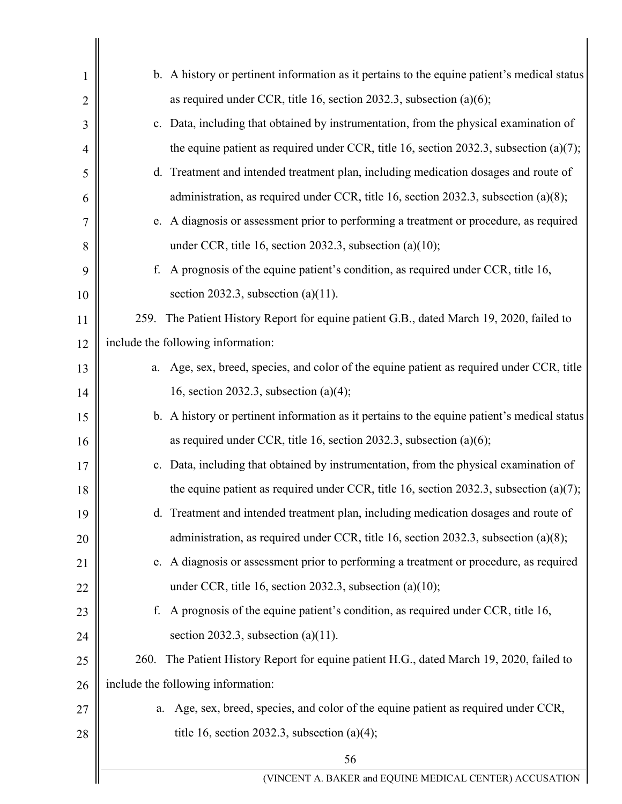| 1              | b. A history or pertinent information as it pertains to the equine patient's medical status  |  |
|----------------|----------------------------------------------------------------------------------------------|--|
| $\overline{2}$ | as required under CCR, title 16, section 2032.3, subsection $(a)(6)$ ;                       |  |
| 3              | c. Data, including that obtained by instrumentation, from the physical examination of        |  |
| 4              | the equine patient as required under CCR, title 16, section 2032.3, subsection $(a)(7)$ ;    |  |
| 5              | d. Treatment and intended treatment plan, including medication dosages and route of          |  |
| 6              | administration, as required under CCR, title 16, section 2032.3, subsection (a)(8);          |  |
| 7              | e. A diagnosis or assessment prior to performing a treatment or procedure, as required       |  |
| 8              | under CCR, title 16, section 2032.3, subsection $(a)(10)$ ;                                  |  |
| 9              | A prognosis of the equine patient's condition, as required under CCR, title 16,<br>f.        |  |
| 10             | section 2032.3, subsection (a) $(11)$ .                                                      |  |
| 11             | 259. The Patient History Report for equine patient G.B., dated March 19, 2020, failed to     |  |
| 12             | include the following information:                                                           |  |
| 13             | Age, sex, breed, species, and color of the equine patient as required under CCR, title<br>a. |  |
| 14             | 16, section 2032.3, subsection $(a)(4)$ ;                                                    |  |
| 15             | b. A history or pertinent information as it pertains to the equine patient's medical status  |  |
| 16             | as required under CCR, title 16, section 2032.3, subsection $(a)(6)$ ;                       |  |
| 17             | c. Data, including that obtained by instrumentation, from the physical examination of        |  |
| 18             | the equine patient as required under CCR, title 16, section 2032.3, subsection (a)(7);       |  |
| 19             | d. Treatment and intended treatment plan, including medication dosages and route of          |  |
| 20             | administration, as required under CCR, title 16, section 2032.3, subsection (a)(8);          |  |
| 21             | e. A diagnosis or assessment prior to performing a treatment or procedure, as required       |  |
| 22             | under CCR, title 16, section 2032.3, subsection $(a)(10)$ ;                                  |  |
| 23             | A prognosis of the equine patient's condition, as required under CCR, title 16,<br>f.        |  |
| 24             | section 2032.3, subsection (a) $(11)$ .                                                      |  |
| 25             | 260. The Patient History Report for equine patient H.G., dated March 19, 2020, failed to     |  |
| 26             | include the following information:                                                           |  |
| 27             | Age, sex, breed, species, and color of the equine patient as required under CCR,<br>a.       |  |
| 28             | title 16, section 2032.3, subsection (a)(4);                                                 |  |
|                | 56                                                                                           |  |
|                | (VINCENT A. BAKER and EQUINE MEDICAL CENTER) ACCUSATION                                      |  |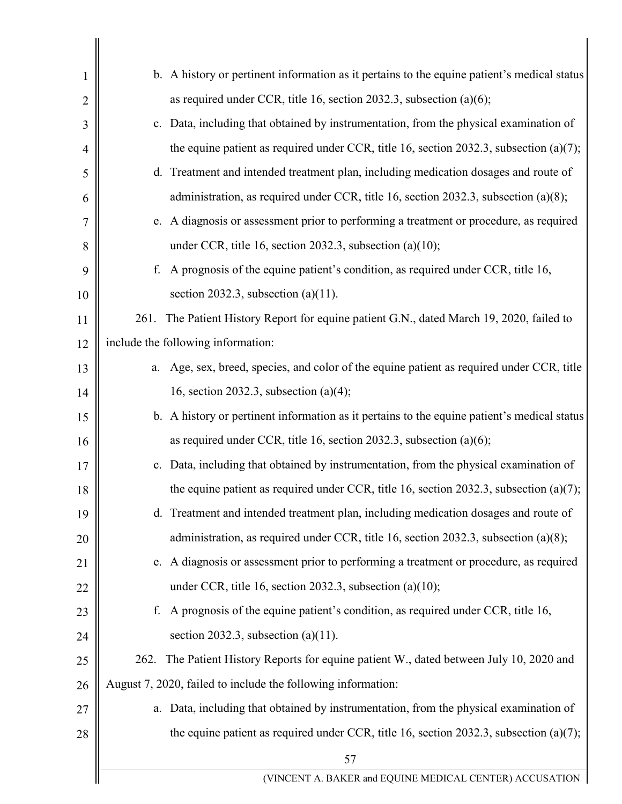| 1              | b. A history or pertinent information as it pertains to the equine patient's medical status  |  |
|----------------|----------------------------------------------------------------------------------------------|--|
| $\overline{2}$ | as required under CCR, title 16, section 2032.3, subsection $(a)(6)$ ;                       |  |
| 3              | c. Data, including that obtained by instrumentation, from the physical examination of        |  |
| 4              | the equine patient as required under CCR, title 16, section 2032.3, subsection $(a)(7)$ ;    |  |
| 5              | d. Treatment and intended treatment plan, including medication dosages and route of          |  |
| 6              | administration, as required under CCR, title 16, section 2032.3, subsection (a)(8);          |  |
| 7              | e. A diagnosis or assessment prior to performing a treatment or procedure, as required       |  |
| 8              | under CCR, title 16, section 2032.3, subsection $(a)(10)$ ;                                  |  |
| 9              | A prognosis of the equine patient's condition, as required under CCR, title 16,<br>f.        |  |
| 10             | section 2032.3, subsection (a)(11).                                                          |  |
| 11             | The Patient History Report for equine patient G.N., dated March 19, 2020, failed to<br>261.  |  |
| 12             | include the following information:                                                           |  |
| 13             | Age, sex, breed, species, and color of the equine patient as required under CCR, title<br>a. |  |
| 14             | 16, section 2032.3, subsection $(a)(4)$ ;                                                    |  |
| 15             | b. A history or pertinent information as it pertains to the equine patient's medical status  |  |
| 16             | as required under CCR, title 16, section 2032.3, subsection $(a)(6)$ ;                       |  |
| 17             | c. Data, including that obtained by instrumentation, from the physical examination of        |  |
| 18             | the equine patient as required under CCR, title 16, section 2032.3, subsection $(a)(7)$ ;    |  |
| 19             | d. Treatment and intended treatment plan, including medication dosages and route of          |  |
| 20             | administration, as required under CCR, title 16, section 2032.3, subsection (a)(8);          |  |
| 21             | e. A diagnosis or assessment prior to performing a treatment or procedure, as required       |  |
| 22             | under CCR, title 16, section 2032.3, subsection (a) $(10)$ ;                                 |  |
| 23             | A prognosis of the equine patient's condition, as required under CCR, title 16,<br>f.        |  |
| 24             | section 2032.3, subsection (a)(11).                                                          |  |
| 25             | 262. The Patient History Reports for equine patient W., dated between July 10, 2020 and      |  |
| 26             | August 7, 2020, failed to include the following information:                                 |  |
| 27             | a. Data, including that obtained by instrumentation, from the physical examination of        |  |
| 28             | the equine patient as required under CCR, title 16, section 2032.3, subsection (a)(7);       |  |
|                | 57                                                                                           |  |
|                | (VINCENT A. BAKER and EQUINE MEDICAL CENTER) ACCUSATION                                      |  |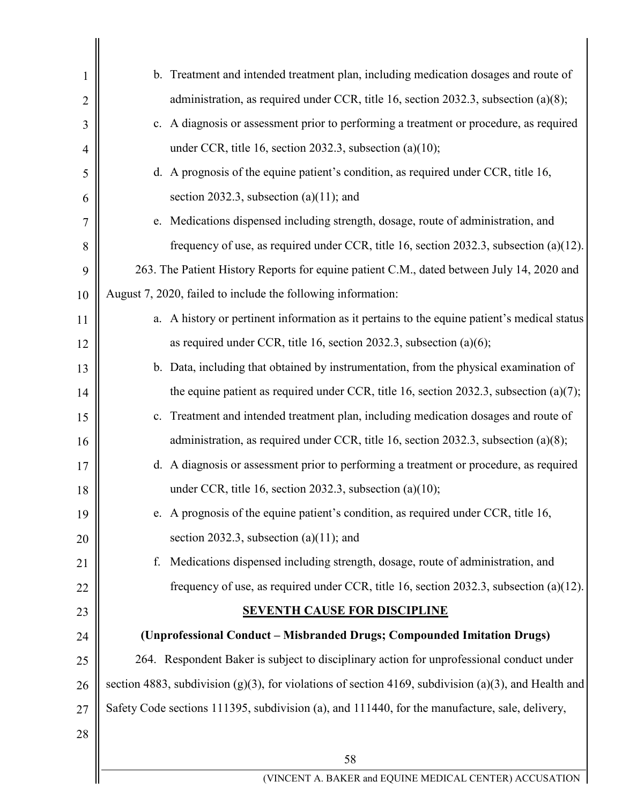| 1              | b. Treatment and intended treatment plan, including medication dosages and route of                  |
|----------------|------------------------------------------------------------------------------------------------------|
| $\overline{2}$ | administration, as required under CCR, title 16, section 2032.3, subsection (a)(8);                  |
| 3              | c. A diagnosis or assessment prior to performing a treatment or procedure, as required               |
| 4              | under CCR, title 16, section 2032.3, subsection (a)(10);                                             |
| 5              | d. A prognosis of the equine patient's condition, as required under CCR, title 16,                   |
| 6              | section 2032.3, subsection $(a)(11)$ ; and                                                           |
| 7              | e. Medications dispensed including strength, dosage, route of administration, and                    |
| 8              | frequency of use, as required under CCR, title 16, section 2032.3, subsection (a)(12).               |
| 9              | 263. The Patient History Reports for equine patient C.M., dated between July 14, 2020 and            |
| 10             | August 7, 2020, failed to include the following information:                                         |
| 11             | a. A history or pertinent information as it pertains to the equine patient's medical status          |
| 12             | as required under CCR, title 16, section 2032.3, subsection $(a)(6)$ ;                               |
| 13             | b. Data, including that obtained by instrumentation, from the physical examination of                |
| 14             | the equine patient as required under CCR, title 16, section 2032.3, subsection (a)(7);               |
| 15             | c. Treatment and intended treatment plan, including medication dosages and route of                  |
| 16             | administration, as required under CCR, title 16, section 2032.3, subsection (a)(8);                  |
| 17             | d. A diagnosis or assessment prior to performing a treatment or procedure, as required               |
| 18             | under CCR, title 16, section 2032.3, subsection (a)(10);                                             |
| 19             | e. A prognosis of the equine patient's condition, as required under CCR, title 16,                   |
| 20             | section 2032.3, subsection $(a)(11)$ ; and                                                           |
| 21             | Medications dispensed including strength, dosage, route of administration, and<br>f.                 |
| 22             | frequency of use, as required under CCR, title 16, section 2032.3, subsection (a)(12).               |
| 23             | <b>SEVENTH CAUSE FOR DISCIPLINE</b>                                                                  |
| 24             | (Unprofessional Conduct – Misbranded Drugs; Compounded Imitation Drugs)                              |
| 25             | 264. Respondent Baker is subject to disciplinary action for unprofessional conduct under             |
| 26             | section 4883, subdivision (g)(3), for violations of section 4169, subdivision (a)(3), and Health and |
| 27             | Safety Code sections 111395, subdivision (a), and 111440, for the manufacture, sale, delivery,       |
| 28             |                                                                                                      |
|                | 58                                                                                                   |
|                | (VINCENT A. BAKER and EQUINE MEDICAL CENTER) ACCUSATION                                              |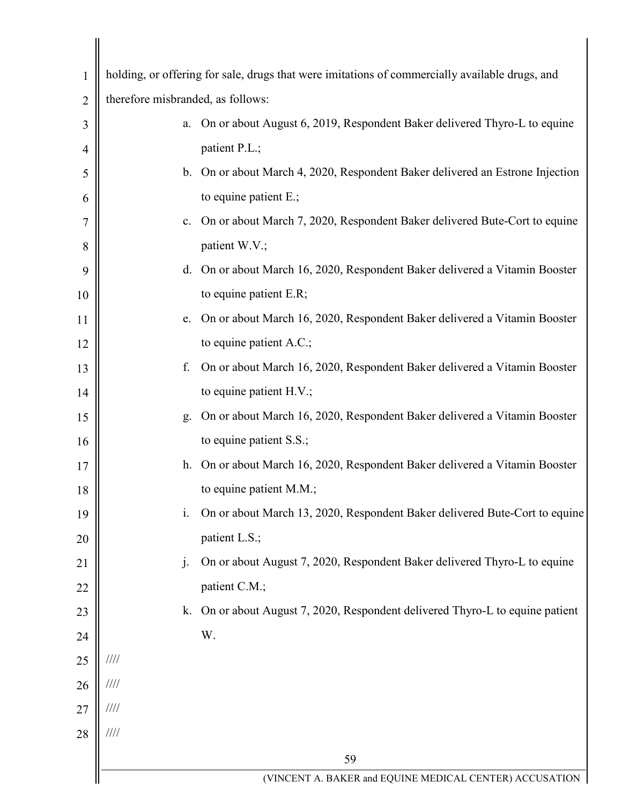| $\mathbf{1}$   |                                   | holding, or offering for sale, drugs that were imitations of commercially available drugs, and |
|----------------|-----------------------------------|------------------------------------------------------------------------------------------------|
| $\overline{2}$ | therefore misbranded, as follows: |                                                                                                |
| 3              | a.                                | On or about August 6, 2019, Respondent Baker delivered Thyro-L to equine                       |
| $\overline{4}$ |                                   | patient P.L.;                                                                                  |
| 5              | b.                                | On or about March 4, 2020, Respondent Baker delivered an Estrone Injection                     |
| 6              |                                   | to equine patient E.;                                                                          |
| 7              | $\mathbf{c}$ .                    | On or about March 7, 2020, Respondent Baker delivered Bute-Cort to equine                      |
| 8              |                                   | patient W.V.;                                                                                  |
| 9              | d.                                | On or about March 16, 2020, Respondent Baker delivered a Vitamin Booster                       |
| 10             |                                   | to equine patient E.R;                                                                         |
| 11             | e.                                | On or about March 16, 2020, Respondent Baker delivered a Vitamin Booster                       |
| 12             |                                   | to equine patient A.C.;                                                                        |
| 13             | f.                                | On or about March 16, 2020, Respondent Baker delivered a Vitamin Booster                       |
| 14             |                                   | to equine patient H.V.;                                                                        |
| 15             | g.                                | On or about March 16, 2020, Respondent Baker delivered a Vitamin Booster                       |
| 16             |                                   | to equine patient S.S.;                                                                        |
| 17             | h.                                | On or about March 16, 2020, Respondent Baker delivered a Vitamin Booster                       |
| 18             |                                   | to equine patient $M.M.;$                                                                      |
| 19             | i.                                | On or about March 13, 2020, Respondent Baker delivered Bute-Cort to equine                     |
| 20             |                                   | patient L.S.;                                                                                  |
| 21             | $\mathbf{j}$ .                    | On or about August 7, 2020, Respondent Baker delivered Thyro-L to equine                       |
| 22             |                                   | patient C.M.;                                                                                  |
| 23             | k.                                | On or about August 7, 2020, Respondent delivered Thyro-L to equine patient                     |
| 24             |                                   | W.                                                                                             |
| 25             | 1111                              |                                                                                                |
| 26             | $\frac{1}{1}$                     |                                                                                                |
| 27             | $\frac{1}{1}$                     |                                                                                                |
| 28             | $/ \! / \! / \! / \! /$           |                                                                                                |
|                |                                   | 59                                                                                             |
|                |                                   | (VINCENT A. BAKER and EQUINE MEDICAL CENTER) ACCUSATION                                        |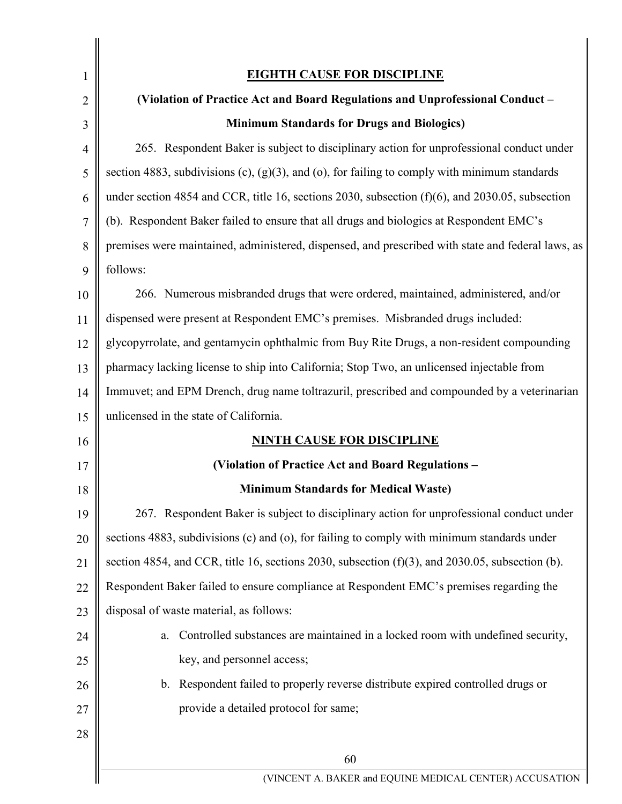| 1              | <b>EIGHTH CAUSE FOR DISCIPLINE</b>                                                                 |
|----------------|----------------------------------------------------------------------------------------------------|
| $\overline{2}$ | (Violation of Practice Act and Board Regulations and Unprofessional Conduct -                      |
| 3              | <b>Minimum Standards for Drugs and Biologics)</b>                                                  |
| $\overline{4}$ | 265. Respondent Baker is subject to disciplinary action for unprofessional conduct under           |
| 5              | section 4883, subdivisions (c), $(g)(3)$ , and (o), for failing to comply with minimum standards   |
| 6              | under section 4854 and CCR, title 16, sections 2030, subsection (f)(6), and 2030.05, subsection    |
| 7              | (b). Respondent Baker failed to ensure that all drugs and biologics at Respondent EMC's            |
| 8              | premises were maintained, administered, dispensed, and prescribed with state and federal laws, as  |
| 9              | follows:                                                                                           |
| 10             | 266. Numerous misbranded drugs that were ordered, maintained, administered, and/or                 |
| 11             | dispensed were present at Respondent EMC's premises. Misbranded drugs included:                    |
| 12             | glycopyrrolate, and gentamycin ophthalmic from Buy Rite Drugs, a non-resident compounding          |
| 13             | pharmacy lacking license to ship into California; Stop Two, an unlicensed injectable from          |
| 14             | Immuvet; and EPM Drench, drug name toltrazuril, prescribed and compounded by a veterinarian        |
| 15             | unlicensed in the state of California.                                                             |
| 16             | <b>NINTH CAUSE FOR DISCIPLINE</b>                                                                  |
| 17             | (Violation of Practice Act and Board Regulations -                                                 |
| $18\,$         | <b>Minimum Standards for Medical Waste)</b>                                                        |
| 19             | 267. Respondent Baker is subject to disciplinary action for unprofessional conduct under           |
| 20             | sections 4883, subdivisions (c) and (o), for failing to comply with minimum standards under        |
| 21             | section 4854, and CCR, title 16, sections 2030, subsection $(f)(3)$ , and 2030.05, subsection (b). |
| 22             | Respondent Baker failed to ensure compliance at Respondent EMC's premises regarding the            |
| 23             | disposal of waste material, as follows:                                                            |
| 24             | Controlled substances are maintained in a locked room with undefined security,<br>a.               |
| 25             | key, and personnel access;                                                                         |
| 26             | Respondent failed to properly reverse distribute expired controlled drugs or<br>$\mathbf{b}$ .     |
| 27             | provide a detailed protocol for same;                                                              |
| 28             |                                                                                                    |
|                | 60                                                                                                 |
|                | (VINCENT A. BAKER and EQUINE MEDICAL CENTER) ACCUSATION                                            |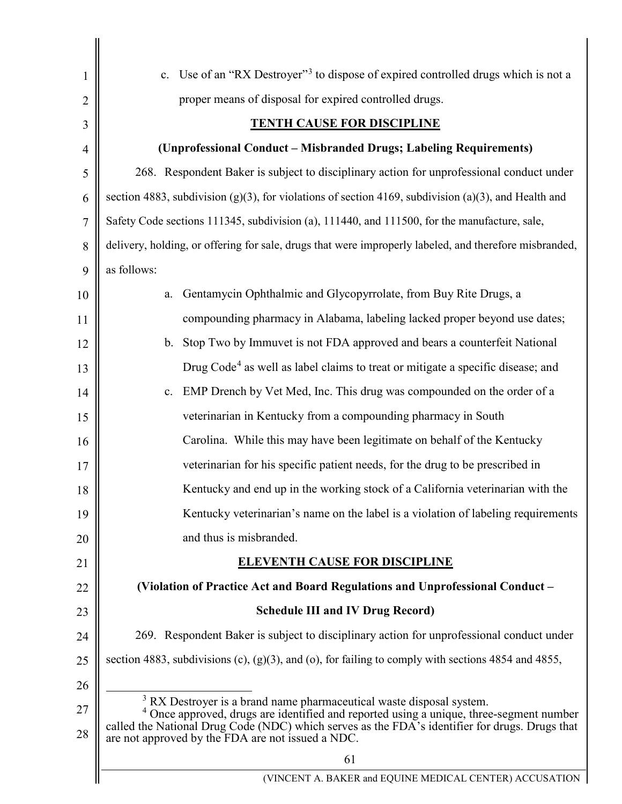<span id="page-60-1"></span><span id="page-60-0"></span>

| $\mathbf{1}$   | c. Use of an "RX Destroyer" <sup>3</sup> to dispose of expired controlled drugs which is not a                                                                                                                                                                                                                                               |
|----------------|----------------------------------------------------------------------------------------------------------------------------------------------------------------------------------------------------------------------------------------------------------------------------------------------------------------------------------------------|
| $\overline{2}$ | proper means of disposal for expired controlled drugs.                                                                                                                                                                                                                                                                                       |
| 3              | <b>TENTH CAUSE FOR DISCIPLINE</b>                                                                                                                                                                                                                                                                                                            |
| $\overline{4}$ | (Unprofessional Conduct - Misbranded Drugs; Labeling Requirements)                                                                                                                                                                                                                                                                           |
| 5              | 268. Respondent Baker is subject to disciplinary action for unprofessional conduct under                                                                                                                                                                                                                                                     |
| 6              | section 4883, subdivision (g)(3), for violations of section 4169, subdivision (a)(3), and Health and                                                                                                                                                                                                                                         |
| $\tau$         | Safety Code sections 111345, subdivision (a), 111440, and 111500, for the manufacture, sale,                                                                                                                                                                                                                                                 |
| 8              | delivery, holding, or offering for sale, drugs that were improperly labeled, and therefore misbranded,                                                                                                                                                                                                                                       |
| 9              | as follows:                                                                                                                                                                                                                                                                                                                                  |
| 10             | Gentamycin Ophthalmic and Glycopyrrolate, from Buy Rite Drugs, a<br>a.                                                                                                                                                                                                                                                                       |
| 11             | compounding pharmacy in Alabama, labeling lacked proper beyond use dates;                                                                                                                                                                                                                                                                    |
| 12             | b. Stop Two by Immuvet is not FDA approved and bears a counterfeit National                                                                                                                                                                                                                                                                  |
| 13             | Drug Code <sup>4</sup> as well as label claims to treat or mitigate a specific disease; and                                                                                                                                                                                                                                                  |
| 14             | EMP Drench by Vet Med, Inc. This drug was compounded on the order of a<br>c.                                                                                                                                                                                                                                                                 |
| 15             | veterinarian in Kentucky from a compounding pharmacy in South                                                                                                                                                                                                                                                                                |
| 16             | Carolina. While this may have been legitimate on behalf of the Kentucky                                                                                                                                                                                                                                                                      |
| 17             | veterinarian for his specific patient needs, for the drug to be prescribed in                                                                                                                                                                                                                                                                |
| 18             | Kentucky and end up in the working stock of a California veterinarian with the                                                                                                                                                                                                                                                               |
| 19             | Kentucky veterinarian's name on the label is a violation of labeling requirements                                                                                                                                                                                                                                                            |
| 20             | and thus is misbranded.                                                                                                                                                                                                                                                                                                                      |
| 21             | <b>ELEVENTH CAUSE FOR DISCIPLINE</b>                                                                                                                                                                                                                                                                                                         |
| 22             | (Violation of Practice Act and Board Regulations and Unprofessional Conduct –                                                                                                                                                                                                                                                                |
| 23             | <b>Schedule III and IV Drug Record)</b>                                                                                                                                                                                                                                                                                                      |
| 24             | 269. Respondent Baker is subject to disciplinary action for unprofessional conduct under                                                                                                                                                                                                                                                     |
| 25             | section 4883, subdivisions (c), $(g)(3)$ , and (o), for failing to comply with sections 4854 and 4855,                                                                                                                                                                                                                                       |
| 26             |                                                                                                                                                                                                                                                                                                                                              |
| 27<br>28       | <sup>3</sup> RX Destroyer is a brand name pharmaceutical waste disposal system.<br><sup>4</sup> Once approved, drugs are identified and reported using a unique, three-segment number<br>called the National Drug Code (NDC) which serves as the FDA's identifier for drugs. Drugs that<br>are not approved by the FDA are not issued a NDC. |
|                | 61                                                                                                                                                                                                                                                                                                                                           |
|                | (VINCENT A. BAKER and EQUINE MEDICAL CENTER) ACCUSATION                                                                                                                                                                                                                                                                                      |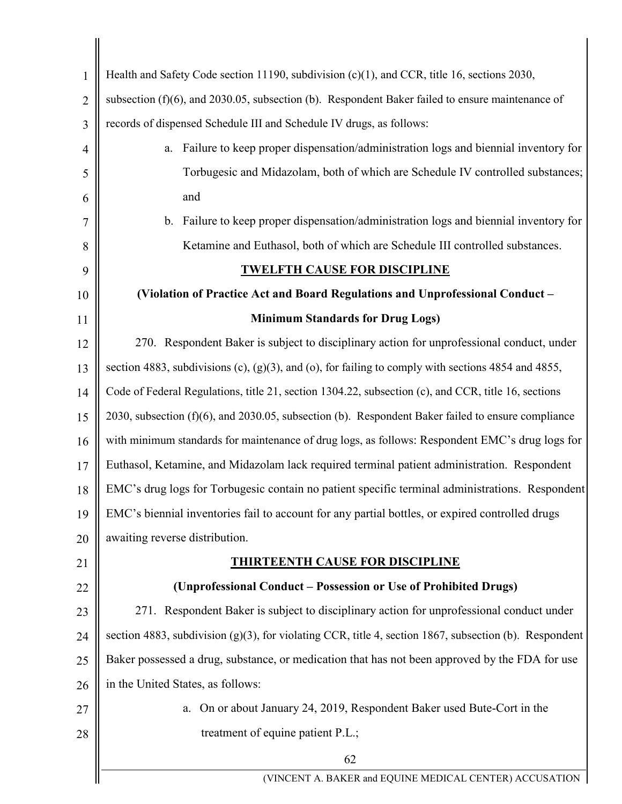| $\mathbf{1}$   | Health and Safety Code section 11190, subdivision (c)(1), and CCR, title 16, sections 2030,               |
|----------------|-----------------------------------------------------------------------------------------------------------|
| $\overline{2}$ | subsection $(f)(6)$ , and 2030.05, subsection $(b)$ . Respondent Baker failed to ensure maintenance of    |
| 3              | records of dispensed Schedule III and Schedule IV drugs, as follows:                                      |
| $\overline{4}$ | Failure to keep proper dispensation/administration logs and biennial inventory for<br>a.                  |
| 5              | Torbugesic and Midazolam, both of which are Schedule IV controlled substances;                            |
| 6              | and                                                                                                       |
| 7              | b. Failure to keep proper dispensation/administration logs and biennial inventory for                     |
| 8              | Ketamine and Euthasol, both of which are Schedule III controlled substances.                              |
| 9              | <b>TWELFTH CAUSE FOR DISCIPLINE</b>                                                                       |
| 10             | (Violation of Practice Act and Board Regulations and Unprofessional Conduct -                             |
| 11             | <b>Minimum Standards for Drug Logs)</b>                                                                   |
| 12             | 270. Respondent Baker is subject to disciplinary action for unprofessional conduct, under                 |
| 13             | section 4883, subdivisions (c), $(g)(3)$ , and (o), for failing to comply with sections 4854 and 4855,    |
| 14             | Code of Federal Regulations, title 21, section 1304.22, subsection (c), and CCR, title 16, sections       |
| 15             | 2030, subsection $(f)(6)$ , and 2030.05, subsection $(b)$ . Respondent Baker failed to ensure compliance  |
| 16             | with minimum standards for maintenance of drug logs, as follows: Respondent EMC's drug logs for           |
| 17             | Euthasol, Ketamine, and Midazolam lack required terminal patient administration. Respondent               |
| 18             | EMC's drug logs for Torbugesic contain no patient specific terminal administrations. Respondent           |
| 19             | EMC's biennial inventories fail to account for any partial bottles, or expired controlled drugs           |
| 20             | awaiting reverse distribution.                                                                            |
| 21             | <b>THIRTEENTH CAUSE FOR DISCIPLINE</b>                                                                    |
| 22             | (Unprofessional Conduct – Possession or Use of Prohibited Drugs)                                          |
| 23             | 271. Respondent Baker is subject to disciplinary action for unprofessional conduct under                  |
| 24             | section 4883, subdivision $(g)(3)$ , for violating CCR, title 4, section 1867, subsection (b). Respondent |
| 25             | Baker possessed a drug, substance, or medication that has not been approved by the FDA for use            |
| 26             | in the United States, as follows:                                                                         |
| 27             | a. On or about January 24, 2019, Respondent Baker used Bute-Cort in the                                   |
| 28             | treatment of equine patient P.L.;                                                                         |
|                | 62                                                                                                        |
|                | (VINCENT A. BAKER and EQUINE MEDICAL CENTER) ACCUSATION                                                   |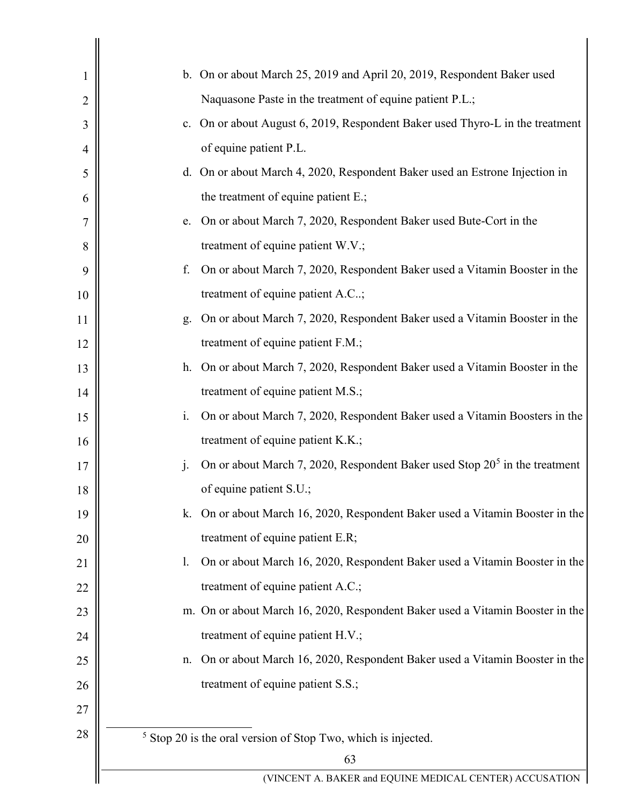<span id="page-62-0"></span>

| 1              |                | b. On or about March 25, 2019 and April 20, 2019, Respondent Baker used       |
|----------------|----------------|-------------------------------------------------------------------------------|
| $\overline{2}$ |                | Naquasone Paste in the treatment of equine patient P.L.;                      |
| 3              | c.             | On or about August 6, 2019, Respondent Baker used Thyro-L in the treatment    |
| 4              |                | of equine patient P.L.                                                        |
| 5              |                | d. On or about March 4, 2020, Respondent Baker used an Estrone Injection in   |
| 6              |                | the treatment of equine patient E.;                                           |
| 7              | e.             | On or about March 7, 2020, Respondent Baker used Bute-Cort in the             |
| 8              |                | treatment of equine patient W.V.;                                             |
| 9              | f.             | On or about March 7, 2020, Respondent Baker used a Vitamin Booster in the     |
| 10             |                | treatment of equine patient A.C;                                              |
| 11             | g.             | On or about March 7, 2020, Respondent Baker used a Vitamin Booster in the     |
| 12             |                | treatment of equine patient F.M.;                                             |
| 13             | h.             | On or about March 7, 2020, Respondent Baker used a Vitamin Booster in the     |
| 14             |                | treatment of equine patient M.S.;                                             |
| 15             | i.             | On or about March 7, 2020, Respondent Baker used a Vitamin Boosters in the    |
| 16             |                | treatment of equine patient K.K.;                                             |
| 17             | $\mathbf{j}$ . | On or about March 7, 2020, Respondent Baker used Stop $205$ in the treatment  |
| 18             |                | of equine patient S.U.;                                                       |
| 19             | k.             | On or about March 16, 2020, Respondent Baker used a Vitamin Booster in the    |
| 20             |                | treatment of equine patient E.R;                                              |
| 21             | 1.             | On or about March 16, 2020, Respondent Baker used a Vitamin Booster in the    |
| 22             |                | treatment of equine patient A.C.;                                             |
| 23             |                | m. On or about March 16, 2020, Respondent Baker used a Vitamin Booster in the |
| 24             |                | treatment of equine patient H.V.;                                             |
| 25             | n.             | On or about March 16, 2020, Respondent Baker used a Vitamin Booster in the    |
| 26             |                | treatment of equine patient S.S.;                                             |
| 27             |                |                                                                               |
| 28             |                | $5$ Stop 20 is the oral version of Stop Two, which is injected.               |
|                |                | 63                                                                            |
|                |                | (VINCENT A. BAKER and EQUINE MEDICAL CENTER) ACCUSATION                       |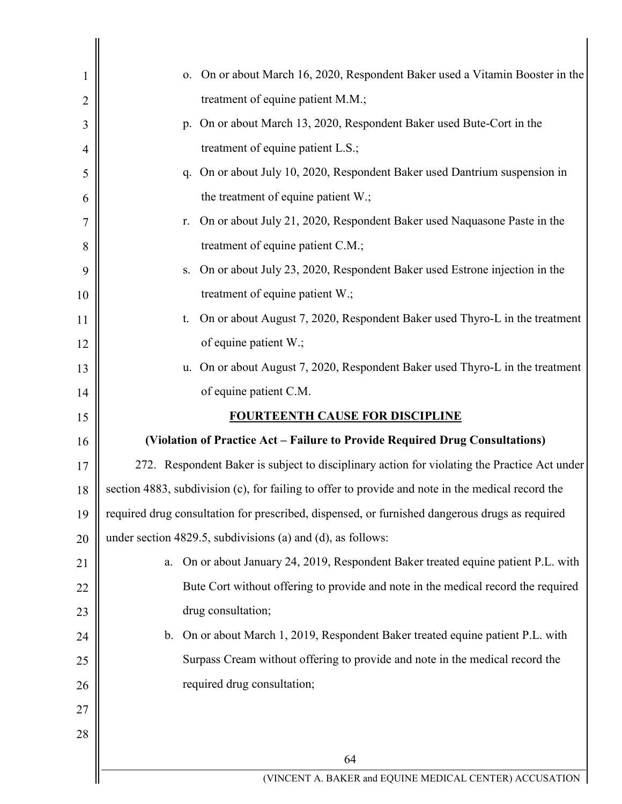| 1  | On or about March 16, 2020, Respondent Baker used a Vitamin Booster in the<br>0.                  |
|----|---------------------------------------------------------------------------------------------------|
| 2  | treatment of equine patient M.M.;                                                                 |
| 3  | On or about March 13, 2020, Respondent Baker used Bute-Cort in the<br>p.                          |
| 4  | treatment of equine patient L.S.;                                                                 |
| 5  | On or about July 10, 2020, Respondent Baker used Dantrium suspension in<br>q.                     |
| 6  | the treatment of equine patient W.;                                                               |
| 7  | On or about July 21, 2020, Respondent Baker used Naquasone Paste in the<br>r.                     |
| 8  | treatment of equine patient C.M.;                                                                 |
| 9  | On or about July 23, 2020, Respondent Baker used Estrone injection in the<br>S.                   |
| 10 | treatment of equine patient W.;                                                                   |
| 11 | On or about August 7, 2020, Respondent Baker used Thyro-L in the treatment<br>t.                  |
| 12 | of equine patient W.;                                                                             |
| 13 | On or about August 7, 2020, Respondent Baker used Thyro-L in the treatment<br>u.                  |
| 14 | of equine patient C.M.                                                                            |
| 15 | <b>FOURTEENTH CAUSE FOR DISCIPLINE</b>                                                            |
| 16 | (Violation of Practice Act – Failure to Provide Required Drug Consultations)                      |
| 17 | 272. Respondent Baker is subject to disciplinary action for violating the Practice Act under      |
| 18 | section 4883, subdivision (c), for failing to offer to provide and note in the medical record the |
| 19 | required drug consultation for prescribed, dispensed, or furnished dangerous drugs as required    |
| 20 | under section 4829.5, subdivisions (a) and (d), as follows:                                       |
| 21 | On or about January 24, 2019, Respondent Baker treated equine patient P.L. with<br>a.             |
| 22 | Bute Cort without offering to provide and note in the medical record the required                 |
| 23 | drug consultation;                                                                                |
| 24 | On or about March 1, 2019, Respondent Baker treated equine patient P.L. with<br>b.                |
| 25 | Surpass Cream without offering to provide and note in the medical record the                      |
| 26 | required drug consultation;                                                                       |
| 27 |                                                                                                   |
| 28 |                                                                                                   |
|    | 64                                                                                                |
|    | (VINCENT A. BAKER and EQUINE MEDICAL CENTER) ACCUSATION                                           |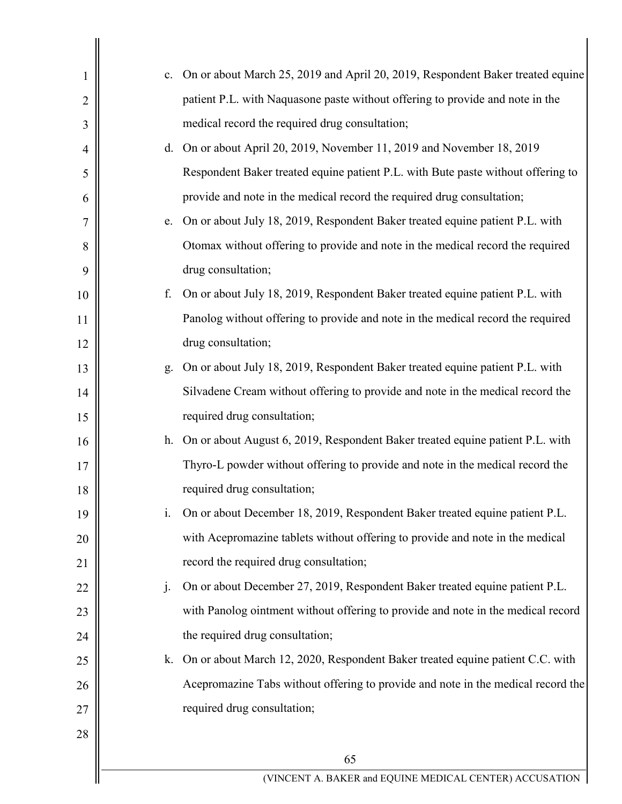| 1              | c.      | On or about March 25, 2019 and April 20, 2019, Respondent Baker treated equine   |
|----------------|---------|----------------------------------------------------------------------------------|
| $\overline{2}$ |         | patient P.L. with Naquasone paste without offering to provide and note in the    |
| 3              |         | medical record the required drug consultation;                                   |
| $\overline{4}$ |         | d. On or about April 20, 2019, November 11, 2019 and November 18, 2019           |
| 5              |         | Respondent Baker treated equine patient P.L. with Bute paste without offering to |
| 6              |         | provide and note in the medical record the required drug consultation;           |
| 7              | e.      | On or about July 18, 2019, Respondent Baker treated equine patient P.L. with     |
| 8              |         | Otomax without offering to provide and note in the medical record the required   |
| 9              |         | drug consultation;                                                               |
| 10             | f.      | On or about July 18, 2019, Respondent Baker treated equine patient P.L. with     |
| 11             |         | Panolog without offering to provide and note in the medical record the required  |
| 12             |         | drug consultation;                                                               |
| 13             | g.      | On or about July 18, 2019, Respondent Baker treated equine patient P.L. with     |
| 14             |         | Silvadene Cream without offering to provide and note in the medical record the   |
| 15             |         | required drug consultation;                                                      |
| 16             | h.      | On or about August 6, 2019, Respondent Baker treated equine patient P.L. with    |
| 17             |         | Thyro-L powder without offering to provide and note in the medical record the    |
| 18             |         | required drug consultation;                                                      |
| 19             | i.      | On or about December 18, 2019, Respondent Baker treated equine patient P.L.      |
| 20             |         | with Acepromazine tablets without offering to provide and note in the medical    |
| 21             |         | record the required drug consultation;                                           |
| 22             | $\cdot$ | On or about December 27, 2019, Respondent Baker treated equine patient P.L.      |
| 23             |         | with Panolog ointment without offering to provide and note in the medical record |
| 24             |         | the required drug consultation;                                                  |
| 25             | k.      | On or about March 12, 2020, Respondent Baker treated equine patient C.C. with    |
| 26             |         | Acepromazine Tabs without offering to provide and note in the medical record the |
| 27             |         | required drug consultation;                                                      |
| 28             |         |                                                                                  |
|                |         | 65                                                                               |
|                |         | (VINCENT A. BAKER and EQUINE MEDICAL CENTER) ACCUSATION                          |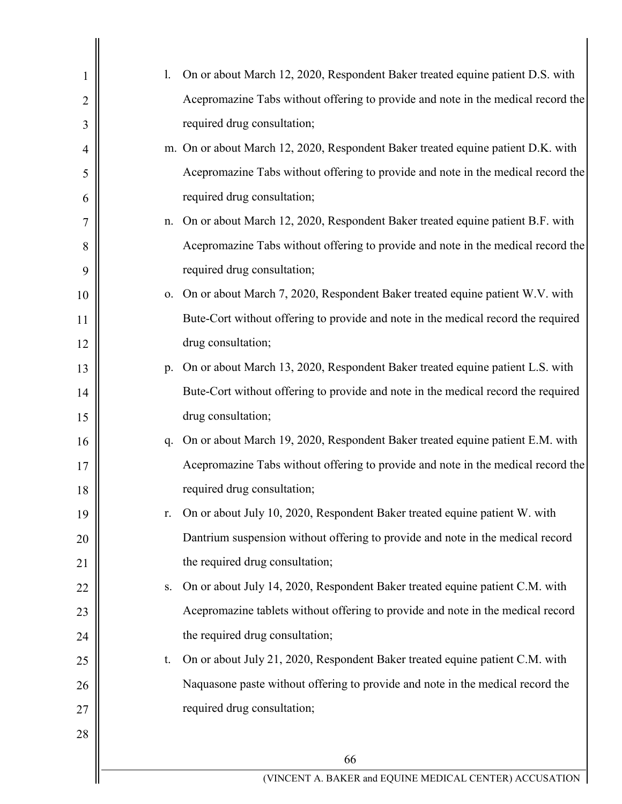| 1              | 1. | On or about March 12, 2020, Respondent Baker treated equine patient D.S. with     |
|----------------|----|-----------------------------------------------------------------------------------|
| $\overline{2}$ |    | Acepromazine Tabs without offering to provide and note in the medical record the  |
| 3              |    | required drug consultation;                                                       |
| 4              |    | m. On or about March 12, 2020, Respondent Baker treated equine patient D.K. with  |
| 5              |    | Acepromazine Tabs without offering to provide and note in the medical record the  |
| 6              |    | required drug consultation;                                                       |
| 7              | n. | On or about March 12, 2020, Respondent Baker treated equine patient B.F. with     |
| 8              |    | Acepromazine Tabs without offering to provide and note in the medical record the  |
| 9              |    | required drug consultation;                                                       |
| 10             | 0. | On or about March 7, 2020, Respondent Baker treated equine patient W.V. with      |
| 11             |    | Bute-Cort without offering to provide and note in the medical record the required |
| 12             |    | drug consultation;                                                                |
| 13             | p. | On or about March 13, 2020, Respondent Baker treated equine patient L.S. with     |
| 14             |    | Bute-Cort without offering to provide and note in the medical record the required |
| 15             |    | drug consultation;                                                                |
| 16             | q. | On or about March 19, 2020, Respondent Baker treated equine patient E.M. with     |
| 17             |    | Acepromazine Tabs without offering to provide and note in the medical record the  |
| $18\,$         |    | required drug consultation;                                                       |
| 19             | r. | On or about July 10, 2020, Respondent Baker treated equine patient W. with        |
| 20             |    | Dantrium suspension without offering to provide and note in the medical record    |
| 21             |    | the required drug consultation;                                                   |
| 22             | S. | On or about July 14, 2020, Respondent Baker treated equine patient C.M. with      |
| 23             |    | Acepromazine tablets without offering to provide and note in the medical record   |
| 24             |    | the required drug consultation;                                                   |
| 25             | t. | On or about July 21, 2020, Respondent Baker treated equine patient C.M. with      |
| 26             |    | Naquasone paste without offering to provide and note in the medical record the    |
| 27             |    | required drug consultation;                                                       |
| 28             |    |                                                                                   |
|                |    | 66                                                                                |
|                |    | (VINCENT A. BAKER and EQUINE MEDICAL CENTER) ACCUSATION                           |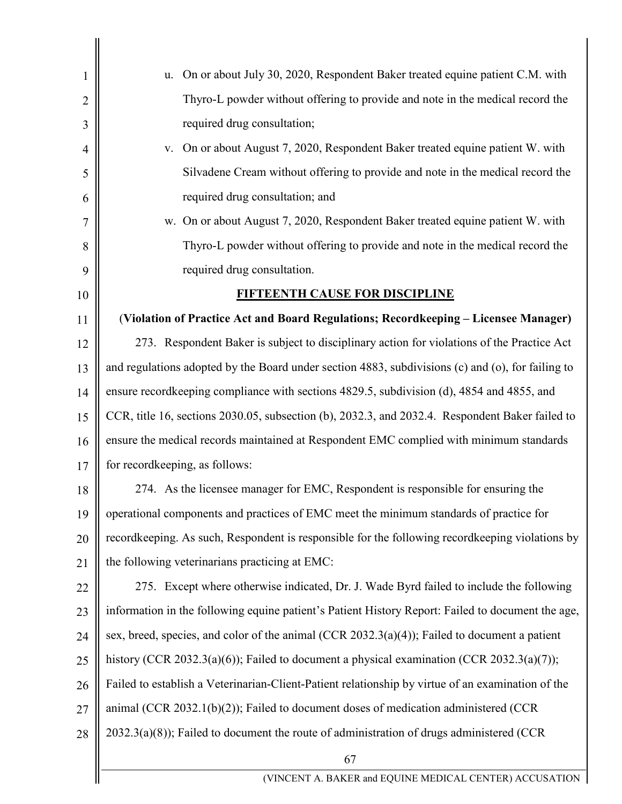| $\mathbf{1}$   | On or about July 30, 2020, Respondent Baker treated equine patient C.M. with<br>u.                |
|----------------|---------------------------------------------------------------------------------------------------|
| $\overline{2}$ | Thyro-L powder without offering to provide and note in the medical record the                     |
| 3              | required drug consultation;                                                                       |
| $\overline{4}$ | On or about August 7, 2020, Respondent Baker treated equine patient W. with<br>V.                 |
| 5              | Silvadene Cream without offering to provide and note in the medical record the                    |
| 6              | required drug consultation; and                                                                   |
| 7              | w. On or about August 7, 2020, Respondent Baker treated equine patient W. with                    |
| 8              | Thyro-L powder without offering to provide and note in the medical record the                     |
| 9              | required drug consultation.                                                                       |
| 10             | <b>FIFTEENTH CAUSE FOR DISCIPLINE</b>                                                             |
| 11             | (Violation of Practice Act and Board Regulations; Recordkeeping - Licensee Manager)               |
| 12             | 273. Respondent Baker is subject to disciplinary action for violations of the Practice Act        |
| 13             | and regulations adopted by the Board under section 4883, subdivisions (c) and (o), for failing to |
| 14             | ensure record keeping compliance with sections 4829.5, subdivision (d), 4854 and 4855, and        |
| 15             | CCR, title 16, sections 2030.05, subsection (b), 2032.3, and 2032.4. Respondent Baker failed to   |
| 16             | ensure the medical records maintained at Respondent EMC complied with minimum standards           |
| 17             | for recordkeeping, as follows:                                                                    |
| 18             | 274. As the licensee manager for EMC, Respondent is responsible for ensuring the                  |
| 19             | operational components and practices of EMC meet the minimum standards of practice for            |
| 20             | recordkeeping. As such, Respondent is responsible for the following recordkeeping violations by   |
| 21             | the following veterinarians practicing at EMC:                                                    |
| 22             | 275. Except where otherwise indicated, Dr. J. Wade Byrd failed to include the following           |
| 23             | information in the following equine patient's Patient History Report: Failed to document the age, |
| 24             | sex, breed, species, and color of the animal (CCR 2032.3(a)(4)); Failed to document a patient     |
| 25             | history (CCR 2032.3(a)(6)); Failed to document a physical examination (CCR 2032.3(a)(7));         |
| 26             | Failed to establish a Veterinarian-Client-Patient relationship by virtue of an examination of the |
| 27             | animal (CCR 2032.1(b)(2)); Failed to document doses of medication administered (CCR               |
| 28             | $2032.3(a)(8)$ ; Failed to document the route of administration of drugs administered (CCR        |
|                | 67                                                                                                |
|                | (VINCENT A. BAKER and EQUINE MEDICAL CENTER) ACCUSATION                                           |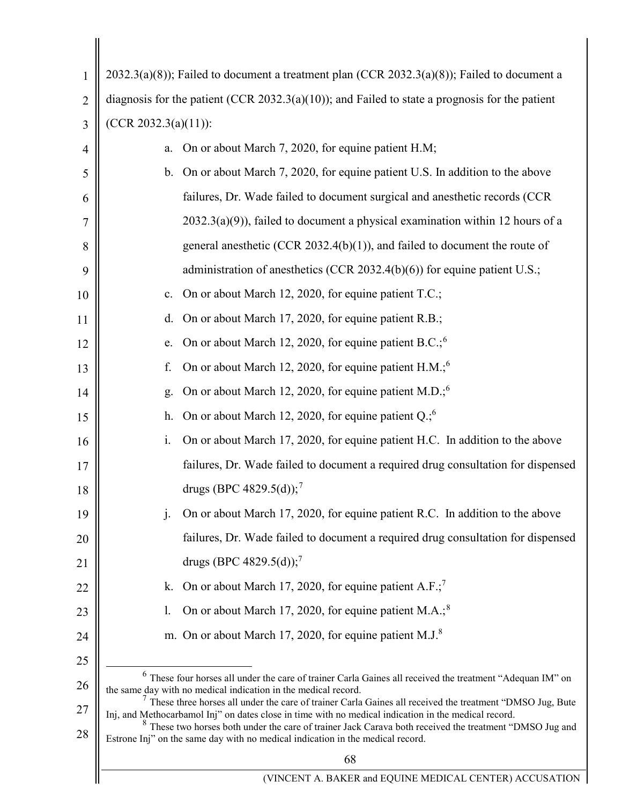<span id="page-67-5"></span><span id="page-67-4"></span><span id="page-67-3"></span><span id="page-67-2"></span><span id="page-67-1"></span><span id="page-67-0"></span>

| $\mathbf{1}$   | $2032.3(a)(8)$ ; Failed to document a treatment plan (CCR 2032.3(a)(8)); Failed to document a                                                                                                                        |
|----------------|----------------------------------------------------------------------------------------------------------------------------------------------------------------------------------------------------------------------|
| $\overline{2}$ | diagnosis for the patient (CCR 2032.3(a)(10)); and Failed to state a prognosis for the patient                                                                                                                       |
| 3              | $(CCR 2032.3(a)(11))$ :                                                                                                                                                                                              |
| $\overline{4}$ | On or about March 7, 2020, for equine patient H.M;<br>a.                                                                                                                                                             |
| 5              | On or about March 7, 2020, for equine patient U.S. In addition to the above<br>b.                                                                                                                                    |
| 6              | failures, Dr. Wade failed to document surgical and anesthetic records (CCR                                                                                                                                           |
| 7              | $2032.3(a)(9)$ ), failed to document a physical examination within 12 hours of a                                                                                                                                     |
| 8              | general anesthetic (CCR 2032.4(b)(1)), and failed to document the route of                                                                                                                                           |
| 9              | administration of anesthetics (CCR 2032.4(b)(6)) for equine patient U.S.;                                                                                                                                            |
| 10             | On or about March 12, 2020, for equine patient T.C.;<br>c.                                                                                                                                                           |
| 11             | On or about March 17, 2020, for equine patient R.B.;<br>d.                                                                                                                                                           |
| 12             | On or about March 12, 2020, for equine patient B.C.; <sup>6</sup><br>e.                                                                                                                                              |
| 13             | On or about March 12, 2020, for equine patient H.M.; <sup>6</sup><br>f.                                                                                                                                              |
| 14             | On or about March 12, 2020, for equine patient M.D.; <sup>6</sup><br>g.                                                                                                                                              |
| 15             | On or about March 12, 2020, for equine patient Q.; <sup>6</sup><br>h.                                                                                                                                                |
| 16             | On or about March 17, 2020, for equine patient H.C. In addition to the above<br>i.                                                                                                                                   |
| 17             | failures, Dr. Wade failed to document a required drug consultation for dispensed                                                                                                                                     |
| 18             | drugs (BPC 4829.5(d)); <sup>7</sup>                                                                                                                                                                                  |
| 19             | On or about March 17, 2020, for equine patient R.C. In addition to the above<br>$\mathbf{j}$ .                                                                                                                       |
| 20             | failures, Dr. Wade failed to document a required drug consultation for dispensed                                                                                                                                     |
| 21             | drugs (BPC 4829.5(d)); <sup>7</sup>                                                                                                                                                                                  |
| 22             | On or about March 17, 2020, for equine patient A.F.; <sup>7</sup><br>k.                                                                                                                                              |
| 23             | On or about March 17, 2020, for equine patient M.A.; <sup>8</sup><br>1.                                                                                                                                              |
| 24             | m. On or about March 17, 2020, for equine patient M.J. <sup>8</sup>                                                                                                                                                  |
| 25             |                                                                                                                                                                                                                      |
| 26             | $6$ These four horses all under the care of trainer Carla Gaines all received the treatment "Adequan IM" on<br>the same day with no medical indication in the medical record.                                        |
| 27             | $7$ These three horses all under the care of trainer Carla Gaines all received the treatment "DMSO Jug, Bute<br>Inj, and Methocarbamol Inj" on dates close in time with no medical indication in the medical record. |
| 28             | <sup>8</sup> These two horses both under the care of trainer Jack Carava both received the treatment "DMSO Jug and<br>Estrone Inj" on the same day with no medical indication in the medical record.                 |
|                | 68                                                                                                                                                                                                                   |
|                | (VINCENT A. BAKER and EQUINE MEDICAL CENTER) ACCUSATION                                                                                                                                                              |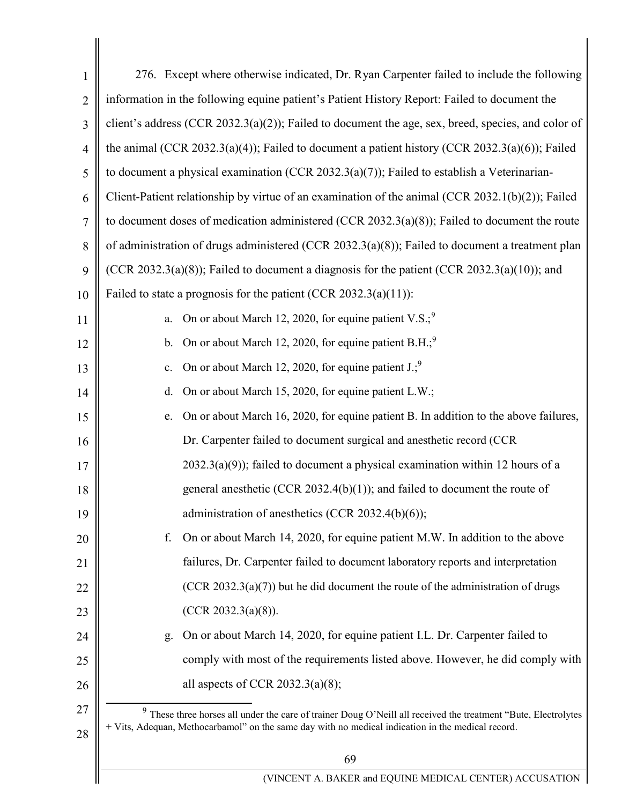<span id="page-68-1"></span><span id="page-68-0"></span>

| $\mathbf{1}$   | 276. Except where otherwise indicated, Dr. Ryan Carpenter failed to include the following                                                                                                                             |
|----------------|-----------------------------------------------------------------------------------------------------------------------------------------------------------------------------------------------------------------------|
| $\overline{2}$ | information in the following equine patient's Patient History Report: Failed to document the                                                                                                                          |
| 3              | client's address (CCR 2032.3(a)(2)); Failed to document the age, sex, breed, species, and color of                                                                                                                    |
| $\overline{4}$ | the animal (CCR 2032.3(a)(4)); Failed to document a patient history (CCR 2032.3(a)(6)); Failed                                                                                                                        |
| 5              | to document a physical examination (CCR 2032.3(a)(7)); Failed to establish a Veterinarian-                                                                                                                            |
| 6              | Client-Patient relationship by virtue of an examination of the animal (CCR 2032.1(b)(2)); Failed                                                                                                                      |
| 7              | to document doses of medication administered (CCR 2032.3(a)(8)); Failed to document the route                                                                                                                         |
| 8              | of administration of drugs administered (CCR 2032.3(a)(8)); Failed to document a treatment plan                                                                                                                       |
| 9              | (CCR 2032.3(a)(8)); Failed to document a diagnosis for the patient (CCR 2032.3(a)(10)); and                                                                                                                           |
| 10             | Failed to state a prognosis for the patient (CCR $2032.3(a)(11)$ ):                                                                                                                                                   |
| 11             | On or about March 12, 2020, for equine patient V.S.; <sup>9</sup><br>a.                                                                                                                                               |
| 12             | On or about March 12, 2020, for equine patient $B.H.^9$<br>b.                                                                                                                                                         |
| 13             | On or about March 12, 2020, for equine patient $J$ .; <sup>9</sup><br>c.                                                                                                                                              |
| 14             | On or about March 15, 2020, for equine patient L.W.;<br>d.                                                                                                                                                            |
| 15             | On or about March 16, 2020, for equine patient B. In addition to the above failures,<br>e.                                                                                                                            |
| 16             | Dr. Carpenter failed to document surgical and anesthetic record (CCR                                                                                                                                                  |
| 17             | $2032.3(a)(9)$ ; failed to document a physical examination within 12 hours of a                                                                                                                                       |
| 18             | general anesthetic (CCR 2032.4(b)(1)); and failed to document the route of                                                                                                                                            |
| 19             | administration of anesthetics (CCR 2032.4(b)(6));                                                                                                                                                                     |
| 20             | On or about March 14, 2020, for equine patient M.W. In addition to the above<br>f.                                                                                                                                    |
| 21             | failures, Dr. Carpenter failed to document laboratory reports and interpretation                                                                                                                                      |
| 22             | $(CCR 2032.3(a)(7))$ but he did document the route of the administration of drugs                                                                                                                                     |
| 23             | (CCR 2032.3(a)(8)).                                                                                                                                                                                                   |
| 24             | On or about March 14, 2020, for equine patient I.L. Dr. Carpenter failed to<br>g.                                                                                                                                     |
| 25             | comply with most of the requirements listed above. However, he did comply with                                                                                                                                        |
| 26             | all aspects of CCR 2032.3(a)(8);                                                                                                                                                                                      |
| 27<br>28       | $9$ These three horses all under the care of trainer Doug O'Neill all received the treatment "Bute, Electrolytes<br>+ Vits, Adequan, Methocarbamol" on the same day with no medical indication in the medical record. |
|                | 69                                                                                                                                                                                                                    |
|                | (VINCENT A. BAKER and EQUINE MEDICAL CENTER) ACCUSATION                                                                                                                                                               |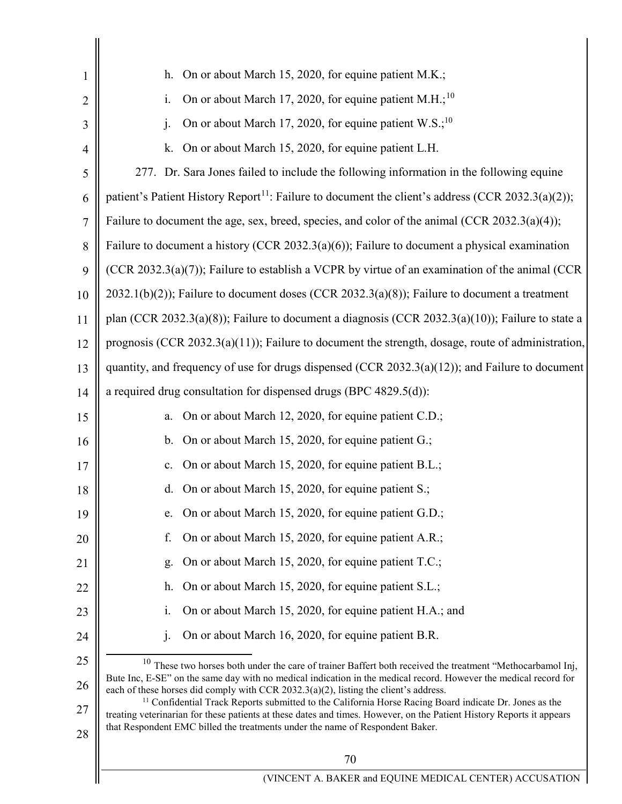<span id="page-69-2"></span><span id="page-69-1"></span><span id="page-69-0"></span>

| 1              | On or about March 15, 2020, for equine patient M.K.;<br>h.                                                                                                                                                                                 |
|----------------|--------------------------------------------------------------------------------------------------------------------------------------------------------------------------------------------------------------------------------------------|
| $\overline{2}$ | On or about March 17, 2020, for equine patient M.H.; <sup>10</sup><br>i.                                                                                                                                                                   |
| 3              | On or about March 17, 2020, for equine patient W.S.; <sup>10</sup><br>j.                                                                                                                                                                   |
| 4              | On or about March 15, 2020, for equine patient L.H.<br>k.                                                                                                                                                                                  |
| 5              | 277. Dr. Sara Jones failed to include the following information in the following equine                                                                                                                                                    |
| 6              | patient's Patient History Report <sup>11</sup> : Failure to document the client's address (CCR 2032.3(a)(2));                                                                                                                              |
| $\overline{7}$ | Failure to document the age, sex, breed, species, and color of the animal (CCR 2032.3(a)(4));                                                                                                                                              |
| 8              | Failure to document a history (CCR 2032.3(a)(6)); Failure to document a physical examination                                                                                                                                               |
| 9              | (CCR 2032.3(a)(7)); Failure to establish a VCPR by virtue of an examination of the animal (CCR                                                                                                                                             |
| 10             | $2032.1(b)(2)$ ; Failure to document doses (CCR 2032.3(a)(8)); Failure to document a treatment                                                                                                                                             |
| 11             | plan (CCR 2032.3(a)(8)); Failure to document a diagnosis (CCR 2032.3(a)(10)); Failure to state a                                                                                                                                           |
| 12             | prognosis (CCR $2032.3(a)(11)$ ); Failure to document the strength, dosage, route of administration,                                                                                                                                       |
| 13             | quantity, and frequency of use for drugs dispensed (CCR $2032.3(a)(12)$ ); and Failure to document                                                                                                                                         |
| 14             | a required drug consultation for dispensed drugs (BPC 4829.5(d)):                                                                                                                                                                          |
| 15             | On or about March 12, 2020, for equine patient C.D.;<br>a.                                                                                                                                                                                 |
| 16             | On or about March 15, 2020, for equine patient G.;<br>b.                                                                                                                                                                                   |
| 17             | On or about March 15, 2020, for equine patient B.L.;<br>$\mathbf{c}$ .                                                                                                                                                                     |
| 18             | d. On or about March 15, 2020, for equine patient S.;                                                                                                                                                                                      |
| 19             | On or about March 15, 2020, for equine patient G.D.;<br>e.                                                                                                                                                                                 |
| 20             | On or about March 15, 2020, for equine patient A.R.;<br>f.                                                                                                                                                                                 |
| 21             | On or about March 15, 2020, for equine patient T.C.;<br>g.                                                                                                                                                                                 |
| 22             | On or about March 15, 2020, for equine patient S.L.;<br>h.                                                                                                                                                                                 |
| 23             | On or about March 15, 2020, for equine patient H.A.; and<br>1.                                                                                                                                                                             |
| 24             | On or about March 16, 2020, for equine patient B.R.<br>$\mathbf{i}$ .                                                                                                                                                                      |
| 25             | $10$ These two horses both under the care of trainer Baffert both received the treatment "Methocarbamol Inj,                                                                                                                               |
| 26             | Bute Inc, E-SE" on the same day with no medical indication in the medical record. However the medical record for<br>each of these horses did comply with CCR 2032.3(a)(2), listing the client's address.                                   |
| 27             | <sup>11</sup> Confidential Track Reports submitted to the California Horse Racing Board indicate Dr. Jones as the<br>treating veterinarian for these patients at these dates and times. However, on the Patient History Reports it appears |
| 28             | that Respondent EMC billed the treatments under the name of Respondent Baker.                                                                                                                                                              |
|                | 70                                                                                                                                                                                                                                         |
|                | (VINCENT A. BAKER and EQUINE MEDICAL CENTER) ACCUSATION                                                                                                                                                                                    |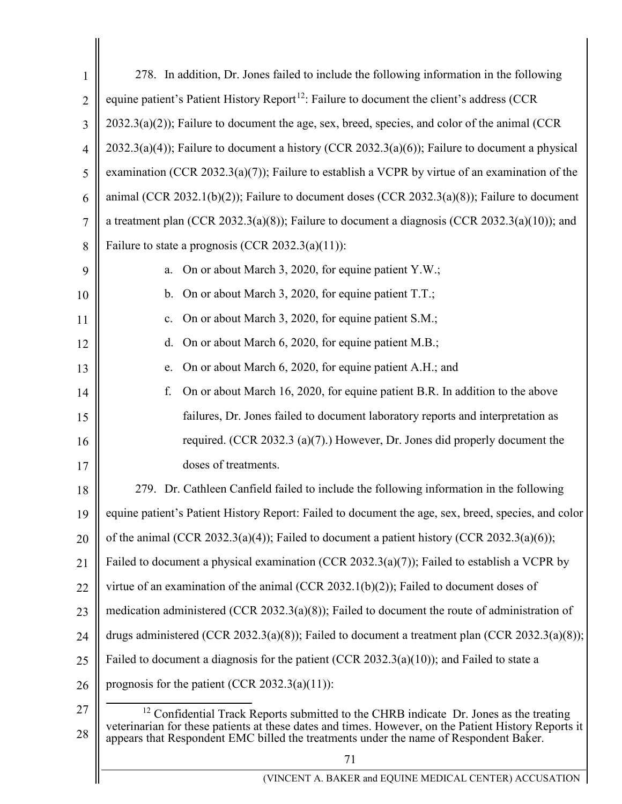<span id="page-70-0"></span>

| 1              | 278. In addition, Dr. Jones failed to include the following information in the following                                                                                                                                                                                                     |
|----------------|----------------------------------------------------------------------------------------------------------------------------------------------------------------------------------------------------------------------------------------------------------------------------------------------|
| $\overline{2}$ | equine patient's Patient History Report <sup>12</sup> : Failure to document the client's address (CCR                                                                                                                                                                                        |
| 3              | $2032.3(a)(2)$ ; Failure to document the age, sex, breed, species, and color of the animal (CCR                                                                                                                                                                                              |
| $\overline{4}$ | $2032.3(a)(4)$ ; Failure to document a history (CCR 2032.3(a)(6)); Failure to document a physical                                                                                                                                                                                            |
| 5              | examination (CCR 2032.3(a)(7)); Failure to establish a VCPR by virtue of an examination of the                                                                                                                                                                                               |
| 6              | animal (CCR 2032.1(b)(2)); Failure to document doses (CCR 2032.3(a)(8)); Failure to document                                                                                                                                                                                                 |
| 7              | a treatment plan (CCR 2032.3(a)(8)); Failure to document a diagnosis (CCR 2032.3(a)(10)); and                                                                                                                                                                                                |
| 8              | Failure to state a prognosis (CCR 2032.3(a)(11)):                                                                                                                                                                                                                                            |
| 9              | On or about March 3, 2020, for equine patient Y.W.;<br>a.                                                                                                                                                                                                                                    |
| 10             | b. On or about March 3, 2020, for equine patient T.T.;                                                                                                                                                                                                                                       |
| 11             | On or about March 3, 2020, for equine patient S.M.;<br>c.                                                                                                                                                                                                                                    |
| 12             | On or about March 6, 2020, for equine patient M.B.;<br>d.                                                                                                                                                                                                                                    |
| 13             | On or about March 6, 2020, for equine patient A.H.; and<br>e.                                                                                                                                                                                                                                |
| 14             | On or about March 16, 2020, for equine patient B.R. In addition to the above<br>f.                                                                                                                                                                                                           |
| 15             | failures, Dr. Jones failed to document laboratory reports and interpretation as                                                                                                                                                                                                              |
| 16             | required. (CCR 2032.3 (a)(7).) However, Dr. Jones did properly document the                                                                                                                                                                                                                  |
| 17             | doses of treatments.                                                                                                                                                                                                                                                                         |
| 18             | 279. Dr. Cathleen Canfield failed to include the following information in the following                                                                                                                                                                                                      |
| 19             | equine patient's Patient History Report: Failed to document the age, sex, breed, species, and color                                                                                                                                                                                          |
| 20             | of the animal (CCR 2032.3(a)(4)); Failed to document a patient history (CCR 2032.3(a)(6));                                                                                                                                                                                                   |
| 21             | Failed to document a physical examination (CCR 2032.3(a)(7)); Failed to establish a VCPR by                                                                                                                                                                                                  |
| 22             | virtue of an examination of the animal (CCR 2032.1(b)(2)); Failed to document doses of                                                                                                                                                                                                       |
| 23             | medication administered (CCR 2032.3(a)(8)); Failed to document the route of administration of                                                                                                                                                                                                |
| 24             | drugs administered (CCR 2032.3(a)(8)); Failed to document a treatment plan (CCR 2032.3(a)(8));                                                                                                                                                                                               |
| 25             | Failed to document a diagnosis for the patient (CCR 2032.3(a)(10)); and Failed to state a                                                                                                                                                                                                    |
| 26             | prognosis for the patient (CCR 2032.3(a)(11)):                                                                                                                                                                                                                                               |
| 27<br>28       | $^{12}$ Confidential Track Reports submitted to the CHRB indicate Dr. Jones as the treating<br>veterinarian for these patients at these dates and times. However, on the Patient History Reports it<br>appears that Respondent EMC billed the treatments under the name of Respondent Baker. |
|                | 71                                                                                                                                                                                                                                                                                           |
|                | (VINCENT A. BAKER and EQUINE MEDICAL CENTER) ACCUSATION                                                                                                                                                                                                                                      |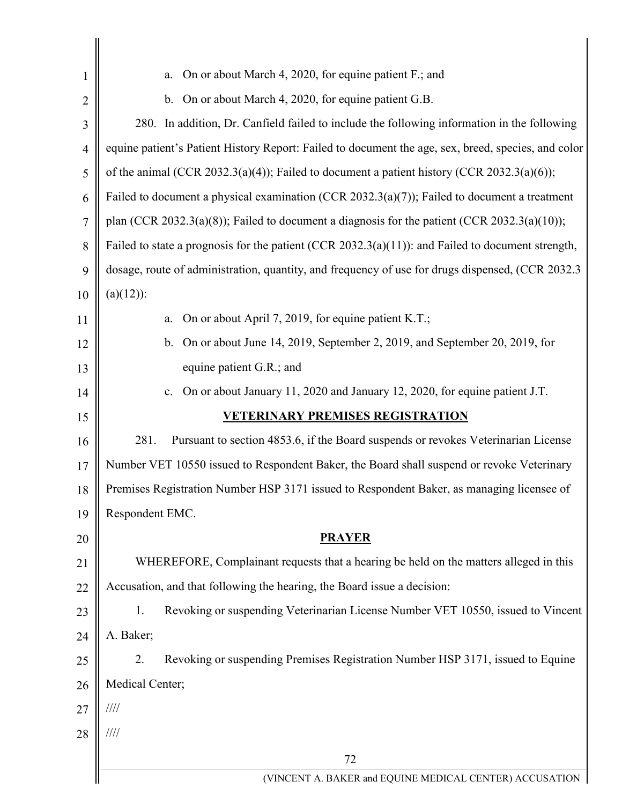| 1              | On or about March 4, 2020, for equine patient F.; and<br>a.                                         |  |
|----------------|-----------------------------------------------------------------------------------------------------|--|
| $\overline{2}$ | b. On or about March 4, 2020, for equine patient G.B.                                               |  |
| 3              | 280. In addition, Dr. Canfield failed to include the following information in the following         |  |
| $\overline{4}$ | equine patient's Patient History Report: Failed to document the age, sex, breed, species, and color |  |
| 5              | of the animal (CCR 2032.3(a)(4)); Failed to document a patient history (CCR 2032.3(a)(6));          |  |
| 6              | Failed to document a physical examination (CCR 2032.3(a)(7)); Failed to document a treatment        |  |
| 7              | plan (CCR 2032.3(a)(8)); Failed to document a diagnosis for the patient (CCR 2032.3(a)(10));        |  |
| 8              | Failed to state a prognosis for the patient (CCR 2032.3(a)(11)): and Failed to document strength,   |  |
| 9              | dosage, route of administration, quantity, and frequency of use for drugs dispensed, (CCR 2032.3    |  |
| 10             | $(a)(12)$ :                                                                                         |  |
| 11             | On or about April 7, 2019, for equine patient K.T.;<br>a.                                           |  |
| 12             | On or about June 14, 2019, September 2, 2019, and September 20, 2019, for<br>$\mathbf{b}$ .         |  |
| 13             | equine patient G.R.; and                                                                            |  |
| 14             | On or about January 11, 2020 and January 12, 2020, for equine patient J.T.<br>c.                    |  |
| 15             | <u>VETERINARY PREMISES REGISTRATION</u>                                                             |  |
| 16             | 281.<br>Pursuant to section 4853.6, if the Board suspends or revokes Veterinarian License           |  |
| 17             | Number VET 10550 issued to Respondent Baker, the Board shall suspend or revoke Veterinary           |  |
| 18             | Premises Registration Number HSP 3171 issued to Respondent Baker, as managing licensee of           |  |
| 19             | Respondent EMC.                                                                                     |  |
| 20             | <b>PRAYER</b>                                                                                       |  |
| 21             | WHEREFORE, Complainant requests that a hearing be held on the matters alleged in this               |  |
| 22             | Accusation, and that following the hearing, the Board issue a decision:                             |  |
| 23             | Revoking or suspending Veterinarian License Number VET 10550, issued to Vincent<br>1.               |  |
| 24             | A. Baker;                                                                                           |  |
| 25             | Revoking or suspending Premises Registration Number HSP 3171, issued to Equine<br>2.                |  |
| 26             | Medical Center;                                                                                     |  |
| 27             | $\frac{1}{1}$                                                                                       |  |
| 28             | $\frac{1}{1}$                                                                                       |  |
|                | 72                                                                                                  |  |